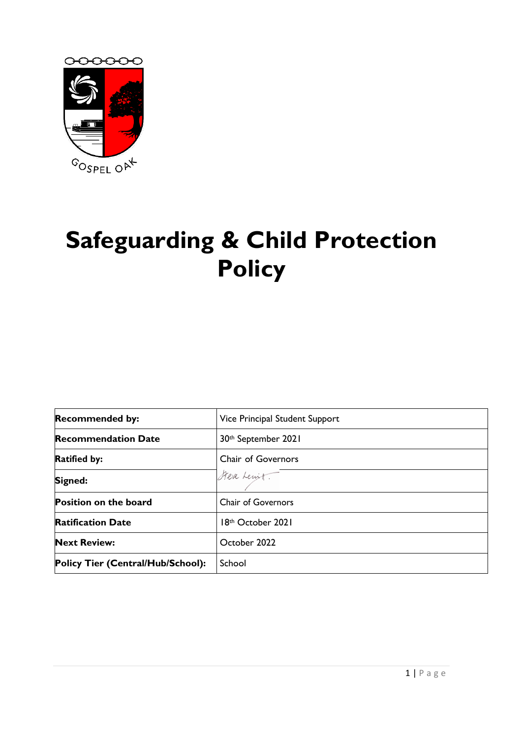

# **Safeguarding & Child Protection Policy**

| <b>Recommended by:</b>            | Vice Principal Student Support  |
|-----------------------------------|---------------------------------|
| <b>Recommendation Date</b>        | 30 <sup>th</sup> September 2021 |
| <b>Ratified by:</b>               | <b>Chair of Governors</b>       |
| Signed:                           | Steve Lewit                     |
| <b>Position on the board</b>      | <b>Chair of Governors</b>       |
| <b>Ratification Date</b>          | 18th October 2021               |
| <b>Next Review:</b>               | October 2022                    |
| Policy Tier (Central/Hub/School): | School                          |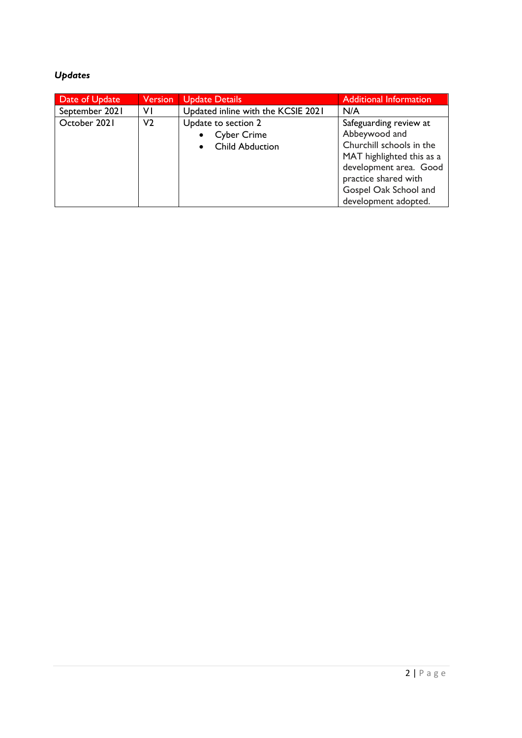#### *Updates*

| Date of Update | <b>Version</b> | <b>Update Details</b>                                               | <b>Additional Information</b>                                                                                                                                                                       |
|----------------|----------------|---------------------------------------------------------------------|-----------------------------------------------------------------------------------------------------------------------------------------------------------------------------------------------------|
| September 2021 | ٧I             | Updated inline with the KCSIE 2021                                  | N/A                                                                                                                                                                                                 |
| October 2021   | V2             | Update to section 2<br><b>Cyber Crime</b><br><b>Child Abduction</b> | Safeguarding review at<br>Abbeywood and<br>Churchill schools in the<br>MAT highlighted this as a<br>development area. Good<br>practice shared with<br>Gospel Oak School and<br>development adopted. |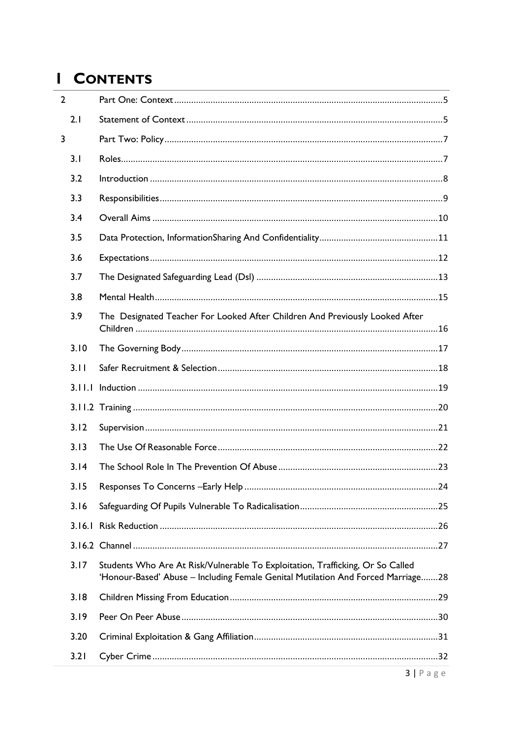# I CONTENTS

|   | $\overline{2}$ |                                                                                                                                                                    |
|---|----------------|--------------------------------------------------------------------------------------------------------------------------------------------------------------------|
|   | 2.1            |                                                                                                                                                                    |
| 3 |                |                                                                                                                                                                    |
|   | 3.1            |                                                                                                                                                                    |
|   | 3.2            |                                                                                                                                                                    |
|   | 3.3            |                                                                                                                                                                    |
|   | 3.4            |                                                                                                                                                                    |
|   | 3.5            |                                                                                                                                                                    |
|   | 3.6            |                                                                                                                                                                    |
|   | 3.7            |                                                                                                                                                                    |
|   | 3.8            |                                                                                                                                                                    |
|   | 3.9            | The Designated Teacher For Looked After Children And Previously Looked After                                                                                       |
|   | 3.10           |                                                                                                                                                                    |
|   | 3.11           |                                                                                                                                                                    |
|   |                |                                                                                                                                                                    |
|   |                |                                                                                                                                                                    |
|   | 3.12           |                                                                                                                                                                    |
|   | 3.13           |                                                                                                                                                                    |
|   | 3.14           |                                                                                                                                                                    |
|   |                |                                                                                                                                                                    |
|   | 3.16           |                                                                                                                                                                    |
|   |                |                                                                                                                                                                    |
|   |                |                                                                                                                                                                    |
|   | 3.17           | Students Who Are At Risk/Vulnerable To Exploitation, Trafficking, Or So Called<br>'Honour-Based' Abuse - Including Female Genital Mutilation And Forced Marriage28 |
|   | 3.18           |                                                                                                                                                                    |
|   | 3.19           |                                                                                                                                                                    |
|   | 3.20           |                                                                                                                                                                    |
|   | 3.21           |                                                                                                                                                                    |
|   |                | $2 \log q$                                                                                                                                                         |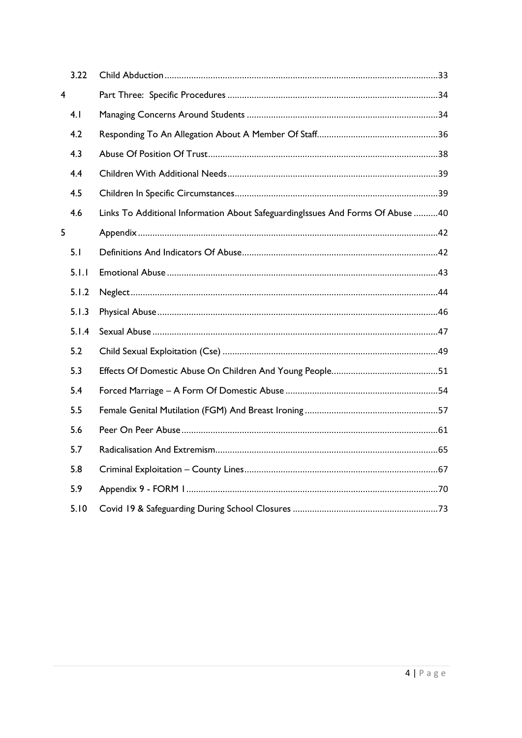|                | 3.22  |                                                                                |
|----------------|-------|--------------------------------------------------------------------------------|
| $\overline{4}$ |       |                                                                                |
|                | 4.1   |                                                                                |
|                | 4.2   |                                                                                |
|                | 4.3   |                                                                                |
|                | 4.4   |                                                                                |
|                | 4.5   |                                                                                |
|                | 4.6   | Links To Additional Information About SafeguardingIssues And Forms Of Abuse 40 |
| 5              |       |                                                                                |
|                | 5.1   |                                                                                |
|                | 5.1.1 |                                                                                |
|                | 5.1.2 |                                                                                |
|                | 5.1.3 |                                                                                |
|                | 5.1.4 |                                                                                |
|                | 5.2   |                                                                                |
|                | 5.3   |                                                                                |
|                | 5.4   |                                                                                |
|                | 5.5   |                                                                                |
|                | 5.6   |                                                                                |
|                | 5.7   |                                                                                |
|                | 5.8   |                                                                                |
|                | 5.9   |                                                                                |
|                | 5.10  |                                                                                |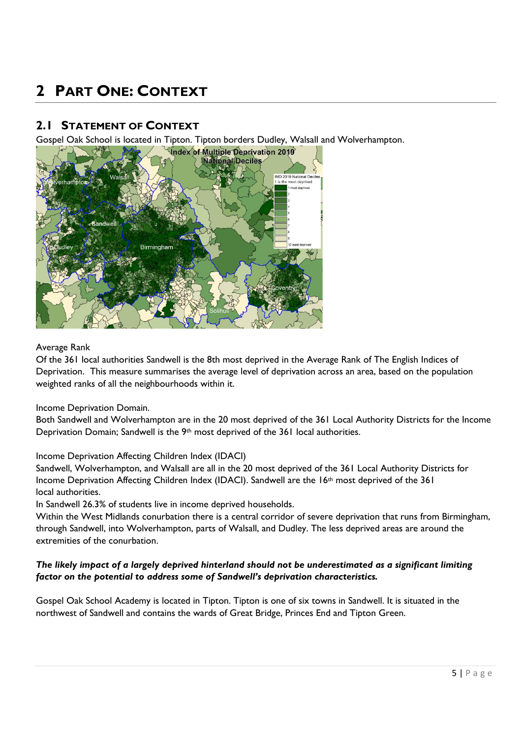# <span id="page-4-0"></span>**2 PART ONE: CONTEXT**

#### <span id="page-4-1"></span>**2.1 STATEMENT OF CONTEXT**

Gospel Oak School is located in Tipton. Tipton borders Dudley, Walsall and Wolverhampton.



#### Average Rank

Of the 361 local authorities Sandwell is the 8th most deprived in the Average Rank of The English Indices of Deprivation. This measure summarises the average level of deprivation across an area, based on the population weighted ranks of all the neighbourhoods within it.

#### Income Deprivation Domain.

Both Sandwell and Wolverhampton are in the 20 most deprived of the 361 Local Authority Districts for the Income Deprivation Domain; Sandwell is the 9<sup>th</sup> most deprived of the 361 local authorities.

#### Income Deprivation Affecting Children Index (IDACI)

Sandwell, Wolverhampton, and Walsall are all in the 20 most deprived of the 361 Local Authority Districts for Income Deprivation Affecting Children Index (IDACI). Sandwell are the 16<sup>th</sup> most deprived of the 361 local authorities.

In Sandwell 26.3% of students live in income deprived households.

Within the West Midlands conurbation there is a central corridor of severe deprivation that runs from Birmingham, through Sandwell, into Wolverhampton, parts of Walsall, and Dudley. The less deprived areas are around the extremities of the conurbation.

#### *The likely impact of a largely deprived hinterland should not be underestimated as a significant limiting factor on the potential to address some of Sandwell's deprivation characteristics.*

Gospel Oak School Academy is located in Tipton. Tipton is one of six towns in Sandwell. It is situated in the northwest of Sandwell and contains the wards of Great Bridge, Princes End and Tipton Green.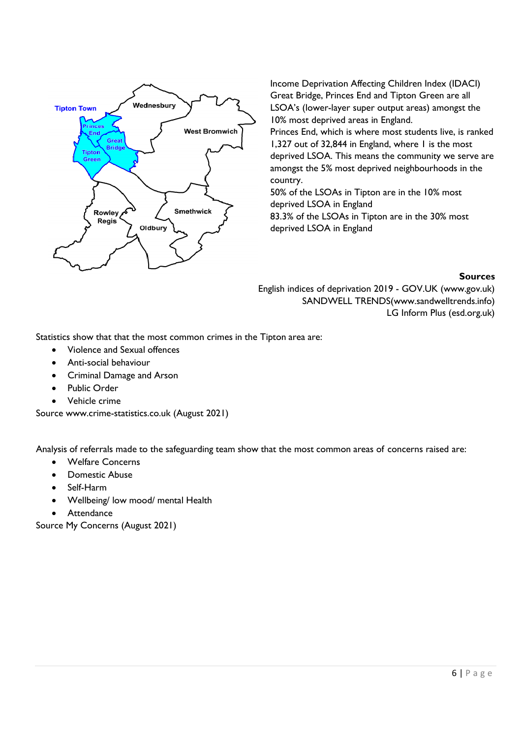

Income Deprivation Affecting Children Index (IDACI) Great Bridge, Princes End and Tipton Green are all LSOA's (lower-layer super output areas) amongst the 10% most deprived areas in England.

Princes End, which is where most students live, is ranked 1,327 out of 32,844 in England, where 1 is the most deprived LSOA. This means the community we serve are amongst the 5% most deprived neighbourhoods in the country.

50% of the LSOAs in Tipton are in the 10% most deprived LSOA in England 83.3% of the LSOAs in Tipton are in the 30% most deprived LSOA in England

#### **Sources**

English indices of deprivation 2019 - GOV.UK (www.gov.uk) [SANDWELL TRENDS\(](https://www.sandwelltrends.info/)www.sandwelltrends.info) [LG Inform Plus \(esd.org.uk\)](https://home.esd.org.uk/)

Statistics show that that the most common crimes in the Tipton area are:

- Violence and Sexual offences
- Anti-social behaviour
- Criminal Damage and Arson
- Public Order
- Vehicle crime

Source [www.crime-statistics.co.uk](http://www.crime-statistics.co.uk/) (August 2021)

Analysis of referrals made to the safeguarding team show that the most common areas of concerns raised are:

- Welfare Concerns
- Domestic Abuse
- Self-Harm
- Wellbeing/ low mood/ mental Health
- Attendance

Source My Concerns (August 2021)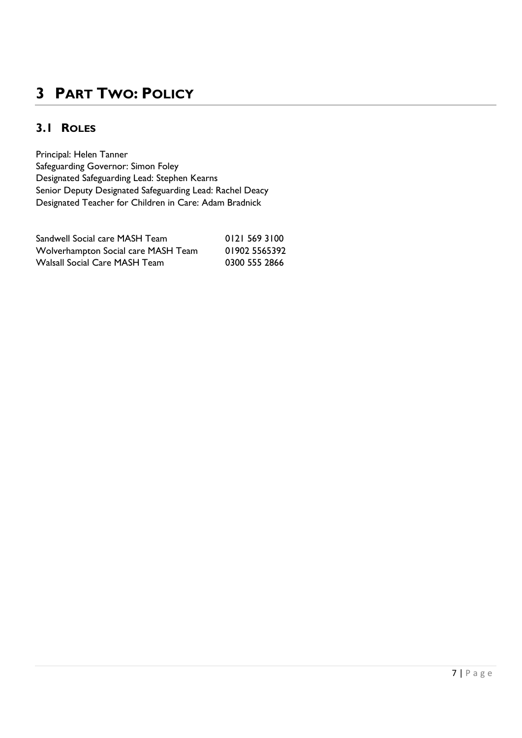# <span id="page-6-0"></span>**3 PART TWO: POLICY**

#### <span id="page-6-1"></span>**3.1 ROLES**

Principal: Helen Tanner Safeguarding Governor: Simon Foley Designated Safeguarding Lead: Stephen Kearns Senior Deputy Designated Safeguarding Lead: Rachel Deacy Designated Teacher for Children in Care: Adam Bradnick

| Sandwell Social care MASH Team      | 0121 569 3100 |
|-------------------------------------|---------------|
| Wolverhampton Social care MASH Team | 01902 5565392 |
| Walsall Social Care MASH Team       | 0300 555 2866 |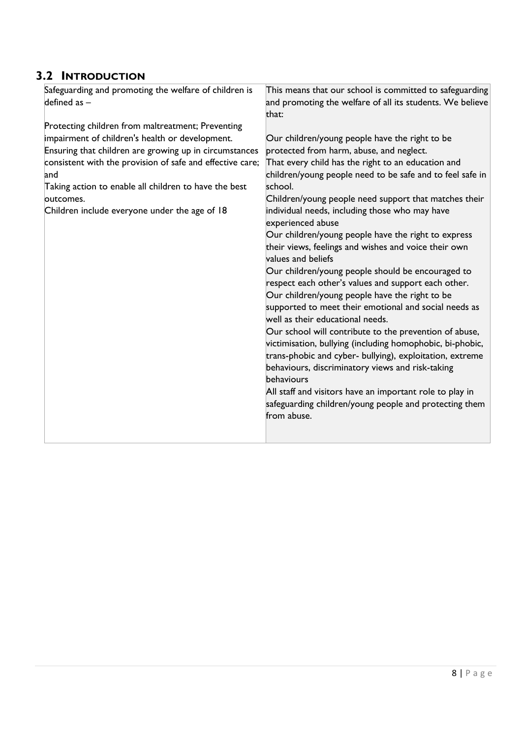#### <span id="page-7-0"></span>**3.2 INTRODUCTION**

| Safeguarding and promoting the welfare of children is     | This means that our school is committed to safeguarding   |
|-----------------------------------------------------------|-----------------------------------------------------------|
| defined as $-$                                            | and promoting the welfare of all its students. We believe |
|                                                           | that:                                                     |
| Protecting children from maltreatment; Preventing         |                                                           |
| impairment of children's health or development.           | Our children/young people have the right to be            |
| Ensuring that children are growing up in circumstances    | protected from harm, abuse, and neglect.                  |
| consistent with the provision of safe and effective care; | That every child has the right to an education and        |
| and                                                       | children/young people need to be safe and to feel safe in |
| Taking action to enable all children to have the best     | school.                                                   |
| loutcomes.                                                | Children/young people need support that matches their     |
| Children include everyone under the age of 18             | individual needs, including those who may have            |
|                                                           | experienced abuse                                         |
|                                                           | Our children/young people have the right to express       |
|                                                           | their views, feelings and wishes and voice their own      |
|                                                           | values and beliefs                                        |
|                                                           | Our children/young people should be encouraged to         |
|                                                           | respect each other's values and support each other.       |
|                                                           | Our children/young people have the right to be            |
|                                                           | supported to meet their emotional and social needs as     |
|                                                           | well as their educational needs.                          |
|                                                           | Our school will contribute to the prevention of abuse,    |
|                                                           | victimisation, bullying (including homophobic, bi-phobic, |
|                                                           | trans-phobic and cyber- bullying), exploitation, extreme  |
|                                                           | behaviours, discriminatory views and risk-taking          |
|                                                           | behaviours                                                |
|                                                           | All staff and visitors have an important role to play in  |
|                                                           | safeguarding children/young people and protecting them    |
|                                                           | from abuse.                                               |
|                                                           |                                                           |
|                                                           |                                                           |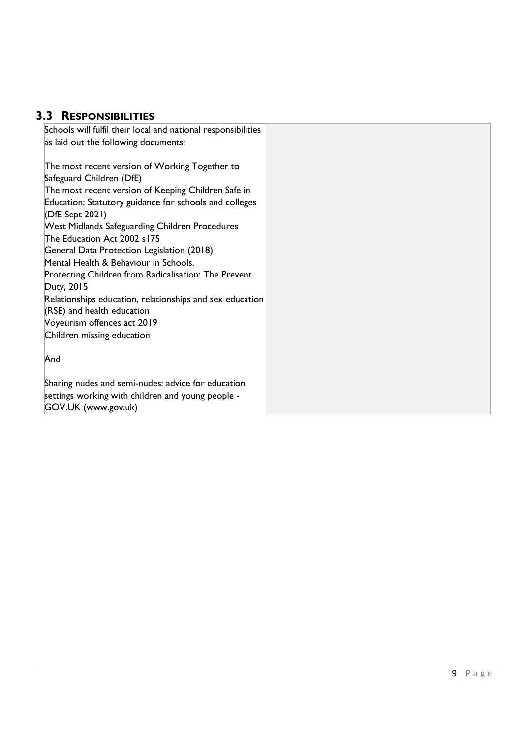#### <span id="page-8-0"></span>**3.3 RESPONSIBILITIES**

| Schools will fulfil their local and national responsibilities |
|---------------------------------------------------------------|
| as laid out the following documents:                          |
|                                                               |
| The most recent version of Working Together to                |
| Safeguard Children (DfE)                                      |
| The most recent version of Keeping Children Safe in           |
| Education: Statutory guidance for schools and colleges        |
| (DfE Sept 2021)                                               |
| <b>West Midlands Safeguarding Children Procedures</b>         |
| The Education Act 2002 s175                                   |
| General Data Protection Legislation (2018)                    |
| Mental Health & Behaviour in Schools.                         |
| Protecting Children from Radicalisation: The Prevent          |
| Duty, 2015                                                    |
| Relationships education, relationships and sex education      |
| $(RSE)$ and health education                                  |
| Voyeurism offences act 2019                                   |
| Children missing education                                    |
|                                                               |
| And                                                           |
|                                                               |
| Sharing nudes and semi-nudes: advice for education            |
| settings working with children and young people -             |
| GOV.UK (www.gov.uk)                                           |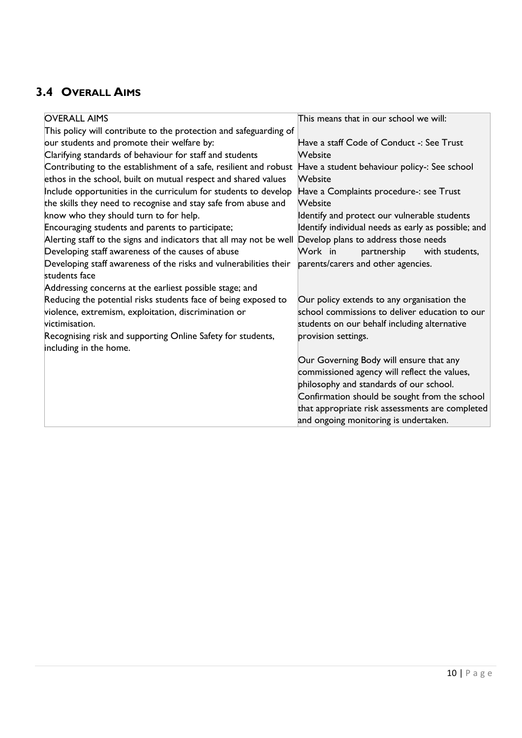## <span id="page-9-0"></span>**3.4 OVERALL AIMS**

| <b>OVERALL AIMS</b>                                                 | This means that in our school we will:              |
|---------------------------------------------------------------------|-----------------------------------------------------|
| This policy will contribute to the protection and safeguarding of   |                                                     |
| our students and promote their welfare by:                          | Have a staff Code of Conduct -: See Trust           |
| Clarifying standards of behaviour for staff and students            | Website                                             |
| Contributing to the establishment of a safe, resilient and robust   | Have a student behaviour policy-: See school        |
| ethos in the school, built on mutual respect and shared values      | Website                                             |
| Include opportunities in the curriculum for students to develop     | Have a Complaints procedure-: see Trust             |
| the skills they need to recognise and stay safe from abuse and      | Website                                             |
| know who they should turn to for help.                              | Identify and protect our vulnerable students        |
| Encouraging students and parents to participate;                    | Identify individual needs as early as possible; and |
| Alerting staff to the signs and indicators that all may not be well | Develop plans to address those needs                |
| Developing staff awareness of the causes of abuse                   | Work in<br>partnership<br>with students,            |
| Developing staff awareness of the risks and vulnerabilities their   | parents/carers and other agencies.                  |
| students face                                                       |                                                     |
| Addressing concerns at the earliest possible stage; and             |                                                     |
| Reducing the potential risks students face of being exposed to      | Our policy extends to any organisation the          |
| violence, extremism, exploitation, discrimination or                | school commissions to deliver education to our      |
| victimisation.                                                      | students on our behalf including alternative        |
| Recognising risk and supporting Online Safety for students,         | provision settings.                                 |
| including in the home.                                              |                                                     |
|                                                                     | Our Governing Body will ensure that any             |
|                                                                     | commissioned agency will reflect the values,        |
|                                                                     | philosophy and standards of our school.             |
|                                                                     | Confirmation should be sought from the school       |
|                                                                     | that appropriate risk assessments are completed     |
|                                                                     | and ongoing monitoring is undertaken.               |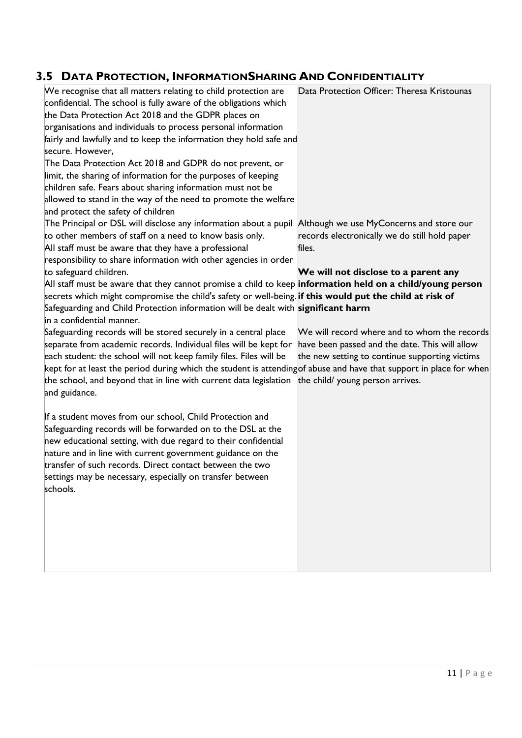## <span id="page-10-0"></span>**3.5 DATA PROTECTION, INFORMATIONSHARING AND CONFIDENTIALITY**

| PATAT NOTECTION, INTONIATIONSI IANING AND CONT                                                                                                                                                                                                                                                                                                                                                                                                                                                                                                  |                                                                                                                                                                                      |
|-------------------------------------------------------------------------------------------------------------------------------------------------------------------------------------------------------------------------------------------------------------------------------------------------------------------------------------------------------------------------------------------------------------------------------------------------------------------------------------------------------------------------------------------------|--------------------------------------------------------------------------------------------------------------------------------------------------------------------------------------|
| We recognise that all matters relating to child protection are<br>confidential. The school is fully aware of the obligations which<br>the Data Protection Act 2018 and the GDPR places on<br>organisations and individuals to process personal information<br>fairly and lawfully and to keep the information they hold safe and<br>secure. However,<br>The Data Protection Act 2018 and GDPR do not prevent, or<br>limit, the sharing of information for the purposes of keeping<br>children safe. Fears about sharing information must not be | Data Protection Officer: Theresa Kristounas                                                                                                                                          |
| allowed to stand in the way of the need to promote the welfare                                                                                                                                                                                                                                                                                                                                                                                                                                                                                  |                                                                                                                                                                                      |
| and protect the safety of children                                                                                                                                                                                                                                                                                                                                                                                                                                                                                                              |                                                                                                                                                                                      |
| The Principal or DSL will disclose any information about a pupil                                                                                                                                                                                                                                                                                                                                                                                                                                                                                | Although we use MyConcerns and store our                                                                                                                                             |
| to other members of staff on a need to know basis only.                                                                                                                                                                                                                                                                                                                                                                                                                                                                                         | records electronically we do still hold paper                                                                                                                                        |
| All staff must be aware that they have a professional                                                                                                                                                                                                                                                                                                                                                                                                                                                                                           | files.                                                                                                                                                                               |
| responsibility to share information with other agencies in order                                                                                                                                                                                                                                                                                                                                                                                                                                                                                |                                                                                                                                                                                      |
| to safeguard children.                                                                                                                                                                                                                                                                                                                                                                                                                                                                                                                          | We will not disclose to a parent any                                                                                                                                                 |
| All staff must be aware that they cannot promise a child to keep information held on a child/young person                                                                                                                                                                                                                                                                                                                                                                                                                                       |                                                                                                                                                                                      |
| secrets which might compromise the child's safety or well-being. <b>if this would put the child at risk of</b>                                                                                                                                                                                                                                                                                                                                                                                                                                  |                                                                                                                                                                                      |
| Safeguarding and Child Protection information will be dealt with significant harm                                                                                                                                                                                                                                                                                                                                                                                                                                                               |                                                                                                                                                                                      |
| in a confidential manner.                                                                                                                                                                                                                                                                                                                                                                                                                                                                                                                       |                                                                                                                                                                                      |
| Safeguarding records will be stored securely in a central place<br>separate from academic records. Individual files will be kept for<br>each student: the school will not keep family files. Files will be<br>kept for at least the period during which the student is attendingof abuse and have that support in place for when<br>the school, and beyond that in line with current data legislation<br>and guidance.                                                                                                                          | We will record where and to whom the records<br>have been passed and the date. This will allow<br>the new setting to continue supporting victims<br>the child/ young person arrives. |
| If a student moves from our school, Child Protection and                                                                                                                                                                                                                                                                                                                                                                                                                                                                                        |                                                                                                                                                                                      |
| Safeguarding records will be forwarded on to the DSL at the<br>new educational setting, with due regard to their confidential<br>nature and in line with current government guidance on the                                                                                                                                                                                                                                                                                                                                                     |                                                                                                                                                                                      |
| transfer of such records. Direct contact between the two                                                                                                                                                                                                                                                                                                                                                                                                                                                                                        |                                                                                                                                                                                      |
| settings may be necessary, especially on transfer between                                                                                                                                                                                                                                                                                                                                                                                                                                                                                       |                                                                                                                                                                                      |
| schools.                                                                                                                                                                                                                                                                                                                                                                                                                                                                                                                                        |                                                                                                                                                                                      |
|                                                                                                                                                                                                                                                                                                                                                                                                                                                                                                                                                 |                                                                                                                                                                                      |
|                                                                                                                                                                                                                                                                                                                                                                                                                                                                                                                                                 |                                                                                                                                                                                      |
|                                                                                                                                                                                                                                                                                                                                                                                                                                                                                                                                                 |                                                                                                                                                                                      |
|                                                                                                                                                                                                                                                                                                                                                                                                                                                                                                                                                 |                                                                                                                                                                                      |
|                                                                                                                                                                                                                                                                                                                                                                                                                                                                                                                                                 |                                                                                                                                                                                      |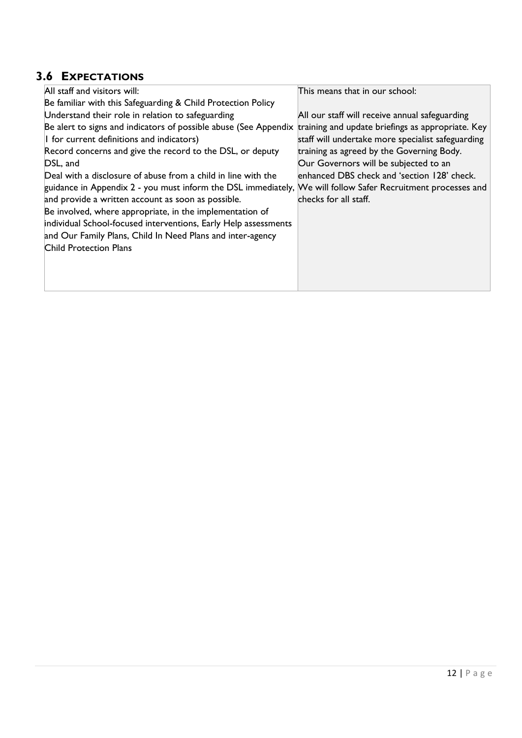## <span id="page-11-0"></span>**3.6 EXPECTATIONS**

| All staff and visitors will:                                                                                 | This means that in our school:                    |
|--------------------------------------------------------------------------------------------------------------|---------------------------------------------------|
| Be familiar with this Safeguarding & Child Protection Policy                                                 |                                                   |
| Understand their role in relation to safeguarding                                                            | All our staff will receive annual safeguarding    |
| Be alert to signs and indicators of possible abuse (See Appendix                                             | training and update briefings as appropriate. Key |
| I for current definitions and indicators)                                                                    | staff will undertake more specialist safeguarding |
| Record concerns and give the record to the DSL, or deputy                                                    | training as agreed by the Governing Body.         |
| DSL, and                                                                                                     | Our Governors will be subjected to an             |
| Deal with a disclosure of abuse from a child in line with the                                                | enhanced DBS check and 'section 128' check.       |
| guidance in Appendix 2 - you must inform the DSL immediately, We will follow Safer Recruitment processes and |                                                   |
| and provide a written account as soon as possible.                                                           | checks for all staff.                             |
| Be involved, where appropriate, in the implementation of                                                     |                                                   |
| individual School-focused interventions, Early Help assessments                                              |                                                   |
| and Our Family Plans, Child In Need Plans and inter-agency                                                   |                                                   |
| <b>Child Protection Plans</b>                                                                                |                                                   |
|                                                                                                              |                                                   |
|                                                                                                              |                                                   |
|                                                                                                              |                                                   |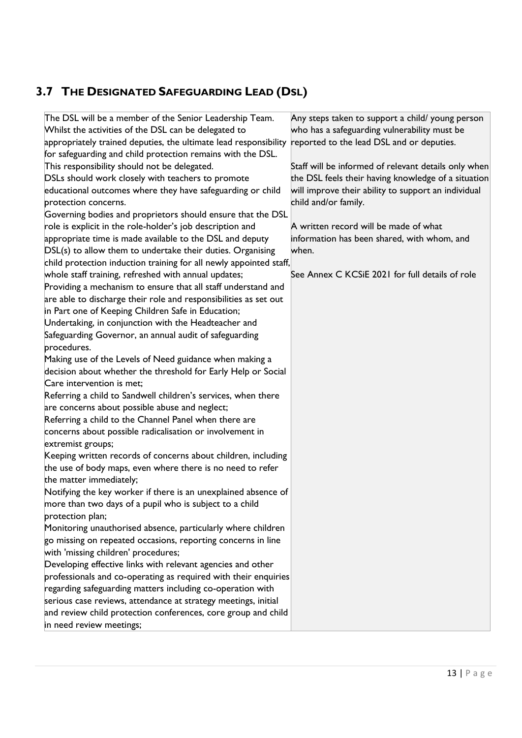## <span id="page-12-0"></span>**3.7 THE DESIGNATED SAFEGUARDING LEAD (DSL)**

| in need review meetings;                                           |                                                      |
|--------------------------------------------------------------------|------------------------------------------------------|
| and review child protection conferences, core group and child      |                                                      |
| serious case reviews, attendance at strategy meetings, initial     |                                                      |
| regarding safeguarding matters including co-operation with         |                                                      |
| professionals and co-operating as required with their enquiries    |                                                      |
| Developing effective links with relevant agencies and other        |                                                      |
| with 'missing children' procedures;                                |                                                      |
| go missing on repeated occasions, reporting concerns in line       |                                                      |
| Monitoring unauthorised absence, particularly where children       |                                                      |
| protection plan;                                                   |                                                      |
| more than two days of a pupil who is subject to a child            |                                                      |
| Notifying the key worker if there is an unexplained absence of     |                                                      |
| the matter immediately;                                            |                                                      |
| the use of body maps, even where there is no need to refer         |                                                      |
| Keeping written records of concerns about children, including      |                                                      |
| extremist groups;                                                  |                                                      |
| concerns about possible radicalisation or involvement in           |                                                      |
| Referring a child to the Channel Panel when there are              |                                                      |
| are concerns about possible abuse and neglect;                     |                                                      |
| Referring a child to Sandwell children's services, when there      |                                                      |
| Care intervention is met;                                          |                                                      |
| decision about whether the threshold for Early Help or Social      |                                                      |
| Making use of the Levels of Need guidance when making a            |                                                      |
| procedures.                                                        |                                                      |
| Safeguarding Governor, an annual audit of safeguarding             |                                                      |
| Undertaking, in conjunction with the Headteacher and               |                                                      |
| in Part one of Keeping Children Safe in Education;                 |                                                      |
| are able to discharge their role and responsibilities as set out   |                                                      |
| Providing a mechanism to ensure that all staff understand and      |                                                      |
| whole staff training, refreshed with annual updates;               | See Annex C KCSiE 2021 for full details of role      |
| child protection induction training for all newly appointed staff, |                                                      |
| DSL(s) to allow them to undertake their duties. Organising         | when.                                                |
| appropriate time is made available to the DSL and deputy           | information has been shared, with whom, and          |
| role is explicit in the role-holder's job description and          | A written record will be made of what                |
| Governing bodies and proprietors should ensure that the DSL        |                                                      |
| protection concerns.                                               | child and/or family.                                 |
| educational outcomes where they have safeguarding or child         | will improve their ability to support an individual  |
| DSLs should work closely with teachers to promote                  | the DSL feels their having knowledge of a situation  |
| This responsibility should not be delegated.                       | Staff will be informed of relevant details only when |
| for safeguarding and child protection remains with the DSL.        |                                                      |
| appropriately trained deputies, the ultimate lead responsibility   | reported to the lead DSL and or deputies.            |
| Whilst the activities of the DSL can be delegated to               | who has a safeguarding vulnerability must be         |
| The DSL will be a member of the Senior Leadership Team.            | Any steps taken to support a child/ young person     |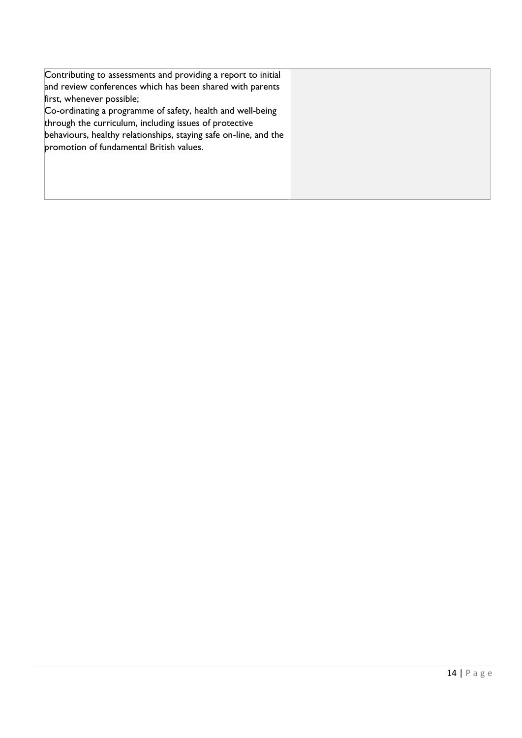| Contributing to assessments and providing a report to initial    |  |
|------------------------------------------------------------------|--|
| and review conferences which has been shared with parents        |  |
| first, whenever possible;                                        |  |
| Co-ordinating a programme of safety, health and well-being       |  |
| through the curriculum, including issues of protective           |  |
| behaviours, healthy relationships, staying safe on-line, and the |  |
| promotion of fundamental British values.                         |  |
|                                                                  |  |
|                                                                  |  |
|                                                                  |  |
|                                                                  |  |
|                                                                  |  |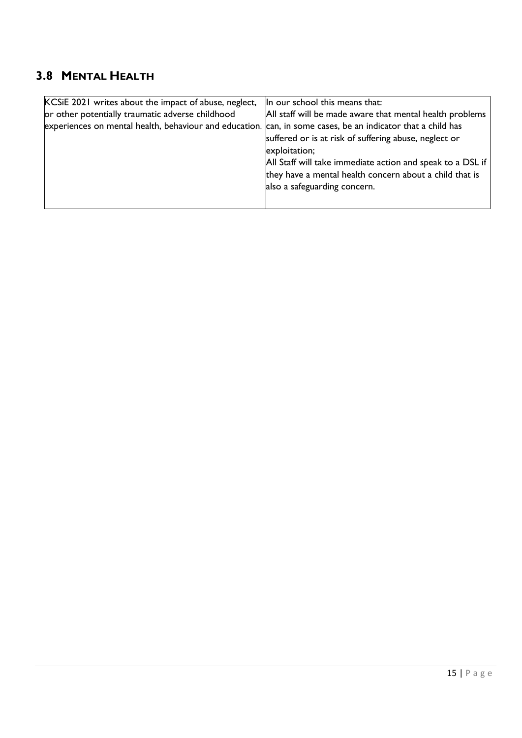#### <span id="page-14-0"></span>**3.8 MENTAL HEALTH**

| KCSiE 2021 writes about the impact of abuse, neglect,  | In our school this means that:                             |
|--------------------------------------------------------|------------------------------------------------------------|
| or other potentially traumatic adverse childhood       | All staff will be made aware that mental health problems   |
| experiences on mental health, behaviour and education. | can, in some cases, be an indicator that a child has       |
|                                                        | suffered or is at risk of suffering abuse, neglect or      |
|                                                        | exploitation;                                              |
|                                                        | All Staff will take immediate action and speak to a DSL if |
|                                                        | they have a mental health concern about a child that is    |
|                                                        | also a safeguarding concern.                               |
|                                                        |                                                            |
|                                                        |                                                            |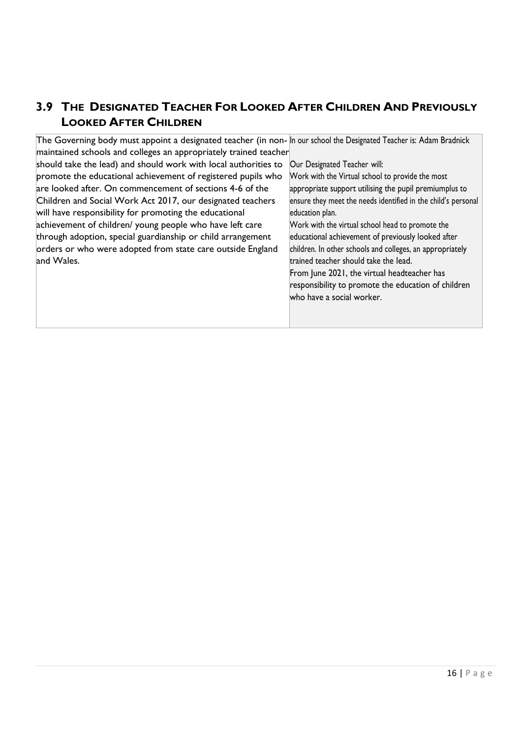#### <span id="page-15-0"></span>**3.9 THE DESIGNATED TEACHER FOR LOOKED AFTER CHILDREN AND PREVIOUSLY LOOKED AFTER CHILDREN**

| The Governing body must appoint a designated teacher (in non-In our school the Designated Teacher is: Adam Bradnick |                                                               |
|---------------------------------------------------------------------------------------------------------------------|---------------------------------------------------------------|
| maintained schools and colleges an appropriately trained teacher                                                    |                                                               |
| should take the lead) and should work with local authorities to                                                     | Our Designated Teacher will:                                  |
| promote the educational achievement of registered pupils who                                                        | Work with the Virtual school to provide the most              |
| are looked after. On commencement of sections 4-6 of the                                                            | appropriate support utilising the pupil premiumplus to        |
| Children and Social Work Act 2017, our designated teachers                                                          | ensure they meet the needs identified in the child's personal |
| will have responsibility for promoting the educational                                                              | education plan.                                               |
| achievement of children/ young people who have left care                                                            | Work with the virtual school head to promote the              |
| through adoption, special guardianship or child arrangement                                                         | educational achievement of previously looked after            |
| orders or who were adopted from state care outside England                                                          | children. In other schools and colleges, an appropriately     |
| and Wales.                                                                                                          | trained teacher should take the lead.                         |
|                                                                                                                     | From June 2021, the virtual headteacher has                   |
|                                                                                                                     | responsibility to promote the education of children           |
|                                                                                                                     | who have a social worker.                                     |
|                                                                                                                     |                                                               |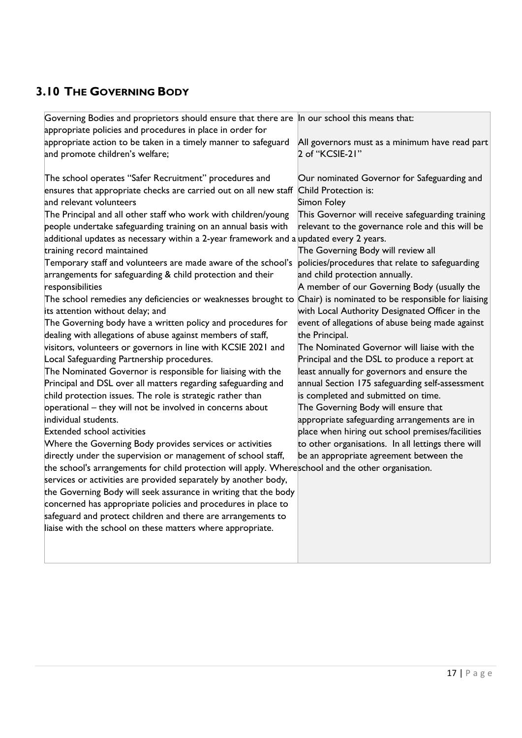## <span id="page-16-0"></span>**3.10 THE GOVERNING BODY**

| Governing Bodies and proprietors should ensure that there are In our school this means that:       |                                                    |
|----------------------------------------------------------------------------------------------------|----------------------------------------------------|
| appropriate policies and procedures in place in order for                                          |                                                    |
| appropriate action to be taken in a timely manner to safeguard                                     | All governors must as a minimum have read part     |
| and promote children's welfare;                                                                    | 2 of "KCSIE-21"                                    |
|                                                                                                    |                                                    |
| The school operates "Safer Recruitment" procedures and                                             | Our nominated Governor for Safeguarding and        |
| ensures that appropriate checks are carried out on all new staff                                   | Child Protection is:                               |
| and relevant volunteers                                                                            | Simon Foley                                        |
| The Principal and all other staff who work with children/young                                     | This Governor will receive safeguarding training   |
| people undertake safeguarding training on an annual basis with                                     | relevant to the governance role and this will be   |
| additional updates as necessary within a 2-year framework and a updated every 2 years.             |                                                    |
| training record maintained                                                                         | The Governing Body will review all                 |
| Temporary staff and volunteers are made aware of the school's                                      | policies/procedures that relate to safeguarding    |
| arrangements for safeguarding & child protection and their                                         | and child protection annually.                     |
| responsibilities                                                                                   | A member of our Governing Body (usually the        |
| The school remedies any deficiencies or weaknesses brought to                                      | Chair) is nominated to be responsible for liaising |
| its attention without delay; and                                                                   | with Local Authority Designated Officer in the     |
| The Governing body have a written policy and procedures for                                        | event of allegations of abuse being made against   |
| dealing with allegations of abuse against members of staff,                                        | the Principal.                                     |
| visitors, volunteers or governors in line with KCSIE 2021 and                                      | The Nominated Governor will liaise with the        |
| Local Safeguarding Partnership procedures.                                                         | Principal and the DSL to produce a report at       |
| The Nominated Governor is responsible for liaising with the                                        | least annually for governors and ensure the        |
| Principal and DSL over all matters regarding safeguarding and                                      | annual Section 175 safeguarding self-assessment    |
| child protection issues. The role is strategic rather than                                         | is completed and submitted on time.                |
| operational - they will not be involved in concerns about                                          | The Governing Body will ensure that                |
| individual students.                                                                               | appropriate safeguarding arrangements are in       |
| <b>Extended school activities</b>                                                                  | place when hiring out school premises/facilities   |
| Where the Governing Body provides services or activities                                           | to other organisations. In all lettings there will |
| directly under the supervision or management of school staff,                                      | be an appropriate agreement between the            |
| the school's arrangements for child protection will apply. Whereschool and the other organisation. |                                                    |
| services or activities are provided separately by another body,                                    |                                                    |
| the Governing Body will seek assurance in writing that the body                                    |                                                    |
| concerned has appropriate policies and procedures in place to                                      |                                                    |
| safeguard and protect children and there are arrangements to                                       |                                                    |
| liaise with the school on these matters where appropriate.                                         |                                                    |
|                                                                                                    |                                                    |
|                                                                                                    |                                                    |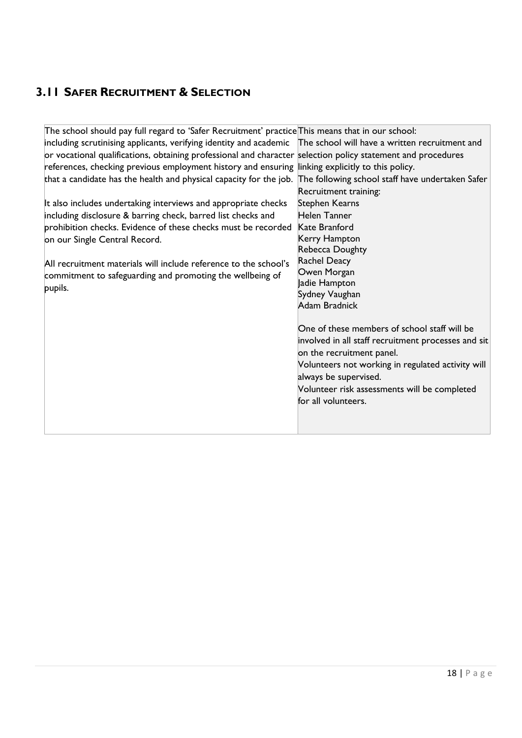#### <span id="page-17-0"></span>**3.11 SAFER RECRUITMENT & SELECTION**

| The school should pay full regard to 'Safer Recruitment' practice This means that in our school:                    |                                                     |
|---------------------------------------------------------------------------------------------------------------------|-----------------------------------------------------|
| including scrutinising applicants, verifying identity and academic The school will have a written recruitment and   |                                                     |
| or vocational qualifications, obtaining professional and character selection policy statement and procedures        |                                                     |
| references, checking previous employment history and ensuring linking explicitly to this policy.                    |                                                     |
| that a candidate has the health and physical capacity for the job. The following school staff have undertaken Safer |                                                     |
|                                                                                                                     | Recruitment training:                               |
| It also includes undertaking interviews and appropriate checks                                                      | <b>Stephen Kearns</b>                               |
| including disclosure & barring check, barred list checks and                                                        | Helen Tanner                                        |
| prohibition checks. Evidence of these checks must be recorded                                                       | Kate Branford                                       |
| on our Single Central Record.                                                                                       | Kerry Hampton                                       |
|                                                                                                                     | Rebecca Doughty                                     |
| All recruitment materials will include reference to the school's                                                    | <b>Rachel Deacy</b>                                 |
| commitment to safeguarding and promoting the wellbeing of                                                           | Owen Morgan                                         |
| pupils.                                                                                                             | Jadie Hampton                                       |
|                                                                                                                     | Sydney Vaughan                                      |
|                                                                                                                     | Adam Bradnick                                       |
|                                                                                                                     |                                                     |
|                                                                                                                     | One of these members of school staff will be        |
|                                                                                                                     | involved in all staff recruitment processes and sit |
|                                                                                                                     | on the recruitment panel.                           |
|                                                                                                                     | Volunteers not working in regulated activity will   |
|                                                                                                                     | always be supervised.                               |
|                                                                                                                     | Volunteer risk assessments will be completed        |
|                                                                                                                     | for all volunteers.                                 |
|                                                                                                                     |                                                     |
|                                                                                                                     |                                                     |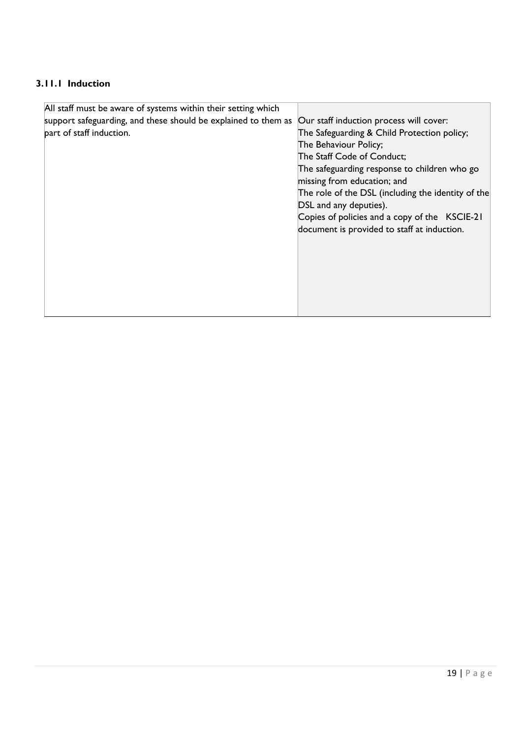#### <span id="page-18-0"></span>**3.11.1 Induction**

| All staff must be aware of systems within their setting which  |                                                    |
|----------------------------------------------------------------|----------------------------------------------------|
| support safeguarding, and these should be explained to them as | Our staff induction process will cover:            |
| part of staff induction.                                       | The Safeguarding & Child Protection policy;        |
|                                                                | The Behaviour Policy;                              |
|                                                                | The Staff Code of Conduct;                         |
|                                                                | The safeguarding response to children who go       |
|                                                                | missing from education; and                        |
|                                                                | The role of the DSL (including the identity of the |
|                                                                | DSL and any deputies).                             |
|                                                                | Copies of policies and a copy of the KSCIE-21      |
|                                                                | document is provided to staff at induction.        |
|                                                                |                                                    |
|                                                                |                                                    |
|                                                                |                                                    |
|                                                                |                                                    |
|                                                                |                                                    |
|                                                                |                                                    |
|                                                                |                                                    |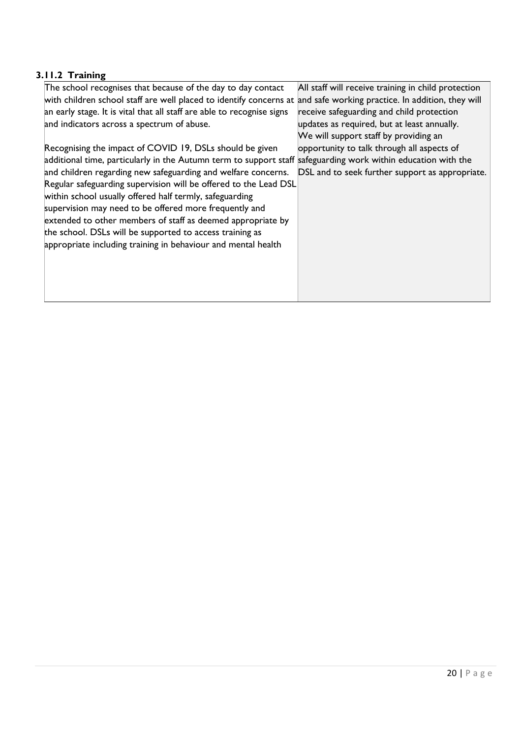#### <span id="page-19-0"></span>**3.11.2 Training**

| The school recognises that because of the day to day contact                                                  | All staff will receive training in child protection |
|---------------------------------------------------------------------------------------------------------------|-----------------------------------------------------|
| with children school staff are well placed to identify concerns at                                            | and safe working practice. In addition, they will   |
| an early stage. It is vital that all staff are able to recognise signs                                        | receive safeguarding and child protection           |
| and indicators across a spectrum of abuse.                                                                    | updates as required, but at least annually.         |
|                                                                                                               | We will support staff by providing an               |
| Recognising the impact of COVID 19, DSLs should be given                                                      | opportunity to talk through all aspects of          |
| additional time, particularly in the Autumn term to support staff safeguarding work within education with the |                                                     |
| and children regarding new safeguarding and welfare concerns.                                                 | DSL and to seek further support as appropriate.     |
| Regular safeguarding supervision will be offered to the Lead DSL                                              |                                                     |
| within school usually offered half termly, safeguarding                                                       |                                                     |
| supervision may need to be offered more frequently and                                                        |                                                     |
| extended to other members of staff as deemed appropriate by                                                   |                                                     |
| the school. DSLs will be supported to access training as                                                      |                                                     |
| appropriate including training in behaviour and mental health                                                 |                                                     |
|                                                                                                               |                                                     |
|                                                                                                               |                                                     |
|                                                                                                               |                                                     |
|                                                                                                               |                                                     |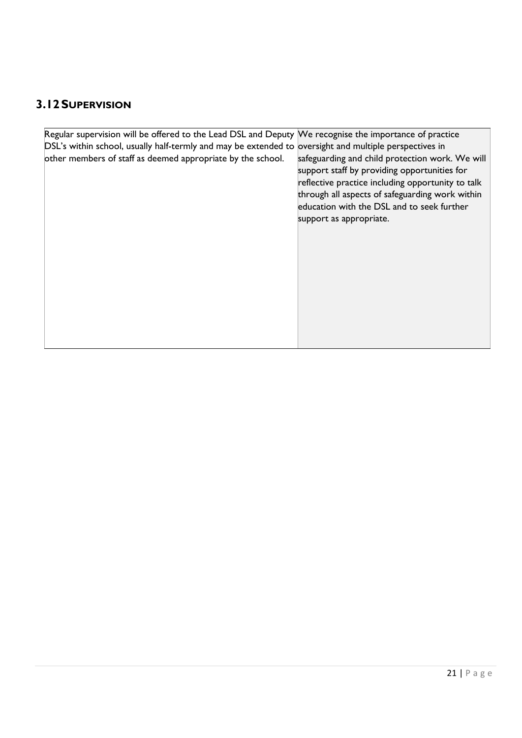## <span id="page-20-0"></span>**3.12SUPERVISION**

| Regular supervision will be offered to the Lead DSL and Deputy We recognise the importance of practice |                                                   |
|--------------------------------------------------------------------------------------------------------|---------------------------------------------------|
|                                                                                                        |                                                   |
| DSL's within school, usually half-termly and may be extended to oversight and multiple perspectives in |                                                   |
| other members of staff as deemed appropriate by the school.                                            | safeguarding and child protection work. We will   |
|                                                                                                        | support staff by providing opportunities for      |
|                                                                                                        | reflective practice including opportunity to talk |
|                                                                                                        | through all aspects of safeguarding work within   |
|                                                                                                        | education with the DSL and to seek further        |
|                                                                                                        |                                                   |
|                                                                                                        | support as appropriate.                           |
|                                                                                                        |                                                   |
|                                                                                                        |                                                   |
|                                                                                                        |                                                   |
|                                                                                                        |                                                   |
|                                                                                                        |                                                   |
|                                                                                                        |                                                   |
|                                                                                                        |                                                   |
|                                                                                                        |                                                   |
|                                                                                                        |                                                   |
|                                                                                                        |                                                   |
|                                                                                                        |                                                   |
|                                                                                                        |                                                   |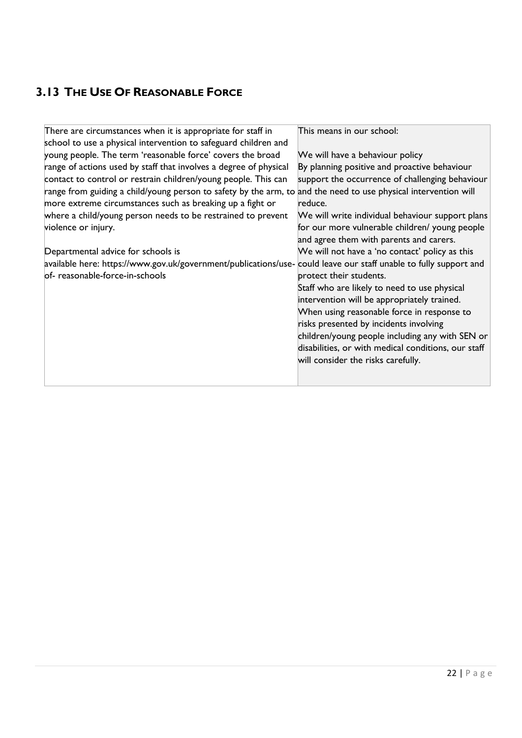## <span id="page-21-0"></span>**3.13 THE USE OF REASONABLE FORCE**

| There are circumstances when it is appropriate for staff in                                                      | This means in our school:                           |
|------------------------------------------------------------------------------------------------------------------|-----------------------------------------------------|
| school to use a physical intervention to safeguard children and                                                  |                                                     |
| young people. The term 'reasonable force' covers the broad                                                       | We will have a behaviour policy                     |
| range of actions used by staff that involves a degree of physical                                                | By planning positive and proactive behaviour        |
| contact to control or restrain children/young people. This can                                                   | support the occurrence of challenging behaviour     |
| range from guiding a child/young person to safety by the arm, to and the need to use physical intervention will  |                                                     |
| more extreme circumstances such as breaking up a fight or                                                        | reduce.                                             |
| where a child/young person needs to be restrained to prevent                                                     | We will write individual behaviour support plans    |
| violence or injury.                                                                                              | for our more vulnerable children/ young people      |
|                                                                                                                  | and agree them with parents and carers.             |
| Departmental advice for schools is                                                                               | We will not have a 'no contact' policy as this      |
| available here: https://www.gov.uk/government/publications/use-could leave our staff unable to fully support and |                                                     |
| of-reasonable-force-in-schools                                                                                   | protect their students.                             |
|                                                                                                                  | Staff who are likely to need to use physical        |
|                                                                                                                  | intervention will be appropriately trained.         |
|                                                                                                                  | When using reasonable force in response to          |
|                                                                                                                  | risks presented by incidents involving              |
|                                                                                                                  | children/young people including any with SEN or     |
|                                                                                                                  | disabilities, or with medical conditions, our staff |
|                                                                                                                  | will consider the risks carefully.                  |
|                                                                                                                  |                                                     |
|                                                                                                                  |                                                     |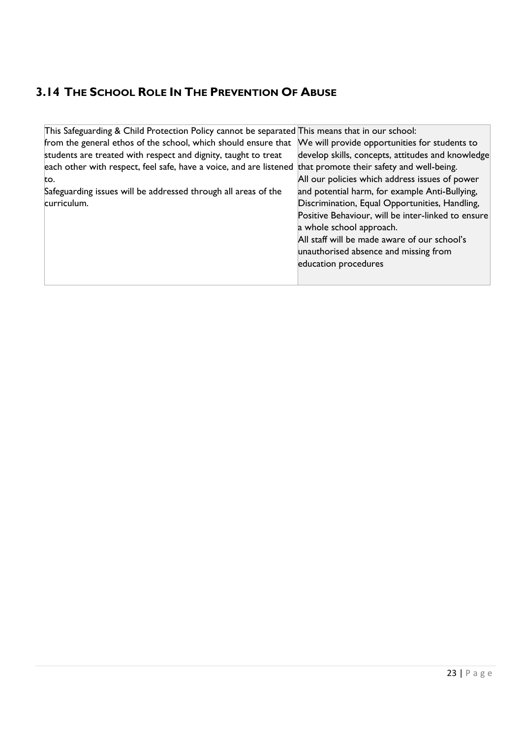#### <span id="page-22-0"></span>**3.14 THE SCHOOL ROLE IN THE PREVENTION OF ABUSE**

| This Safeguarding & Child Protection Policy cannot be separated This means that in our school: |                                                    |
|------------------------------------------------------------------------------------------------|----------------------------------------------------|
| from the general ethos of the school, which should ensure that                                 | We will provide opportunities for students to      |
| students are treated with respect and dignity, taught to treat                                 | develop skills, concepts, attitudes and knowledge  |
| each other with respect, feel safe, have a voice, and are listened                             | that promote their safety and well-being.          |
| to.                                                                                            | All our policies which address issues of power     |
| Safeguarding issues will be addressed through all areas of the                                 | and potential harm, for example Anti-Bullying,     |
| curriculum.                                                                                    | Discrimination, Equal Opportunities, Handling,     |
|                                                                                                | Positive Behaviour, will be inter-linked to ensure |
|                                                                                                | a whole school approach.                           |
|                                                                                                | All staff will be made aware of our school's       |
|                                                                                                | unauthorised absence and missing from              |
|                                                                                                | education procedures                               |
|                                                                                                |                                                    |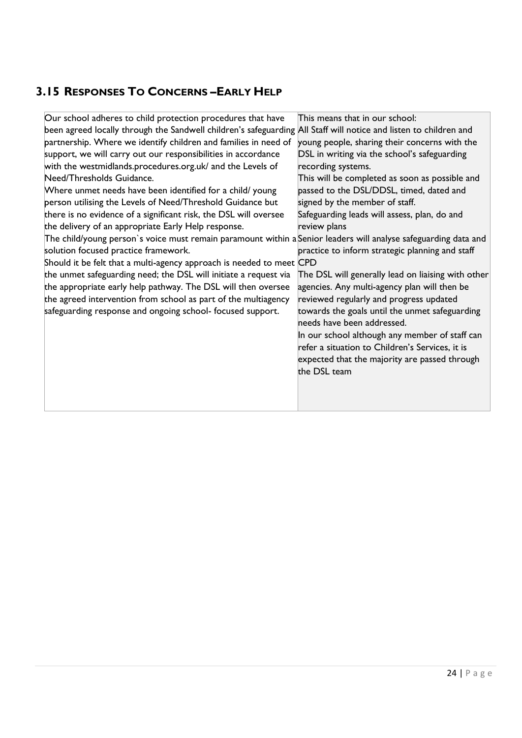#### <span id="page-23-0"></span>**3.15 RESPONSES TO CONCERNS –EARLY HELP**

| Our school adheres to child protection procedures that have                                                       | This means that in our school:                                               |
|-------------------------------------------------------------------------------------------------------------------|------------------------------------------------------------------------------|
| been agreed locally through the Sandwell children's safeguarding All Staff will notice and listen to children and |                                                                              |
| partnership. Where we identify children and families in need of                                                   | young people, sharing their concerns with the                                |
| support, we will carry out our responsibilities in accordance                                                     | DSL in writing via the school's safeguarding                                 |
| with the westmidlands.procedures.org.uk/ and the Levels of                                                        | recording systems.                                                           |
| Need/Thresholds Guidance.                                                                                         | This will be completed as soon as possible and                               |
| Where unmet needs have been identified for a child/young                                                          | passed to the DSL/DDSL, timed, dated and                                     |
| person utilising the Levels of Need/Threshold Guidance but                                                        | signed by the member of staff.                                               |
| there is no evidence of a significant risk, the DSL will oversee                                                  | Safeguarding leads will assess, plan, do and                                 |
| the delivery of an appropriate Early Help response.                                                               | review plans                                                                 |
| The child/young person's voice must remain paramount within a Senior leaders will analyse safeguarding data and   |                                                                              |
| solution focused practice framework.                                                                              | practice to inform strategic planning and staff                              |
| Should it be felt that a multi-agency approach is needed to meet CPD                                              |                                                                              |
| the unmet safeguarding need; the DSL will initiate a request via                                                  | The DSL will generally lead on liaising with other                           |
| the appropriate early help pathway. The DSL will then oversee                                                     | agencies. Any multi-agency plan will then be                                 |
| the agreed intervention from school as part of the multiagency                                                    | reviewed regularly and progress updated                                      |
| safeguarding response and ongoing school- focused support.                                                        | towards the goals until the unmet safeguarding<br>needs have been addressed. |
|                                                                                                                   | In our school although any member of staff can                               |
|                                                                                                                   | refer a situation to Children's Services, it is                              |
|                                                                                                                   | expected that the majority are passed through                                |
|                                                                                                                   | the DSL team                                                                 |
|                                                                                                                   |                                                                              |
|                                                                                                                   |                                                                              |
|                                                                                                                   |                                                                              |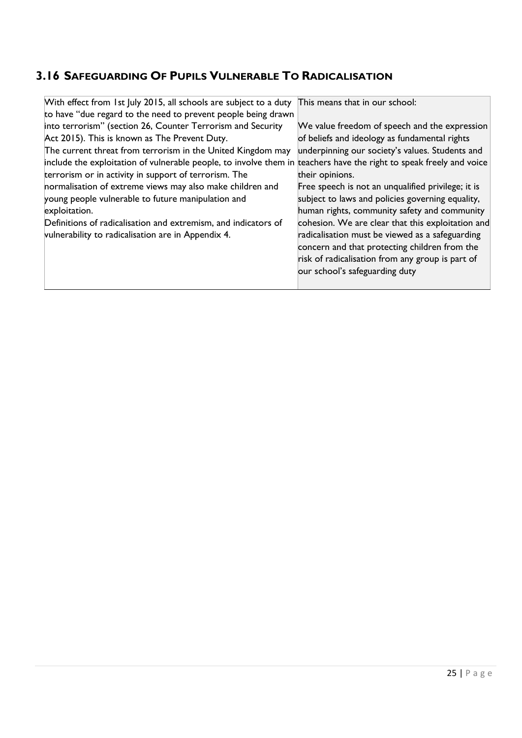## <span id="page-24-0"></span>**3.16 SAFEGUARDING OF PUPILS VULNERABLE TO RADICALISATION**

| With effect from 1st July 2015, all schools are subject to a duty                                                   | This means that in our school:                     |
|---------------------------------------------------------------------------------------------------------------------|----------------------------------------------------|
| to have "due regard to the need to prevent people being drawn                                                       |                                                    |
| into terrorism" (section 26, Counter Terrorism and Security                                                         | We value freedom of speech and the expression      |
| Act 2015). This is known as The Prevent Duty.                                                                       | of beliefs and ideology as fundamental rights      |
| The current threat from terrorism in the United Kingdom may                                                         | underpinning our society's values. Students and    |
| include the exploitation of vulnerable people, to involve them in teachers have the right to speak freely and voice |                                                    |
| terrorism or in activity in support of terrorism. The                                                               | their opinions.                                    |
| normalisation of extreme views may also make children and                                                           | Free speech is not an unqualified privilege; it is |
| young people vulnerable to future manipulation and                                                                  | subject to laws and policies governing equality,   |
| exploitation.                                                                                                       | human rights, community safety and community       |
| Definitions of radicalisation and extremism, and indicators of                                                      | cohesion. We are clear that this exploitation and  |
| vulnerability to radicalisation are in Appendix 4.                                                                  | radicalisation must be viewed as a safeguarding    |
|                                                                                                                     | concern and that protecting children from the      |
|                                                                                                                     | risk of radicalisation from any group is part of   |
|                                                                                                                     | our school's safeguarding duty                     |
|                                                                                                                     |                                                    |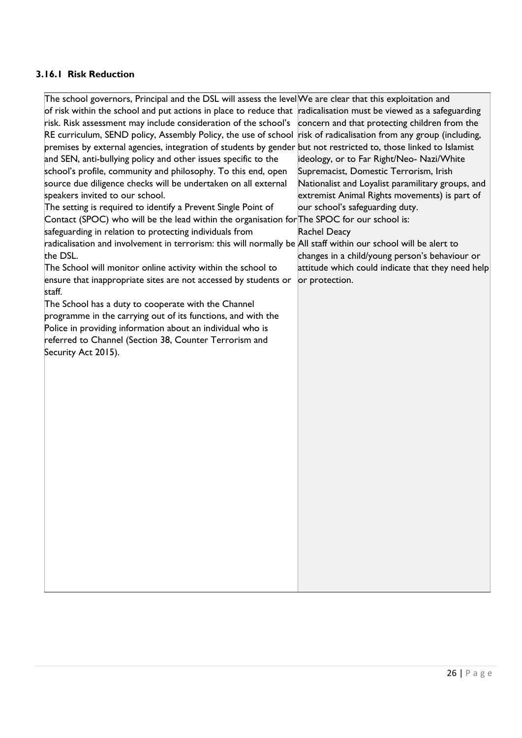#### <span id="page-25-0"></span>**3.16.1 Risk Reduction**

| ensure that inappropriate sites are not accessed by students or<br>or protection.<br>staff.<br>The School has a duty to cooperate with the Channel<br>programme in the carrying out of its functions, and with the<br>Police in providing information about an individual who is<br>referred to Channel (Section 38, Counter Terrorism and<br>Security Act 2015). | The school governors, Principal and the DSL will assess the levelWe are clear that this exploitation and<br>of risk within the school and put actions in place to reduce that radicalisation must be viewed as a safeguarding<br>risk. Risk assessment may include consideration of the school's<br>RE curriculum, SEND policy, Assembly Policy, the use of school risk of radicalisation from any group (including,<br>premises by external agencies, integration of students by gender but not restricted to, those linked to Islamist<br>and SEN, anti-bullying policy and other issues specific to the<br>school's profile, community and philosophy. To this end, open<br>source due diligence checks will be undertaken on all external<br>speakers invited to our school.<br>The setting is required to identify a Prevent Single Point of<br>Contact (SPOC) who will be the lead within the organisation for The SPOC for our school is:<br>safeguarding in relation to protecting individuals from<br>radicalisation and involvement in terrorism: this will normally be All staff within our school will be alert to<br>the DSL.<br>The School will monitor online activity within the school to | concern and that protecting children from the<br>ideology, or to Far Right/Neo- Nazi/White<br>Supremacist, Domestic Terrorism, Irish<br>Nationalist and Loyalist paramilitary groups, and<br>extremist Animal Rights movements) is part of<br>our school's safeguarding duty.<br><b>Rachel Deacy</b><br>changes in a child/young person's behaviour or<br>attitude which could indicate that they need help |
|-------------------------------------------------------------------------------------------------------------------------------------------------------------------------------------------------------------------------------------------------------------------------------------------------------------------------------------------------------------------|------------------------------------------------------------------------------------------------------------------------------------------------------------------------------------------------------------------------------------------------------------------------------------------------------------------------------------------------------------------------------------------------------------------------------------------------------------------------------------------------------------------------------------------------------------------------------------------------------------------------------------------------------------------------------------------------------------------------------------------------------------------------------------------------------------------------------------------------------------------------------------------------------------------------------------------------------------------------------------------------------------------------------------------------------------------------------------------------------------------------------------------------------------------------------------------------------------|-------------------------------------------------------------------------------------------------------------------------------------------------------------------------------------------------------------------------------------------------------------------------------------------------------------------------------------------------------------------------------------------------------------|
|-------------------------------------------------------------------------------------------------------------------------------------------------------------------------------------------------------------------------------------------------------------------------------------------------------------------------------------------------------------------|------------------------------------------------------------------------------------------------------------------------------------------------------------------------------------------------------------------------------------------------------------------------------------------------------------------------------------------------------------------------------------------------------------------------------------------------------------------------------------------------------------------------------------------------------------------------------------------------------------------------------------------------------------------------------------------------------------------------------------------------------------------------------------------------------------------------------------------------------------------------------------------------------------------------------------------------------------------------------------------------------------------------------------------------------------------------------------------------------------------------------------------------------------------------------------------------------------|-------------------------------------------------------------------------------------------------------------------------------------------------------------------------------------------------------------------------------------------------------------------------------------------------------------------------------------------------------------------------------------------------------------|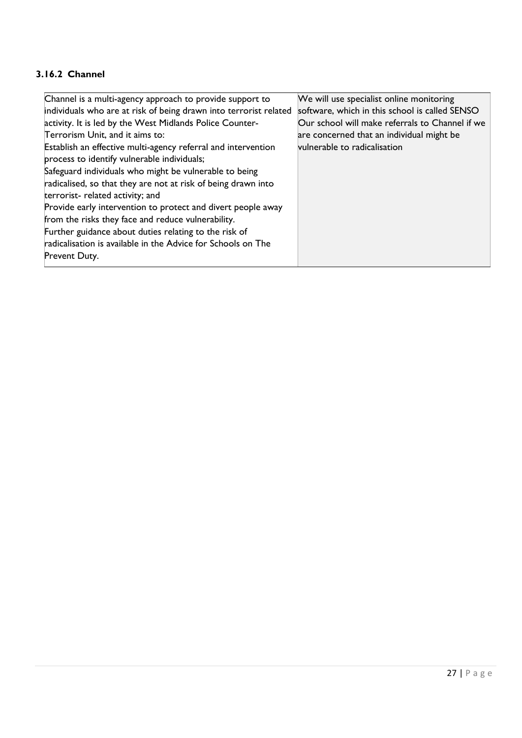#### <span id="page-26-0"></span>**3.16.2 Channel**

| Channel is a multi-agency approach to provide support to          | We will use specialist online monitoring        |
|-------------------------------------------------------------------|-------------------------------------------------|
| individuals who are at risk of being drawn into terrorist related | software, which in this school is called SENSO  |
| activity. It is led by the West Midlands Police Counter-          | Our school will make referrals to Channel if we |
| Terrorism Unit, and it aims to:                                   | are concerned that an individual might be       |
| Establish an effective multi-agency referral and intervention     | vulnerable to radicalisation                    |
| process to identify vulnerable individuals;                       |                                                 |
| Safeguard individuals who might be vulnerable to being            |                                                 |
| radicalised, so that they are not at risk of being drawn into     |                                                 |
| terrorist-related activity; and                                   |                                                 |
| Provide early intervention to protect and divert people away      |                                                 |
| from the risks they face and reduce vulnerability.                |                                                 |
| Further guidance about duties relating to the risk of             |                                                 |
| radicalisation is available in the Advice for Schools on The      |                                                 |
| Prevent Duty.                                                     |                                                 |
|                                                                   |                                                 |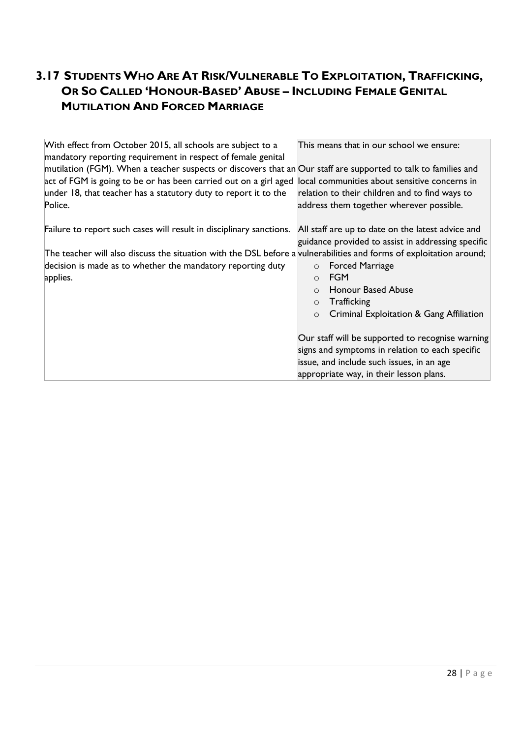#### <span id="page-27-0"></span>**3.17 STUDENTS WHO ARE AT RISK/VULNERABLE TO EXPLOITATION, TRAFFICKING, OR SO CALLED 'HONOUR-BASED' ABUSE – INCLUDING FEMALE GENITAL MUTILATION AND FORCED MARRIAGE**

| With effect from October 2015, all schools are subject to a<br>mandatory reporting requirement in respect of female genital | This means that in our school we ensure:            |
|-----------------------------------------------------------------------------------------------------------------------------|-----------------------------------------------------|
| mutilation (FGM). When a teacher suspects or discovers that an Our staff are supported to talk to families and              |                                                     |
| act of FGM is going to be or has been carried out on a girl aged                                                            | local communities about sensitive concerns in       |
| under 18, that teacher has a statutory duty to report it to the                                                             | relation to their children and to find ways to      |
| Police.                                                                                                                     | address them together wherever possible.            |
|                                                                                                                             |                                                     |
| Failure to report such cases will result in disciplinary sanctions.                                                         | All staff are up to date on the latest advice and   |
|                                                                                                                             | guidance provided to assist in addressing specific  |
| The teacher will also discuss the situation with the DSL before a vulnerabilities and forms of exploitation around;         |                                                     |
| decision is made as to whether the mandatory reporting duty                                                                 | <b>Forced Marriage</b><br>$\circ$                   |
| applies.                                                                                                                    | <b>FGM</b><br>$\Omega$                              |
|                                                                                                                             | Honour Based Abuse<br>$\Omega$                      |
|                                                                                                                             | Trafficking<br>$\circ$                              |
|                                                                                                                             | Criminal Exploitation & Gang Affiliation<br>$\circ$ |
|                                                                                                                             |                                                     |
|                                                                                                                             | Our staff will be supported to recognise warning    |
|                                                                                                                             | signs and symptoms in relation to each specific     |
|                                                                                                                             | issue, and include such issues, in an age           |
|                                                                                                                             | appropriate way, in their lesson plans.             |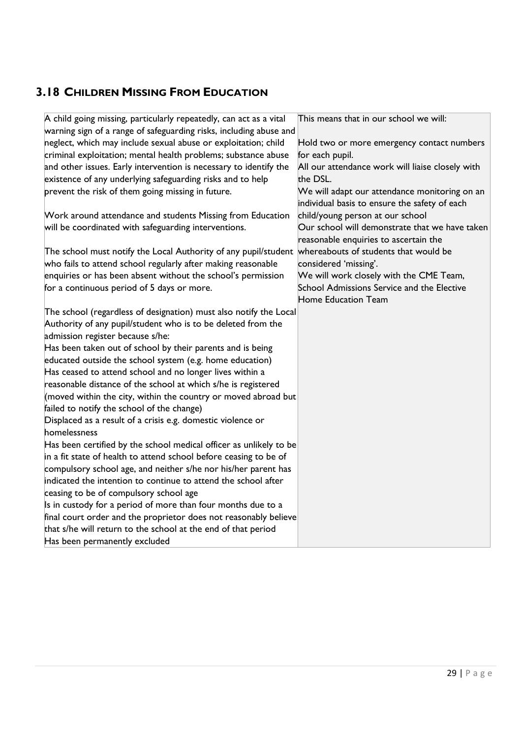#### <span id="page-28-0"></span>**3.18 CHILDREN MISSING FROM EDUCATION**

| A child going missing, particularly repeatedly, can act as a vital | This means that in our school we will:                                                         |
|--------------------------------------------------------------------|------------------------------------------------------------------------------------------------|
| warning sign of a range of safeguarding risks, including abuse and |                                                                                                |
| neglect, which may include sexual abuse or exploitation; child     | Hold two or more emergency contact numbers                                                     |
| criminal exploitation; mental health problems; substance abuse     | for each pupil.                                                                                |
| and other issues. Early intervention is necessary to identify the  | All our attendance work will liaise closely with                                               |
| existence of any underlying safeguarding risks and to help         | the DSL.                                                                                       |
| prevent the risk of them going missing in future.                  | We will adapt our attendance monitoring on an<br>individual basis to ensure the safety of each |
| Work around attendance and students Missing from Education         | child/young person at our school                                                               |
| will be coordinated with safeguarding interventions.               | Our school will demonstrate that we have taken<br>reasonable enquiries to ascertain the        |
| The school must notify the Local Authority of any pupil/student    | whereabouts of students that would be                                                          |
| who fails to attend school regularly after making reasonable       | considered 'missing'.                                                                          |
| enquiries or has been absent without the school's permission       | We will work closely with the CME Team,                                                        |
| for a continuous period of 5 days or more.                         | School Admissions Service and the Elective                                                     |
|                                                                    | Home Education Team                                                                            |
| The school (regardless of designation) must also notify the Local  |                                                                                                |
| Authority of any pupil/student who is to be deleted from the       |                                                                                                |
| admission register because s/he:                                   |                                                                                                |
| Has been taken out of school by their parents and is being         |                                                                                                |
| educated outside the school system (e.g. home education)           |                                                                                                |
| Has ceased to attend school and no longer lives within a           |                                                                                                |
| reasonable distance of the school at which s/he is registered      |                                                                                                |
| (moved within the city, within the country or moved abroad but     |                                                                                                |
| failed to notify the school of the change)                         |                                                                                                |
| Displaced as a result of a crisis e.g. domestic violence or        |                                                                                                |
| homelessness                                                       |                                                                                                |
| Has been certified by the school medical officer as unlikely to be |                                                                                                |
| in a fit state of health to attend school before ceasing to be of  |                                                                                                |
| compulsory school age, and neither s/he nor his/her parent has     |                                                                                                |
| indicated the intention to continue to attend the school after     |                                                                                                |
| ceasing to be of compulsory school age                             |                                                                                                |
| Is in custody for a period of more than four months due to a       |                                                                                                |
| final court order and the proprietor does not reasonably believe   |                                                                                                |
| that s/he will return to the school at the end of that period      |                                                                                                |
| Has been permanently excluded                                      |                                                                                                |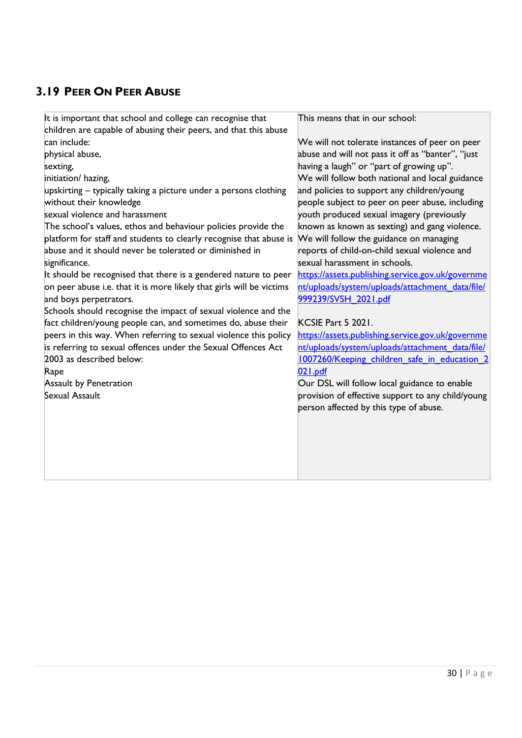## <span id="page-29-0"></span>**3.19 PEER ON PEER ABUSE**

| It is important that school and college can recognise that           | This means that in our school:                    |
|----------------------------------------------------------------------|---------------------------------------------------|
| children are capable of abusing their peers, and that this abuse     |                                                   |
| can include:                                                         | We will not tolerate instances of peer on peer    |
| physical abuse,                                                      | abuse and will not pass it off as "banter", "just |
| sexting,                                                             | having a laugh" or "part of growing up".          |
| initiation/ hazing,                                                  | We will follow both national and local guidance   |
| upskirting – typically taking a picture under a persons clothing     | and policies to support any children/young        |
| without their knowledge                                              | people subject to peer on peer abuse, including   |
| sexual violence and harassment                                       | youth produced sexual imagery (previously         |
| The school's values, ethos and behaviour policies provide the        | known as known as sexting) and gang violence.     |
| platform for staff and students to clearly recognise that abuse is   | We will follow the guidance on managing           |
| abuse and it should never be tolerated or diminished in              | reports of child-on-child sexual violence and     |
| significance.                                                        | sexual harassment in schools.                     |
| It should be recognised that there is a gendered nature to peer      | https://assets.publishing.service.gov.uk/governme |
| on peer abuse i.e. that it is more likely that girls will be victims | nt/uploads/system/uploads/attachment_data/file/   |
| and boys perpetrators.                                               | 999239/SVSH 2021.pdf                              |
| Schools should recognise the impact of sexual violence and the       |                                                   |
| fact children/young people can, and sometimes do, abuse their        | KCSIE Part 5 2021.                                |
| peers in this way. When referring to sexual violence this policy     | https://assets.publishing.service.gov.uk/governme |
| is referring to sexual offences under the Sexual Offences Act        | nt/uploads/system/uploads/attachment data/file/   |
| 2003 as described below:                                             | 1007260/Keeping children safe in education 2      |
| Rape                                                                 | 021.pdf                                           |
| <b>Assault by Penetration</b>                                        | Our DSL will follow local guidance to enable      |
| Sexual Assault                                                       | provision of effective support to any child/young |
|                                                                      | person affected by this type of abuse.            |
|                                                                      |                                                   |
|                                                                      |                                                   |
|                                                                      |                                                   |
|                                                                      |                                                   |
|                                                                      |                                                   |
|                                                                      |                                                   |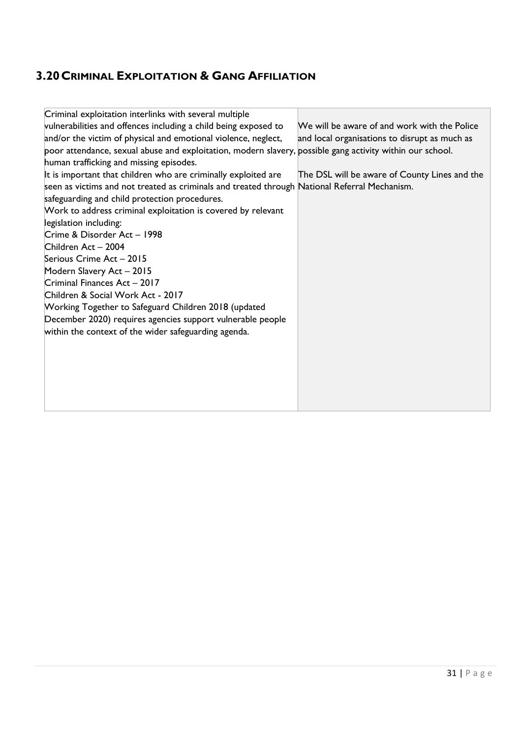## <span id="page-30-0"></span>**3.20CRIMINAL EXPLOITATION & GANG AFFILIATION**

| Criminal exploitation interlinks with several multiple                                                    |                                               |
|-----------------------------------------------------------------------------------------------------------|-----------------------------------------------|
| vulnerabilities and offences including a child being exposed to                                           | We will be aware of and work with the Police  |
| and/or the victim of physical and emotional violence, neglect,                                            | and local organisations to disrupt as much as |
| poor attendance, sexual abuse and exploitation, modern slavery, possible gang activity within our school. |                                               |
| human trafficking and missing episodes.                                                                   |                                               |
| It is important that children who are criminally exploited are                                            | The DSL will be aware of County Lines and the |
| seen as victims and not treated as criminals and treated through National Referral Mechanism.             |                                               |
| safeguarding and child protection procedures.                                                             |                                               |
| Work to address criminal exploitation is covered by relevant                                              |                                               |
| legislation including:                                                                                    |                                               |
| Crime & Disorder Act - 1998                                                                               |                                               |
| Children Act - 2004                                                                                       |                                               |
| Serious Crime Act - 2015                                                                                  |                                               |
| Modern Slavery Act - 2015                                                                                 |                                               |
| Criminal Finances Act - 2017                                                                              |                                               |
| Children & Social Work Act - 2017                                                                         |                                               |
| Working Together to Safeguard Children 2018 (updated                                                      |                                               |
| December 2020) requires agencies support vulnerable people                                                |                                               |
| within the context of the wider safeguarding agenda.                                                      |                                               |
|                                                                                                           |                                               |
|                                                                                                           |                                               |
|                                                                                                           |                                               |
|                                                                                                           |                                               |
|                                                                                                           |                                               |
|                                                                                                           |                                               |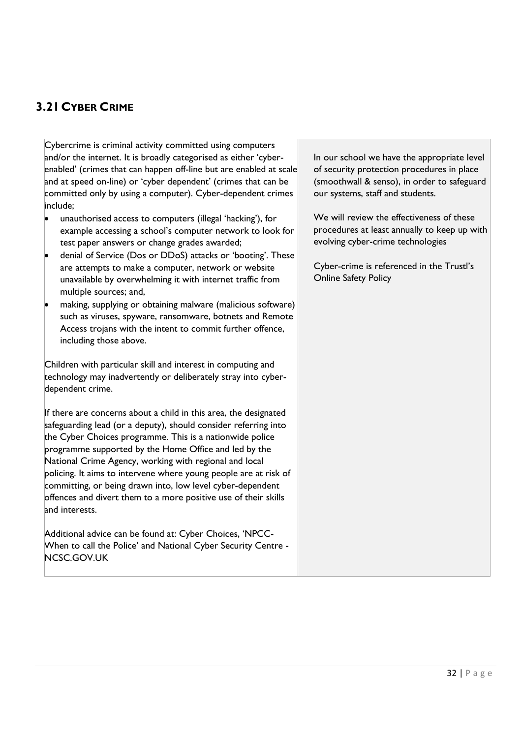#### <span id="page-31-0"></span>**3.21CYBER CRIME**

Cybercrime is criminal activity committed using computers and/or the internet. It is broadly categorised as either 'cyberenabled' (crimes that can happen off-line but are enabled at scale and at speed on-line) or 'cyber dependent' (crimes that can be committed only by using a computer). Cyber-dependent crimes include;

- unauthorised access to computers (illegal 'hacking'), for example accessing a school's computer network to look for test paper answers or change grades awarded;
- denial of Service (Dos or DDoS) attacks or 'booting'. These are attempts to make a computer, network or website unavailable by overwhelming it with internet traffic from multiple sources; and,
- making, supplying or obtaining malware (malicious software) such as viruses, spyware, ransomware, botnets and Remote Access trojans with the intent to commit further offence, including those above.

Children with particular skill and interest in computing and technology may inadvertently or deliberately stray into cyberdependent crime.

If there are concerns about a child in this area, the designated safeguarding lead (or a deputy), should consider referring into the Cyber Choices programme. This is a nationwide police programme supported by the Home Office and led by the National Crime Agency, working with regional and local policing. It aims to intervene where young people are at risk of committing, or being drawn into, low level cyber-dependent offences and divert them to a more positive use of their skills and interests.

Additional advice can be found at: Cyber Choices, 'NPCC-When to call the Police' and National Cyber Security Centre - NCSC.GOV.UK

In our school we have the appropriate level of security protection procedures in place (smoothwall & senso), in order to safeguard our systems, staff and students.

We will review the effectiveness of these procedures at least annually to keep up with evolving cyber-crime technologies

Cyber-crime is referenced in the Trustl's Online Safety Policy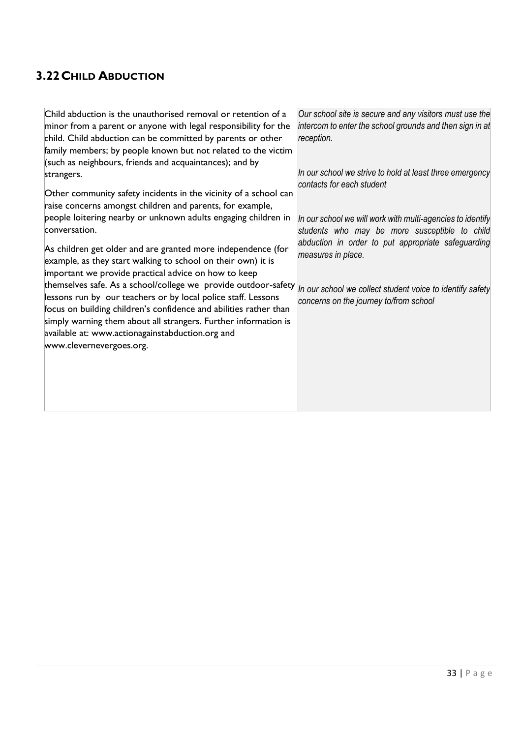## <span id="page-32-0"></span>**3.22CHILD ABDUCTION**

| Child abduction is the unauthorised removal or retention of a     | Our school site is secure and any visitors must use the    |
|-------------------------------------------------------------------|------------------------------------------------------------|
| minor from a parent or anyone with legal responsibility for the   | intercom to enter the school grounds and then sign in at   |
| child. Child abduction can be committed by parents or other       | reception.                                                 |
| family members; by people known but not related to the victim     |                                                            |
| (such as neighbours, friends and acquaintances); and by           |                                                            |
| strangers.                                                        | In our school we strive to hold at least three emergency   |
|                                                                   | contacts for each student                                  |
| Other community safety incidents in the vicinity of a school can  |                                                            |
| raise concerns amongst children and parents, for example,         |                                                            |
| people loitering nearby or unknown adults engaging children in    | In our school we will work with multi-agencies to identify |
| conversation.                                                     | students who may be more susceptible to child              |
| As children get older and are granted more independence (for      | abduction in order to put appropriate safeguarding         |
| example, as they start walking to school on their own) it is      | measures in place.                                         |
|                                                                   |                                                            |
| important we provide practical advice on how to keep              |                                                            |
| themselves safe. As a school/college we provide outdoor-safety    | In our school we collect student voice to identify safety  |
| lessons run by our teachers or by local police staff. Lessons     | concerns on the journey to/from school                     |
| focus on building children's confidence and abilities rather than |                                                            |
| simply warning them about all strangers. Further information is   |                                                            |
| available at: www.actionagainstabduction.org and                  |                                                            |
| www.clevernevergoes.org.                                          |                                                            |
|                                                                   |                                                            |
|                                                                   |                                                            |
|                                                                   |                                                            |
|                                                                   |                                                            |
|                                                                   |                                                            |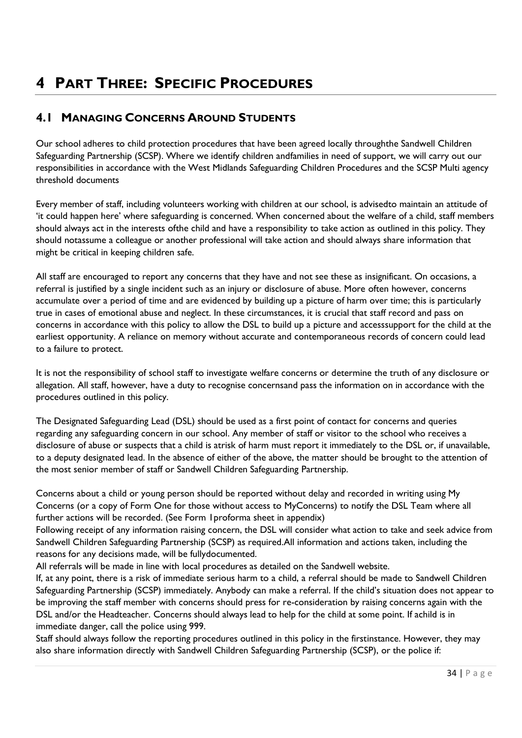# <span id="page-33-0"></span>**4 PART THREE: SPECIFIC PROCEDURES**

#### <span id="page-33-1"></span>**4.1 MANAGING CONCERNS AROUND STUDENTS**

Our school adheres to child protection procedures that have been agreed locally throughthe Sandwell Children Safeguarding Partnership (SCSP). Where we identify children andfamilies in need of support, we will carry out our responsibilities in accordance with the West Midlands Safeguarding Children Procedures and the [SCSP Multi agency](http://westmidlands.procedures.org.uk/assets/clients/6/SCSP%20Multi%20Agency%20Thresholds%20Guidance%20Published%20June%202020.pdf)  [threshold](http://westmidlands.procedures.org.uk/assets/clients/6/SCSP%20Multi%20Agency%20Thresholds%20Guidance%20Published%20June%202020.pdf) [documents](http://westmidlands.procedures.org.uk/assets/clients/6/SCSP%20Multi%20Agency%20Thresholds%20Guidance%20Published%20June%202020.pdf)

Every member of staff, including volunteers working with children at our school, is advisedto maintain an attitude of 'it could happen here' where safeguarding is concerned. When concerned about the welfare of a child, staff members should always act in the interests ofthe child and have a responsibility to take action as outlined in this policy. They should notassume a colleague or another professional will take action and should always share information that might be critical in keeping children safe.

All staff are encouraged to report any concerns that they have and not see these as insignificant. On occasions, a referral is justified by a single incident such as an injury or disclosure of abuse. More often however, concerns accumulate over a period of time and are evidenced by building up a picture of harm over time; this is particularly true in cases of emotional abuse and neglect. In these circumstances, it is crucial that staff record and pass on concerns in accordance with this policy to allow the DSL to build up a picture and accesssupport for the child at the earliest opportunity. A reliance on memory without accurate and contemporaneous records of concern could lead to a failure to protect.

It is not the responsibility of school staff to investigate welfare concerns or determine the truth of any disclosure or allegation. All staff, however, have a duty to recognise concernsand pass the information on in accordance with the procedures outlined in this policy.

The Designated Safeguarding Lead (DSL) should be used as a first point of contact for concerns and queries regarding any safeguarding concern in our school. Any member of staff or visitor to the school who receives a disclosure of abuse or suspects that a child is atrisk of harm must report it immediately to the DSL or, if unavailable, to a deputy designated lead. In the absence of either of the above, the matter should be brought to the attention of the most senior member of staff or Sandwell Children Safeguarding Partnership.

Concerns about a child or young person should be reported without delay and recorded in writing using My Concerns (or a copy of Form One for those without access to MyConcerns) to notify the DSL Team where all further actions will be recorded. (See Form 1proforma sheet in appendix)

Following receipt of any information raising concern, the DSL will consider what action to take and seek advice from Sandwell Children Safeguarding Partnership (SCSP) as required.All information and actions taken, including the reasons for any decisions made, will be fullydocumented.

All referrals will be made in line with local procedures as detailed on the Sandwell website.

If, at any point, there is a risk of immediate serious harm to a child, a referral should be made to Sandwell Children Safeguarding Partnership (SCSP) immediately. Anybody can make a referral. If the child's situation does not appear to be improving the staff member with concerns should press for re-consideration by raising concerns again with the DSL and/or the Headteacher. Concerns should always lead to help for the child at some point. If achild is in immediate danger, call the police using 999.

Staff should always follow the reporting procedures outlined in this policy in the firstinstance. However, they may also share information directly with Sandwell Children Safeguarding Partnership (SCSP), or the police if: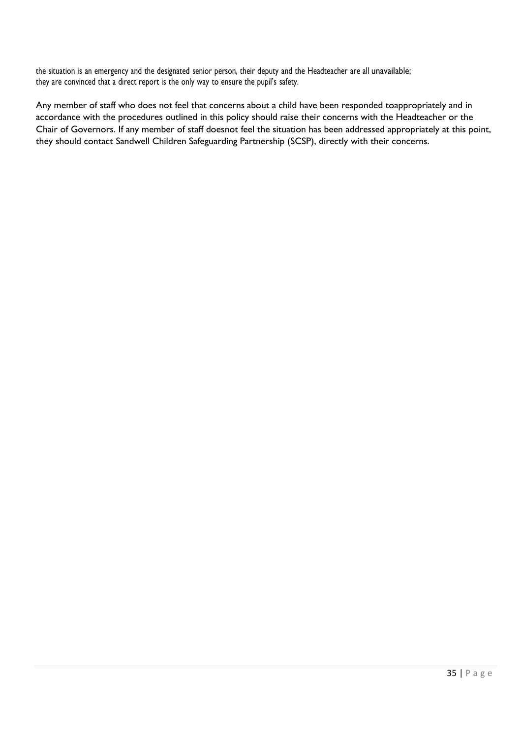the situation is an emergency and the designated senior person, their deputy and the Headteacher are all unavailable; they are convinced that a direct report is the only way to ensure the pupil's safety.

Any member of staff who does not feel that concerns about a child have been responded toappropriately and in accordance with the procedures outlined in this policy should raise their concerns with the Headteacher or the Chair of Governors. If any member of staff doesnot feel the situation has been addressed appropriately at this point, they should contact Sandwell Children Safeguarding Partnership (SCSP), directly with their concerns.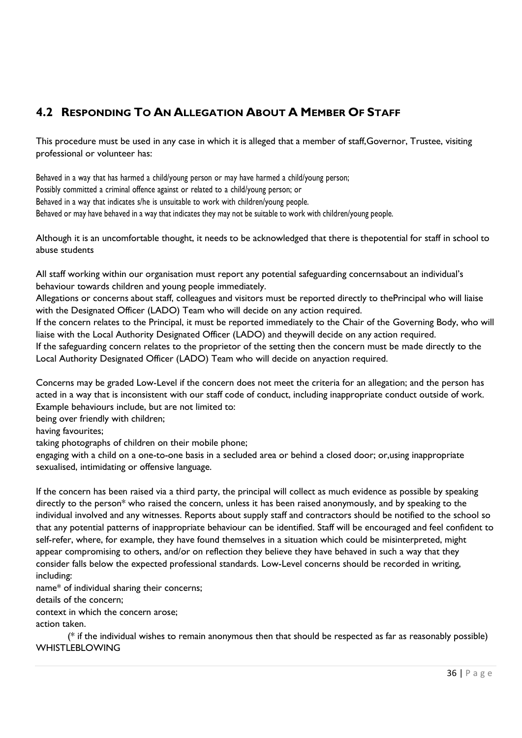#### <span id="page-35-0"></span>**4.2 RESPONDING TO AN ALLEGATION ABOUT A MEMBER OF STAFF**

This procedure must be used in any case in which it is alleged that a member of staff,Governor, Trustee, visiting professional or volunteer has:

Behaved in a way that has harmed a child/young person or may have harmed a child/young person; Possibly committed a criminal offence against or related to a child/young person; or Behaved in a way that indicates s/he is unsuitable to work with children/young people. Behaved or may have behaved in a way that indicates they may not be suitable to work with children/young people.

Although it is an uncomfortable thought, it needs to be acknowledged that there is thepotential for staff in school to abuse students

All staff working within our organisation must report any potential safeguarding concernsabout an individual's behaviour towards children and young people immediately.

Allegations or concerns about staff, colleagues and visitors must be reported directly to thePrincipal who will liaise with the Designated Officer (LADO) Team who will decide on any action required.

If the concern relates to the Principal, it must be reported immediately to the Chair of the Governing Body, who will liaise with the Local Authority Designated Officer (LADO) and theywill decide on any action required. If the safeguarding concern relates to the proprietor of the setting then the concern must be made directly to the

Local Authority Designated Officer (LADO) Team who will decide on anyaction required.

Concerns may be graded Low-Level if the concern does not meet the criteria for an allegation; and the person has acted in a way that is inconsistent with our staff code of conduct, including inappropriate conduct outside of work. Example behaviours include, but are not limited to:

being over friendly with children;

having favourites;

taking photographs of children on their mobile phone;

engaging with a child on a one-to-one basis in a secluded area or behind a closed door; or,using inappropriate sexualised, intimidating or offensive language.

If the concern has been raised via a third party, the principal will collect as much evidence as possible by speaking directly to the person\* who raised the concern, unless it has been raised anonymously, and by speaking to the individual involved and any witnesses. Reports about supply staff and contractors should be notified to the school so that any potential patterns of inappropriate behaviour can be identified. Staff will be encouraged and feel confident to self-refer, where, for example, they have found themselves in a situation which could be misinterpreted, might appear compromising to others, and/or on reflection they believe they have behaved in such a way that they consider falls below the expected professional standards. Low-Level concerns should be recorded in writing, including:

name\* of individual sharing their concerns;

details of the concern;

context in which the concern arose;

action taken.

(\* if the individual wishes to remain anonymous then that should be respected as far as reasonably possible) WHISTLEBLOWING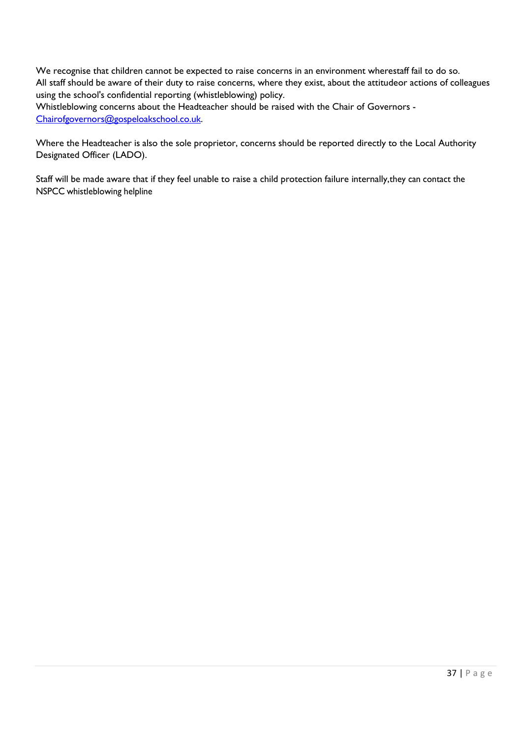We recognise that children cannot be expected to raise concerns in an environment wherestaff fail to do so. All staff should be aware of their duty to raise concerns, where they exist, about the attitudeor actions of colleagues using the school's confidential reporting (whistleblowing) policy.

Whistleblowing concerns about the Headteacher should be raised with the Chair of Governors - [Chairofgovernors@gospeloakschool.co.uk.](mailto:Chairofgovernors@gospeloakschool.co.uk)

Where the Headteacher is also the sole proprietor, concerns should be reported directly to the Local Authority Designated Officer (LADO).

Staff will be made aware that if they feel unable to raise a child protection failure internally,they can contact the NSPCC [whistleblowing](https://www.nspcc.org.uk/what-you-can-do/report-abuse/dedicated-helplines/whistleblowing-advice-line/) helpline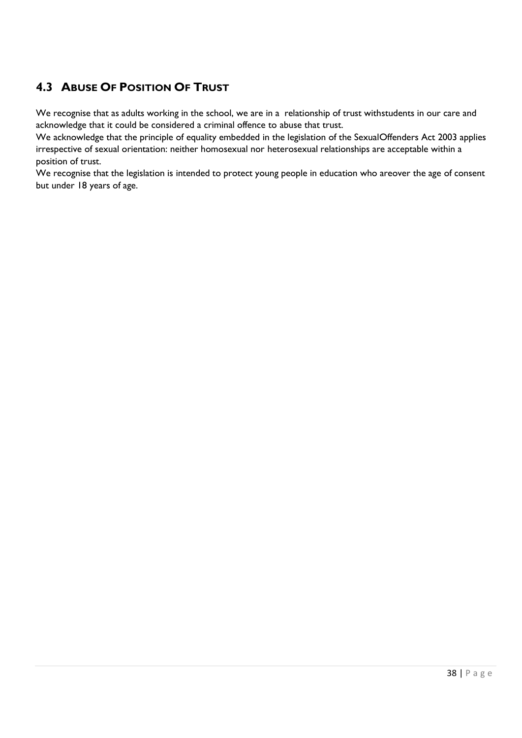# **4.3 ABUSE OF POSITION OF TRUST**

We recognise that as adults working in the school, we are in a relationship of trust withstudents in our care and acknowledge that it could be considered a criminal offence to abuse that trust.

We acknowledge that the principle of equality embedded in the legislation of the SexualOffenders Act 2003 applies irrespective of sexual orientation: neither homosexual nor heterosexual relationships are acceptable within a position of trust.

We recognise that the legislation is intended to protect young people in education who areover the age of consent but under 18 years of age.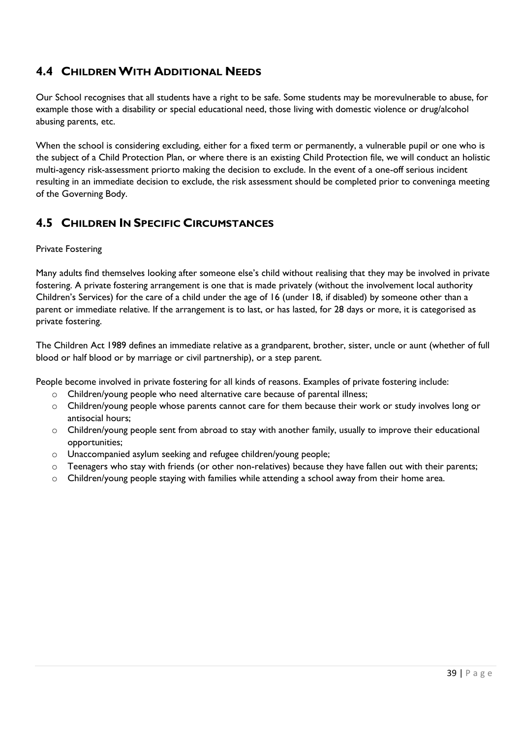# **4.4 CHILDRENWITH ADDITIONAL NEEDS**

Our School recognises that all students have a right to be safe. Some students may be morevulnerable to abuse, for example those with a disability or special educational need, those living with domestic violence or drug/alcohol abusing parents, etc.

When the school is considering excluding, either for a fixed term or permanently, a vulnerable pupil or one who is the subject of a Child Protection Plan, or where there is an existing Child Protection file, we will conduct an holistic multi-agency risk-assessment priorto making the decision to exclude. In the event of a one-off serious incident resulting in an immediate decision to exclude, the risk assessment should be completed prior to conveninga meeting of the Governing Body.

# **4.5 CHILDREN IN SPECIFIC CIRCUMSTANCES**

### Private Fostering

Many adults find themselves looking after someone else's child without realising that they may be involved in private fostering. A private fostering arrangement is one that is made privately (without the involvement local authority Children's Services) for the care of a child under the age of 16 (under 18, if disabled) by someone other than a parent or immediate relative. If the arrangement is to last, or has lasted, for 28 days or more, it is categorised as private fostering.

The Children Act 1989 defines an immediate relative as a grandparent, brother, sister, uncle or aunt (whether of full blood or half blood or by marriage or civil partnership), or a step parent.

People become involved in private fostering for all kinds of reasons. Examples of private fostering include:

- o Children/young people who need alternative care because of parental illness;
- o Children/young people whose parents cannot care for them because their work or study involves long or antisocial hours;
- $\circ$  Children/young people sent from abroad to stay with another family, usually to improve their educational opportunities;
- o Unaccompanied asylum seeking and refugee children/young people;
- o Teenagers who stay with friends (or other non-relatives) because they have fallen out with their parents;
- $\circ$  Children/young people staying with families while attending a school away from their home area.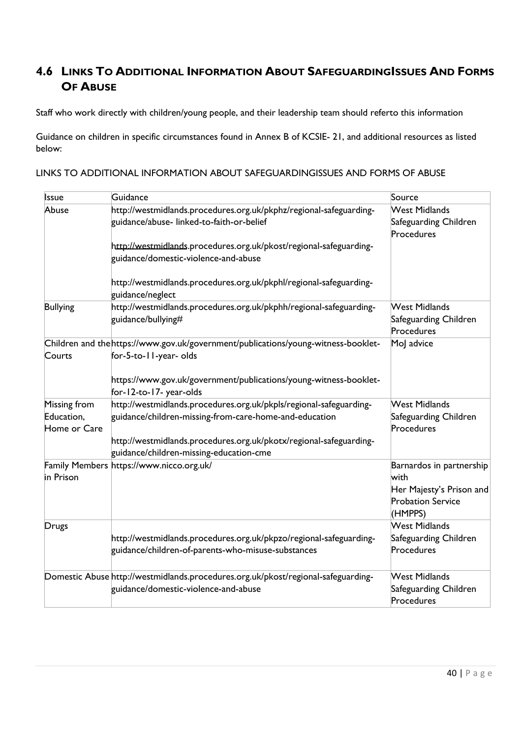# **4.6 LINKS TO ADDITIONAL INFORMATION ABOUT SAFEGUARDINGISSUES AND FORMS OF ABUSE**

Staff who work directly with children/young people, and their leadership team should referto this information

Guidance on children in specific circumstances found in Annex B of KCSIE- 21, and additional resources as listed below:

|  | LINKS TO ADDITIONAL INFORMATION ABOUT SAFEGUARDINGISSUES AND FORMS OF ABUSE |  |
|--|-----------------------------------------------------------------------------|--|
|  |                                                                             |  |

| Issue                                      | Guidance                                                                                                                                                                                                                                      | Source                                                                                              |
|--------------------------------------------|-----------------------------------------------------------------------------------------------------------------------------------------------------------------------------------------------------------------------------------------------|-----------------------------------------------------------------------------------------------------|
| Abuse                                      | http://westmidlands.procedures.org.uk/pkphz/regional-safeguarding-<br>guidance/abuse- linked-to-faith-or-belief<br>http://westmidlands.procedures.org.uk/pkost/regional-safeguarding-<br>guidance/domestic-violence-and-abuse                 | <b>West Midlands</b><br>Safeguarding Children<br>Procedures                                         |
|                                            | http://westmidlands.procedures.org.uk/pkphl/regional-safeguarding-<br>guidance/neglect                                                                                                                                                        |                                                                                                     |
| <b>Bullying</b>                            | http://westmidlands.procedures.org.uk/pkphh/regional-safeguarding-<br>guidance/bullying#                                                                                                                                                      | West Midlands<br>Safeguarding Children<br>Procedures                                                |
| Courts                                     | Children and the https://www.gov.uk/government/publications/young-witness-booklet-<br>for-5-to-11-year-olds                                                                                                                                   | MoJ advice                                                                                          |
|                                            | https://www.gov.uk/government/publications/young-witness-booklet-<br>for-12-to-17-year-olds                                                                                                                                                   |                                                                                                     |
| Missing from<br>Education,<br>Home or Care | http://westmidlands.procedures.org.uk/pkpls/regional-safeguarding-<br>guidance/children-missing-from-care-home-and-education<br>http://westmidlands.procedures.org.uk/pkotx/regional-safeguarding-<br>guidance/children-missing-education-cme | <b>West Midlands</b><br>Safeguarding Children<br>Procedures                                         |
| in Prison                                  | Family Members https://www.nicco.org.uk/                                                                                                                                                                                                      | Barnardos in partnership<br>with<br>Her Majesty's Prison and<br><b>Probation Service</b><br>(HMPPS) |
| Drugs                                      | http://westmidlands.procedures.org.uk/pkpzo/regional-safeguarding-<br>guidance/children-of-parents-who-misuse-substances                                                                                                                      | <b>West Midlands</b><br>Safeguarding Children<br>Procedures                                         |
|                                            | Domestic Abuse http://westmidlands.procedures.org.uk/pkost/regional-safeguarding-<br>guidance/domestic-violence-and-abuse                                                                                                                     | <b>West Midlands</b><br>Safeguarding Children<br>Procedures                                         |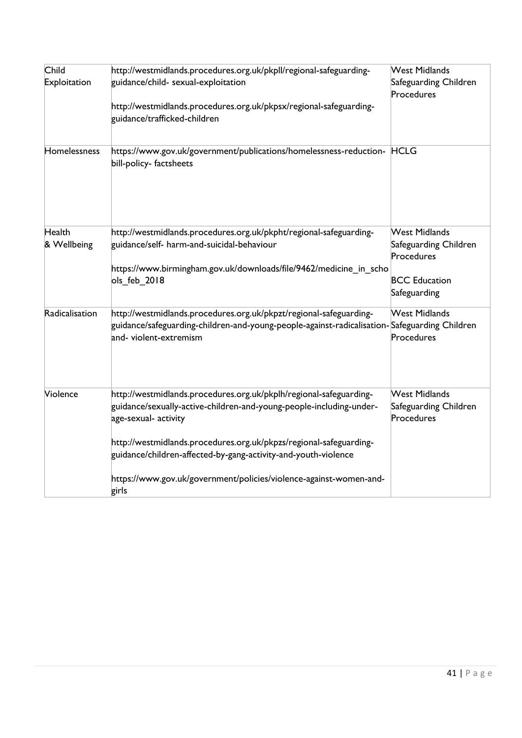| Child<br>Exploitation | http://westmidlands.procedures.org.uk/pkpll/regional-safeguarding-<br>guidance/child- sexual-exploitation<br>http://westmidlands.procedures.org.uk/pkpsx/regional-safeguarding-<br>guidance/trafficked-children                                                                                                                                                                          | <b>West Midlands</b><br>Safeguarding Children<br>Procedures                                         |
|-----------------------|------------------------------------------------------------------------------------------------------------------------------------------------------------------------------------------------------------------------------------------------------------------------------------------------------------------------------------------------------------------------------------------|-----------------------------------------------------------------------------------------------------|
| Homelessness          | https://www.gov.uk/government/publications/homelessness-reduction- HCLG<br>bill-policy-factsheets                                                                                                                                                                                                                                                                                        |                                                                                                     |
| Health<br>& Wellbeing | http://westmidlands.procedures.org.uk/pkpht/regional-safeguarding-<br>guidance/self- harm-and-suicidal-behaviour<br>https://www.birmingham.gov.uk/downloads/file/9462/medicine_in_scho<br>ols_feb_2018                                                                                                                                                                                   | <b>West Midlands</b><br>Safeguarding Children<br>Procedures<br><b>BCC Education</b><br>Safeguarding |
| Radicalisation        | http://westmidlands.procedures.org.uk/pkpzt/regional-safeguarding-<br>guidance/safeguarding-children-and-young-people-against-radicalisation-Safeguarding Children<br>and-violent-extremism                                                                                                                                                                                              | <b>West Midlands</b><br>Procedures                                                                  |
| Violence              | http://westmidlands.procedures.org.uk/pkplh/regional-safeguarding-<br>guidance/sexually-active-children-and-young-people-including-under-<br>age-sexual- activity<br>http://westmidlands.procedures.org.uk/pkpzs/regional-safeguarding-<br>guidance/children-affected-by-gang-activity-and-youth-violence<br>https://www.gov.uk/government/policies/violence-against-women-and-<br>girls | <b>West Midlands</b><br>Safeguarding Children<br>Procedures                                         |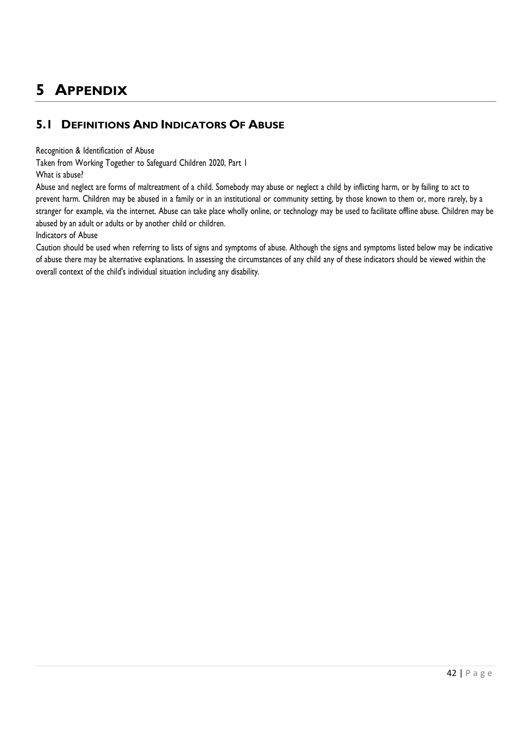# **5 APPENDIX**

# **5.1 DEFINITIONS AND INDICATORS OF ABUSE**

Recognition & Identification of Abuse

Taken from Working Together to Safeguard Children 2020, Part 1

What is abuse?

Abuse and neglect are forms of maltreatment of a child. Somebody may abuse or neglect a child by inflicting harm, or by failing to act to prevent harm. Children may be abused in a family or in an institutional or community setting, by those known to them or, more rarely, by a stranger for example, via the internet. Abuse can take place wholly online, or technology may be used to facilitate offline abuse. Children may be abused by an adult or adults or by another child or children.

Indicators of Abuse

Caution should be used when referring to lists of signs and symptoms of abuse. Although the signs and symptoms listed below may be indicative of abuse there may be alternative explanations. In assessing the circumstances of any child any of these indicators should be viewed within the overall context of the child's individual situation including any disability.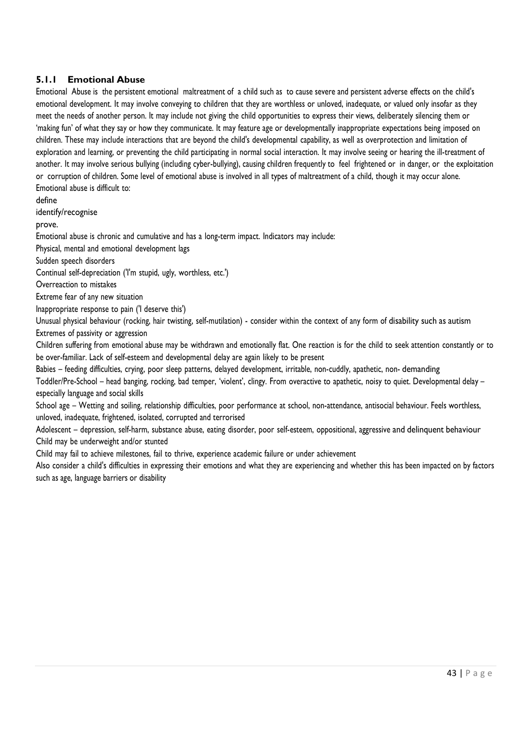### **5.1.1 Emotional Abuse**

Emotional Abuse is the persistent emotional maltreatment of a child such as to cause severe and persistent adverse effects on the child's emotional development. It may involve conveying to children that they are worthless or unloved, inadequate, or valued only insofar as they meet the needs of another person. It may include not giving the child opportunities to express their views, deliberately silencing them or 'making fun' of what they say or how they communicate. It may feature age or developmentally inappropriate expectations being imposed on children. These may include interactions that are beyond the child's developmental capability, as well as overprotection and limitation of exploration and learning, or preventing the child participating in normal social interaction. It may involve seeing or hearing the ill-treatment of another. It may involve serious bullying (including cyber-bullying), causing children frequently to feel frightened or in danger, or the exploitation or corruption of children. Some level of emotional abuse is involved in all types of maltreatment of a child, though it may occur alone. Emotional abuse is difficult to:

define

identify/recognise

prove.

Emotional abuse is chronic and cumulative and has a long-term impact. Indicators may include:

Physical, mental and emotional development lags

Sudden speech disorders

Continual self-depreciation ('I'm stupid, ugly, worthless, etc.')

Overreaction to mistakes

Extreme fear of any new situation

Inappropriate response to pain ('I deserve this')

Unusual physical behaviour (rocking, hair twisting, self-mutilation) - consider within the context of any form of disability such as autism Extremes of passivity or aggression

Children suffering from emotional abuse may be withdrawn and emotionally flat. One reaction is for the child to seek attention constantly or to be over-familiar. Lack of self-esteem and developmental delay are again likely to be present

Babies – feeding difficulties, crying, poor sleep patterns, delayed development, irritable, non-cuddly, apathetic, non- demanding

Toddler/Pre-School – head banging, rocking, bad temper, 'violent', clingy. From overactive to apathetic, noisy to quiet. Developmental delay – especially language and social skills

School age – Wetting and soiling, relationship difficulties, poor performance at school, non-attendance, antisocial behaviour. Feels worthless, unloved, inadequate, frightened, isolated, corrupted and terrorised

Adolescent – depression, self-harm, substance abuse, eating disorder, poor self-esteem, oppositional, aggressive and delinquent behaviour Child may be underweight and/or stunted

Child may fail to achieve milestones, fail to thrive, experience academic failure or under achievement

Also consider a child's difficulties in expressing their emotions and what they are experiencing and whether this has been impacted on by factors such as age, language barriers or disability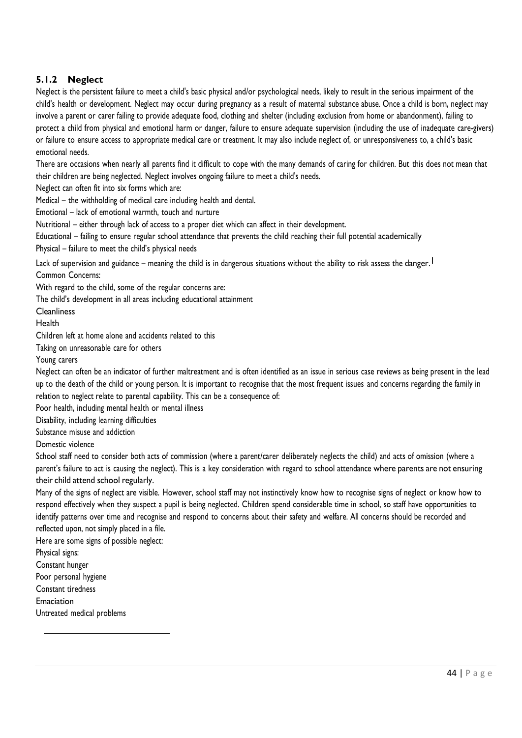### **5.1.2 Neglect**

Neglect is the persistent failure to meet a child's basic physical and/or psychological needs, likely to result in the serious impairment of the child's health or development. Neglect may occur during pregnancy as a result of maternal substance abuse. Once a child is born, neglect may involve a parent or carer failing to provide adequate food, clothing and shelter (including exclusion from home or abandonment), failing to protect a child from physical and emotional harm or danger, failure to ensure adequate supervision (including the use of inadequate care-givers) or failure to ensure access to appropriate medical care or treatment. It may also include neglect of, or unresponsiveness to, a child's basic emotional needs.

There are occasions when nearly all parents find it difficult to cope with the many demands of caring for children. But this does not mean that their children are being neglected. Neglect involves ongoing failure to meet a child's needs.

Neglect can often fit into six forms which are:

Medical – the withholding of medical care including health and dental.

Emotional – lack of emotional warmth, touch and nurture

Nutritional – either through lack of access to a proper diet which can affect in their development.

Educational – failing to ensure regular school attendance that prevents the child reaching their full potential academically Physical – failure to meet the child's physical needs

Lack of supervision and guidance – meaning the child is in dangerous situations without the ability to risk assess the danger.<sup>1</sup> Common Concerns:

With regard to the child, some of the regular concerns are:

The child's development in all areas including educational attainment

**Cleanliness** 

Health

Children left at home alone and accidents related to this

Taking on unreasonable care for others

Young carers

Neglect can often be an indicator of further maltreatment and is often identified as an issue in serious case reviews as being present in the lead up to the death of the child or young person. It is important to recognise that the most frequent issues and concerns regarding the family in relation to neglect relate to parental capability. This can be a consequence of:

Poor health, including mental health or mental illness

Disability, including learning difficulties

Substance misuse and addiction

Domestic violence

School staff need to consider both acts of commission (where a parent/carer deliberately neglects the child) and acts of omission (where a parent's failure to act is causing the neglect). This is a key consideration with regard to school attendance where parents are not ensuring their child attend school regularly.

Many of the signs of neglect are visible. However, school staff may not instinctively know how to recognise signs of neglect or know how to respond effectively when they suspect a pupil is being neglected. Children spend considerable time in school, so staff have opportunities to identify patterns over time and recognise and respond to concerns about their safety and welfare. All concerns should be recorded and reflected upon, not simply placed in a file.

Here are some signs of possible neglect:

Physical signs:

Constant hunger

Poor personal hygiene

Constant tiredness

Emaciation

Untreated medical problems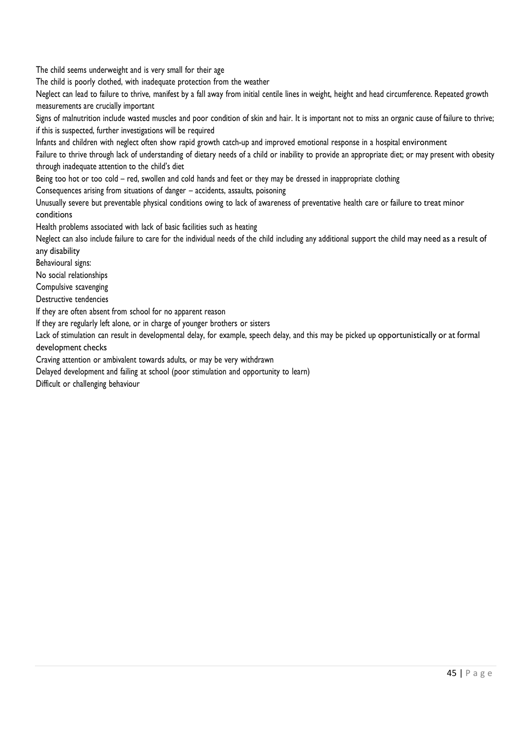The child seems underweight and is very small for their age

The child is poorly clothed, with inadequate protection from the weather

Neglect can lead to failure to thrive, manifest by a fall away from initial centile lines in weight, height and head circumference. Repeated growth measurements are crucially important

Signs of malnutrition include wasted muscles and poor condition of skin and hair. It is important not to miss an organic cause of failure to thrive; if this is suspected, further investigations will be required

Infants and children with neglect often show rapid growth catch-up and improved emotional response in a hospital environment

Failure to thrive through lack of understanding of dietary needs of a child or inability to provide an appropriate diet; or may present with obesity through inadequate attention to the child's diet

Being too hot or too cold – red, swollen and cold hands and feet or they may be dressed in inappropriate clothing

Consequences arising from situations of danger – accidents, assaults, poisoning

Unusually severe but preventable physical conditions owing to lack of awareness of preventative health care or failure to treat minor conditions

Health problems associated with lack of basic facilities such as heating

Neglect can also include failure to care for the individual needs of the child including any additional support the child may need as a result of any disability

Behavioural signs:

No social relationships

Compulsive scavenging

Destructive tendencies

If they are often absent from school for no apparent reason

If they are regularly left alone, or in charge of younger brothers or sisters

Lack of stimulation can result in developmental delay, for example, speech delay, and this may be picked up opportunistically or at formal development checks

Craving attention or ambivalent towards adults, or may be very withdrawn

Delayed development and failing at school (poor stimulation and opportunity to learn)

Difficult or challenging behaviour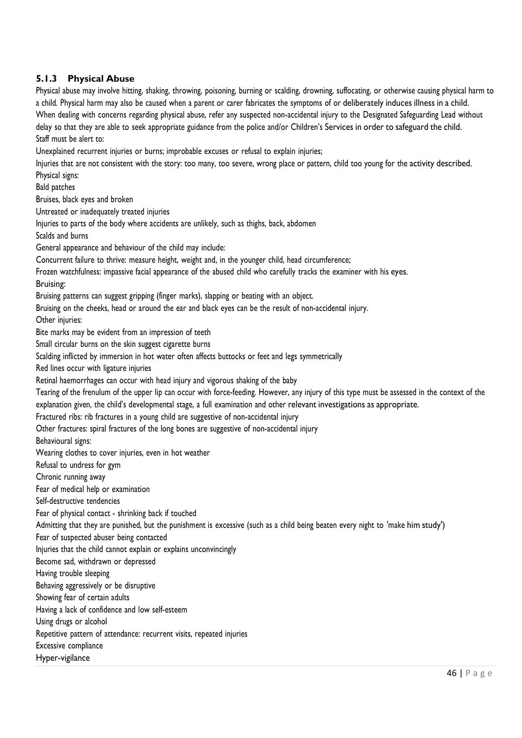### **5.1.3 Physical Abuse**

Physical abuse may involve hitting, shaking, throwing, poisoning, burning or scalding, drowning, suffocating, or otherwise causing physical harm to a child. Physical harm may also be caused when a parent or carer fabricates the symptoms of or deliberately induces illness in a child. When dealing with concerns regarding physical abuse, refer any suspected non-accidental injury to the Designated Safeguarding Lead without delay so that they are able to seek appropriate guidance from the police and/or Children's Services in order to safeguard the child. Staff must be alert to: Unexplained recurrent injuries or burns; improbable excuses or refusal to explain injuries; Injuries that are not consistent with the story: too many, too severe, wrong place or pattern, child too young for the activity described. Physical signs: Bald patches Bruises, black eyes and broken Untreated or inadequately treated injuries Injuries to parts of the body where accidents are unlikely, such as thighs, back, abdomen Scalds and burns General appearance and behaviour of the child may include: Concurrent failure to thrive: measure height, weight and, in the younger child, head circumference; Frozen watchfulness: impassive facial appearance of the abused child who carefully tracks the examiner with his eyes. Bruising: Bruising patterns can suggest gripping (finger marks), slapping or beating with an object.

Bruising on the cheeks, head or around the ear and black eyes can be the result of non-accidental injury.

Other injuries:

Bite marks may be evident from an impression of teeth

Small circular burns on the skin suggest cigarette burns

Scalding inflicted by immersion in hot water often affects buttocks or feet and legs symmetrically

Red lines occur with ligature injuries

Retinal haemorrhages can occur with head injury and vigorous shaking of the baby

Tearing of the frenulum of the upper lip can occur with force-feeding. However, any injury of this type must be assessed in the context of the explanation given, the child's developmental stage, a full examination and other relevant investigations as appropriate.

Fractured ribs: rib fractures in a young child are suggestive of non-accidental injury

Other fractures: spiral fractures of the long bones are suggestive of non-accidental injury

Behavioural signs:

Wearing clothes to cover injuries, even in hot weather

Refusal to undress for gym

Chronic running away

Fear of medical help or examination

Self-destructive tendencies

Fear of physical contact - shrinking back if touched

Admitting that they are punished, but the punishment is excessive (such as a child being beaten every night to 'make him study')

Fear of suspected abuser being contacted

Injuries that the child cannot explain or explains unconvincingly

Become sad, withdrawn or depressed

Having trouble sleeping

Behaving aggressively or be disruptive

Showing fear of certain adults

Having a lack of confidence and low self-esteem

Using drugs or alcohol

Repetitive pattern of attendance: recurrent visits, repeated injuries

Excessive compliance

Hyper-vigilance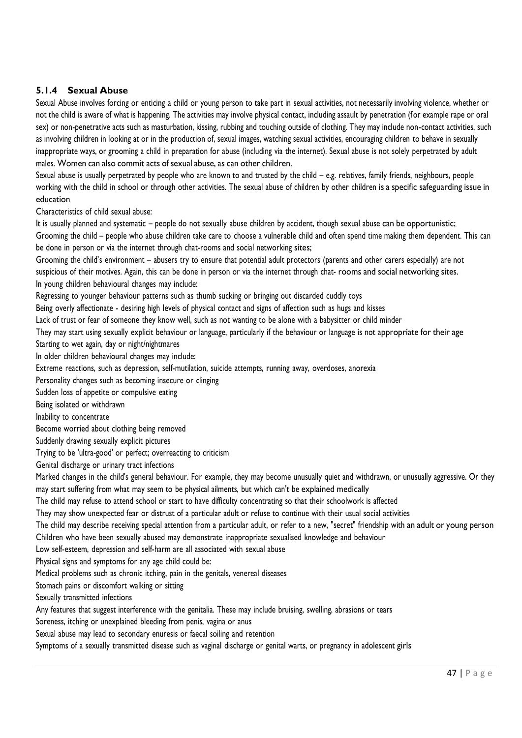### **5.1.4 Sexual Abuse**

Sexual Abuse involves forcing or enticing a child or young person to take part in sexual activities, not necessarily involving violence, whether or not the child is aware of what is happening. The activities may involve physical contact, including assault by penetration (for example rape or oral sex) or non-penetrative acts such as masturbation, kissing, rubbing and touching outside of clothing. They may include non-contact activities, such as involving children in looking at or in the production of, sexual images, watching sexual activities, encouraging children to behave in sexually inappropriate ways, or grooming a child in preparation for abuse (including via the internet). Sexual abuse is not solely perpetrated by adult males. Women can also commit acts of sexual abuse, as can other children.

Sexual abuse is usually perpetrated by people who are known to and trusted by the child – e.g. relatives, family friends, neighbours, people working with the child in school or through other activities. The sexual abuse of children by other children is a specific safeguarding issue in education

Characteristics of child sexual abuse:

It is usually planned and systematic – people do not sexually abuse children by accident, though sexual abuse can be opportunistic; Grooming the child – people who abuse children take care to choose a vulnerable child and often spend time making them dependent. This can be done in person or via the internet through chat-rooms and social networking sites;

Grooming the child's environment – abusers try to ensure that potential adult protectors (parents and other carers especially) are not suspicious of their motives. Again, this can be done in person or via the internet through chat- rooms and social networking sites. In young children behavioural changes may include:

Regressing to younger behaviour patterns such as thumb sucking or bringing out discarded cuddly toys

Being overly affectionate - desiring high levels of physical contact and signs of affection such as hugs and kisses

Lack of trust or fear of someone they know well, such as not wanting to be alone with a babysitter or child minder

They may start using sexually explicit behaviour or language, particularly if the behaviour or language is not appropriate for their age

Starting to wet again, day or night/nightmares

In older children behavioural changes may include:

Extreme reactions, such as depression, self-mutilation, suicide attempts, running away, overdoses, anorexia

Personality changes such as becoming insecure or clinging

Sudden loss of appetite or compulsive eating

Being isolated or withdrawn

Inability to concentrate

Become worried about clothing being removed

Suddenly drawing sexually explicit pictures

Trying to be 'ultra-good' or perfect; overreacting to criticism

Genital discharge or urinary tract infections

Marked changes in the child's general behaviour. For example, they may become unusually quiet and withdrawn, or unusually aggressive. Or they may start suffering from what may seem to be physical ailments, but which can't be explained medically

The child may refuse to attend school or start to have difficulty concentrating so that their schoolwork is affected

They may show unexpected fear or distrust of a particular adult or refuse to continue with their usual social activities

The child may describe receiving special attention from a particular adult, or refer to a new, "secret" friendship with an adult or young person Children who have been sexually abused may demonstrate inappropriate sexualised knowledge and behaviour

Low self-esteem, depression and self-harm are all associated with sexual abuse

Physical signs and symptoms for any age child could be:

Medical problems such as chronic itching, pain in the genitals, venereal diseases

Stomach pains or discomfort walking or sitting

Sexually transmitted infections

Any features that suggest interference with the genitalia. These may include bruising, swelling, abrasions or tears

Soreness, itching or unexplained bleeding from penis, vagina or anus

Sexual abuse may lead to secondary enuresis or faecal soiling and retention

Symptoms of a sexually transmitted disease such as vaginal discharge or genital warts, or pregnancy in adolescent girls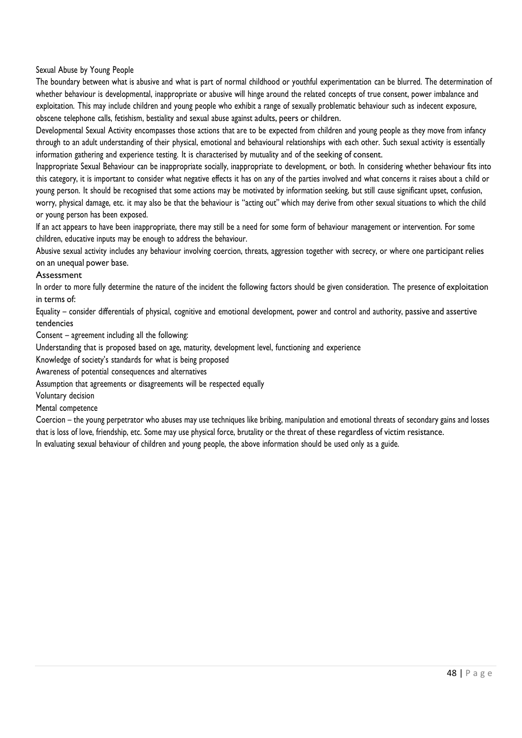Sexual Abuse by Young People

The boundary between what is abusive and what is part of normal childhood or youthful experimentation can be blurred. The determination of whether behaviour is developmental, inappropriate or abusive will hinge around the related concepts of true consent, power imbalance and exploitation. This may include children and young people who exhibit a range of sexually problematic behaviour such as indecent exposure, obscene telephone calls, fetishism, bestiality and sexual abuse against adults, peers or children.

Developmental Sexual Activity encompasses those actions that are to be expected from children and young people as they move from infancy through to an adult understanding of their physical, emotional and behavioural relationships with each other. Such sexual activity is essentially information gathering and experience testing. It is characterised by mutuality and of the seeking of consent.

Inappropriate Sexual Behaviour can be inappropriate socially, inappropriate to development, or both. In considering whether behaviour fits into this category, it is important to consider what negative effects it has on any of the parties involved and what concerns it raises about a child or young person. It should be recognised that some actions may be motivated by information seeking, but still cause significant upset, confusion, worry, physical damage, etc. it may also be that the behaviour is "acting out" which may derive from other sexual situations to which the child or young person has been exposed.

If an act appears to have been inappropriate, there may still be a need for some form of behaviour management or intervention. For some children, educative inputs may be enough to address the behaviour.

Abusive sexual activity includes any behaviour involving coercion, threats, aggression together with secrecy, or where one participant relies on an unequal power base.

#### Assessment

In order to more fully determine the nature of the incident the following factors should be given consideration. The presence of exploitation in terms of:

Equality – consider differentials of physical, cognitive and emotional development, power and control and authority, passive and assertive tendencies

Consent – agreement including all the following:

Understanding that is proposed based on age, maturity, development level, functioning and experience

Knowledge of society's standards for what is being proposed

Awareness of potential consequences and alternatives

Assumption that agreements or disagreements will be respected equally

Voluntary decision

Mental competence

Coercion – the young perpetrator who abuses may use techniques like bribing, manipulation and emotional threats of secondary gains and losses that is loss of love, friendship, etc. Some may use physical force, brutality or the threat of these regardless of victim resistance. In evaluating sexual behaviour of children and young people, the above information should be used only as a guide.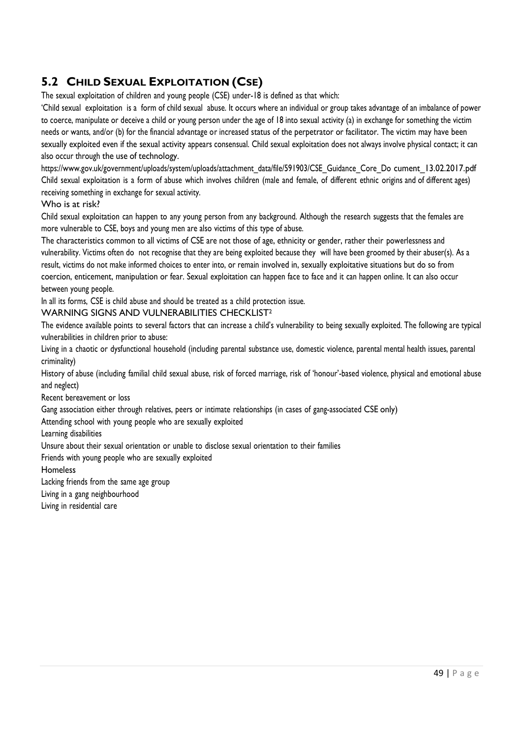# **5.2 CHILD SEXUAL EXPLOITATION (CSE)**

The sexual exploitation of children and young people (CSE) under-18 is defined as that which:

'Child sexual exploitation is a form of child sexual abuse. It occurs where an individual or group takes advantage of an imbalance of power to coerce, manipulate or deceive a child or young person under the age of 18 into sexual activity (a) in exchange for something the victim needs or wants, and/or (b) for the financial advantage or increased status of the perpetrator or facilitator. The victim may have been sexually exploited even if the sexual activity appears consensual. Child sexual exploitation does not always involve physical contact; it can also occur through the use of technology.

[https://www.gov.uk/government/uploads/system/uploads/attachment\\_data/file/591903/CSE\\_Guidance\\_Core\\_Do](https://www.gov.uk/government/uploads/system/uploads/attachment_data/file/591903/CSE_Guidance_Core_Document_13.02.2017.pdf) [cument\\_13.02.2017.pdf](https://www.gov.uk/government/uploads/system/uploads/attachment_data/file/591903/CSE_Guidance_Core_Document_13.02.2017.pdf) Child sexual exploitation is a form of abuse which involves children (male and female, of different ethnic origins and of different ages) receiving something in exchange for sexual activity.

#### Who is at risk?

Child sexual exploitation can happen to any young person from any background. Although the research suggests that the females are more vulnerable to CSE, boys and young men are also victims of this type of abuse.

The characteristics common to all victims of CSE are not those of age, ethnicity or gender, rather their powerlessness and vulnerability. Victims often do not recognise that they are being exploited because they will have been groomed by their abuser(s). As a result, victims do not make informed choices to enter into, or remain involved in, sexually exploitative situations but do so from coercion, enticement, manipulation or fear. Sexual exploitation can happen face to face and it can happen online. It can also occur between young people.

In all its forms, CSE is child abuse and should be treated as a child protection issue.

### WARNING SIGNS AND VULNERABILITIES CHECKLIST<sup>2</sup>

The evidence available points to several factors that can increase a child's vulnerability to being sexually exploited. The following are typical vulnerabilities in children prior to abuse:

Living in a chaotic or dysfunctional household (including parental substance use, domestic violence, parental mental health issues, parental criminality)

History of abuse (including familial child sexual abuse, risk of forced marriage, risk of 'honour'-based violence, physical and emotional abuse and neglect)

Recent bereavement or loss

Gang association either through relatives, peers or intimate relationships (in cases of gang-associated CSE only)

Attending school with young people who are sexually exploited

Learning disabilities

Unsure about their sexual orientation or unable to disclose sexual orientation to their families

Friends with young people who are sexually exploited

Homeless

Lacking friends from the same age group

Living in a gang neighbourhood

Living in residential care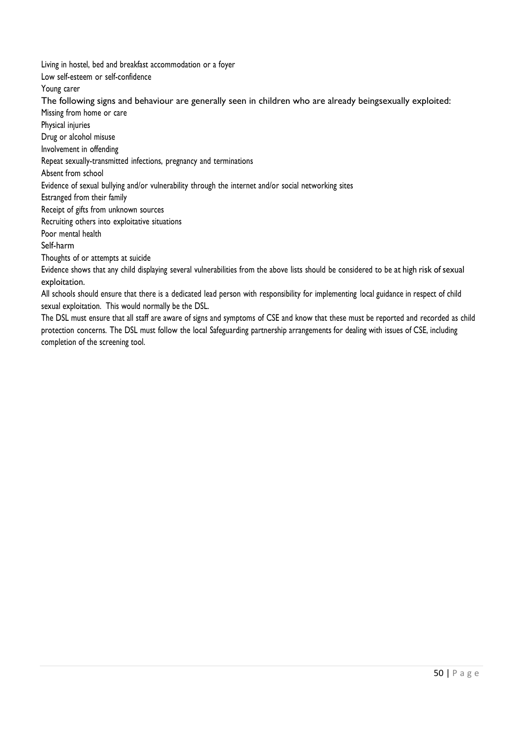Living in hostel, bed and breakfast accommodation or a foyer

Low self-esteem or self-confidence

Young carer

The following signs and behaviour are generally seen in children who are already beingsexually exploited:

Missing from home or care

Physical injuries

Drug or alcohol misuse

Involvement in offending

Repeat sexually-transmitted infections, pregnancy and terminations

Absent from school

Evidence of sexual bullying and/or vulnerability through the internet and/or social networking sites

Estranged from their family

Receipt of gifts from unknown sources

Recruiting others into exploitative situations

Poor mental health

Self-harm

Thoughts of or attempts at suicide

Evidence shows that any child displaying several vulnerabilities from the above lists should be considered to be at high risk of sexual exploitation.

All schools should ensure that there is a dedicated lead person with responsibility for implementing local guidance in respect of child sexual exploitation. This would normally be the DSL.

The DSL must ensure that all staff are aware of signs and symptoms of CSE and know that these must be reported and recorded as child protection concerns. The DSL must follow the local Safeguarding partnership arrangements for dealing with issues of CSE, including completion of the screening tool.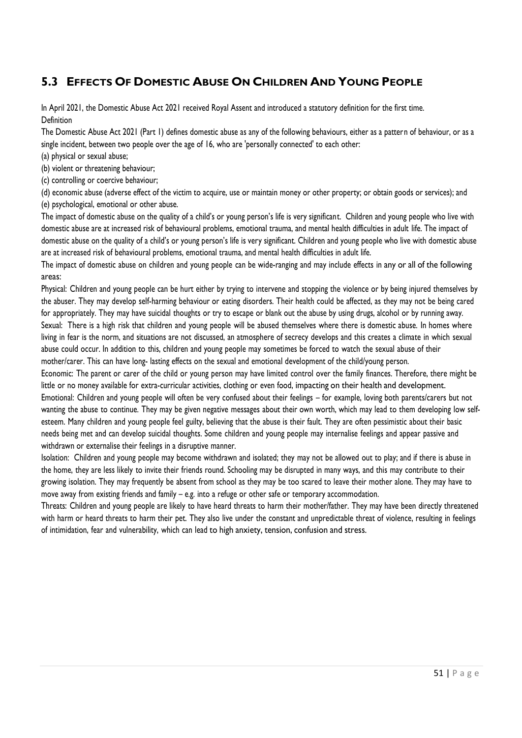# **5.3 EFFECTS OF DOMESTIC ABUSE ON CHILDREN AND YOUNG PEOPLE**

In April 2021, the Domestic Abuse Act 2021 received Royal Assent and introduced a statutory definition for the first time. Definition

The Domestic Abuse Act 2021 (Part 1) defines domestic abuse as any of the following behaviours, either as a pattern of behaviour, or as a single incident, between two people over the age of 16, who are 'personally connected' to each other:

(a) physical or sexual abuse;

(b) violent or threatening behaviour;

(c) controlling or coercive behaviour;

(d) economic abuse (adverse effect of the victim to acquire, use or maintain money or other property; or obtain goods or services); and (e) psychological, emotional or other abuse.

The impact of domestic abuse on the quality of a child's or young person's life is very significant. Children and young people who live with domestic abuse are at increased risk of behavioural problems, emotional trauma, and mental health difficulties in adult life. The impact of domestic abuse on the quality of a child's or young person's life is very significant. Children and young people who live with domestic abuse are at increased risk of behavioural problems, emotional trauma, and mental health difficulties in adult life.

The impact of domestic abuse on children and young people can be wide-ranging and may include effects in any or all of the following areas:

Physical: Children and young people can be hurt either by trying to intervene and stopping the violence or by being injured themselves by the abuser. They may develop self-harming behaviour or eating disorders. Their health could be affected, as they may not be being cared for appropriately. They may have suicidal thoughts or try to escape or blank out the abuse by using drugs, alcohol or by running away. Sexual: There is a high risk that children and young people will be abused themselves where there is domestic abuse. In homes where living in fear is the norm, and situations are not discussed, an atmosphere of secrecy develops and this creates a climate in which sexual abuse could occur. In addition to this, children and young people may sometimes be forced to watch the sexual abuse of their mother/carer. This can have long- lasting effects on the sexual and emotional development of the child/young person.

Economic: The parent or carer of the child or young person may have limited control over the family finances. Therefore, there might be little or no money available for extra-curricular activities, clothing or even food, impacting on their health and development. Emotional: Children and young people will often be very confused about their feelings – for example, loving both parents/carers but not wanting the abuse to continue. They may be given negative messages about their own worth, which may lead to them developing low selfesteem. Many children and young people feel guilty, believing that the abuse is their fault. They are often pessimistic about their basic needs being met and can develop suicidal thoughts. Some children and young people may internalise feelings and appear passive and withdrawn or externalise their feelings in a disruptive manner.

Isolation: Children and young people may become withdrawn and isolated; they may not be allowed out to play; and if there is abuse in the home, they are less likely to invite their friends round. Schooling may be disrupted in many ways, and this may contribute to their growing isolation. They may frequently be absent from school as they may be too scared to leave their mother alone. They may have to move away from existing friends and family – e.g. into a refuge or other safe or temporary accommodation.

Threats: Children and young people are likely to have heard threats to harm their mother/father. They may have been directly threatened with harm or heard threats to harm their pet. They also live under the constant and unpredictable threat of violence, resulting in feelings of intimidation, fear and vulnerability, which can lead to high anxiety, tension, confusion and stress.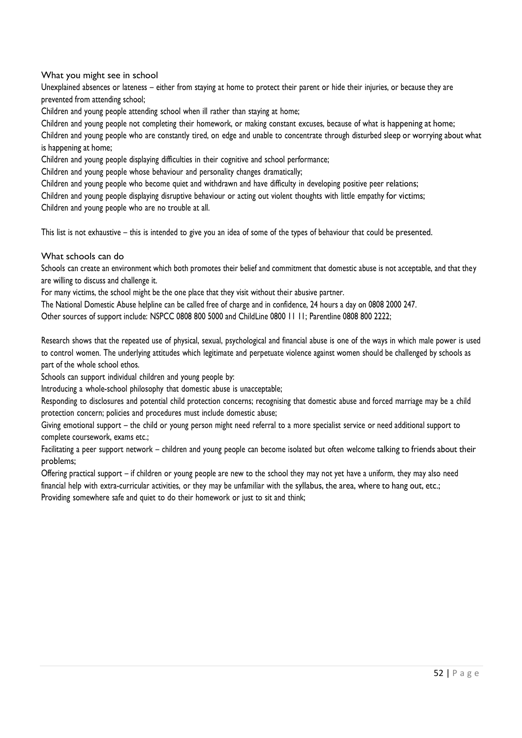What you might see in school

Unexplained absences or lateness – either from staying at home to protect their parent or hide their injuries, or because they are prevented from attending school;

Children and young people attending school when ill rather than staying at home;

Children and young people not completing their homework, or making constant excuses, because of what is happening at home;

Children and young people who are constantly tired, on edge and unable to concentrate through disturbed sleep or worrying about what is happening at home;

Children and young people displaying difficulties in their cognitive and school performance;

Children and young people whose behaviour and personality changes dramatically;

Children and young people who become quiet and withdrawn and have difficulty in developing positive peer relations;

Children and young people displaying disruptive behaviour or acting out violent thoughts with little empathy for victims;

Children and young people who are no trouble at all.

This list is not exhaustive – this is intended to give you an idea of some of the types of behaviour that could be presented.

What schools can do

Schools can create an environment which both promotes their belief and commitment that domestic abuse is not acceptable, and that they are willing to discuss and challenge it.

For many victims, the school might be the one place that they visit without their abusive partner.

The National Domestic Abuse helpline can be called free of charge and in confidence, 24 hours a day on 0808 2000 247.

Other sources of support include: NSPCC 0808 800 5000 and ChildLine 0800 11 11; Parentline 0808 800 2222;

Research shows that the repeated use of physical, sexual, psychological and financial abuse is one of the ways in which male power is used to control women. The underlying attitudes which legitimate and perpetuate violence against women should be challenged by schools as part of the whole school ethos.

Schools can support individual children and young people by:

Introducing a whole-school philosophy that domestic abuse is unacceptable;

Responding to disclosures and potential child protection concerns; recognising that domestic abuse and forced marriage may be a child protection concern; policies and procedures must include domestic abuse;

Giving emotional support – the child or young person might need referral to a more specialist service or need additional support to complete coursework, exams etc.;

Facilitating a peer support network – children and young people can become isolated but often welcome talking to friends about their problems;

Offering practical support – if children or young people are new to the school they may not yet have a uniform, they may also need financial help with extra-curricular activities, or they may be unfamiliar with the syllabus, the area, where to hang out, etc.; Providing somewhere safe and quiet to do their homework or just to sit and think;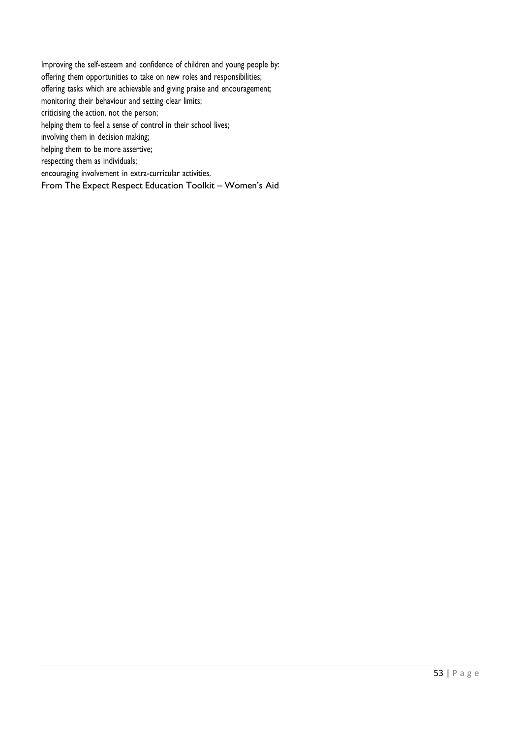Improving the self-esteem and confidence of children and young people by: offering them opportunities to take on new roles and responsibilities; offering tasks which are achievable and giving praise and encouragement; monitoring their behaviour and setting clear limits; criticising the action, not the person; helping them to feel a sense of control in their school lives; involving them in decision making; helping them to be more assertive; respecting them as individuals; encouraging involvement in extra-curricular activities. From The Expect Respect Education Toolkit – Women's Aid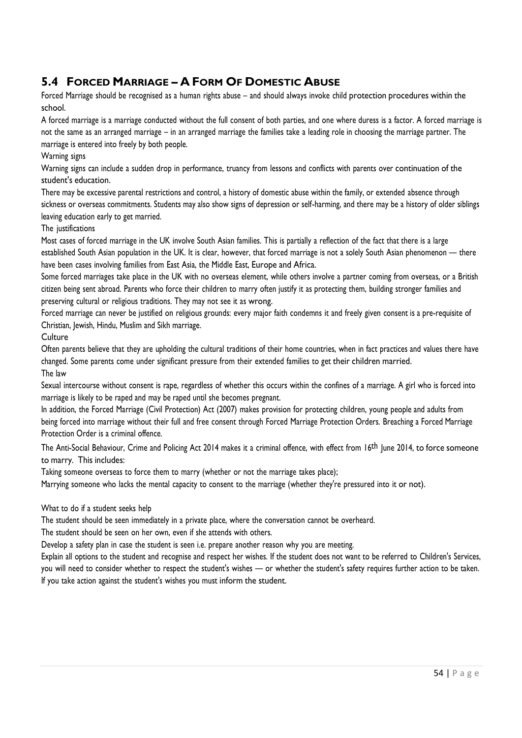# **5.4 FORCED MARRIAGE – A FORM OF DOMESTIC ABUSE**

Forced Marriage should be recognised as a human rights abuse – and should always invoke child protection procedures within the school.

A forced marriage is a marriage conducted without the full consent of both parties, and one where duress is a factor. A forced marriage is not the same as an arranged marriage – in an arranged marriage the families take a leading role in choosing the marriage partner. The marriage is entered into freely by both people.

### Warning signs

Warning signs can include a sudden drop in performance, truancy from lessons and conflicts with parents over continuation of the student's education.

There may be excessive parental restrictions and control, a history of domestic abuse within the family, or extended absence through sickness or overseas commitments. Students may also show signs of depression or self-harming, and there may be a history of older siblings leaving education early to get married.

#### The justifications

Most cases of forced marriage in the UK involve South Asian families. This is partially a reflection of the fact that there is a large established South Asian population in the UK. It is clear, however, that forced marriage is not a solely South Asian phenomenon — there have been cases involving families from East Asia, the Middle East, Europe and Africa.

Some forced marriages take place in the UK with no overseas element, while others involve a partner coming from overseas, or a British citizen being sent abroad. Parents who force their children to marry often justify it as protecting them, building stronger families and preserving cultural or religious traditions. They may not see it as wrong.

Forced marriage can never be justified on religious grounds: every major faith condemns it and freely given consent is a pre-requisite of Christian, Jewish, Hindu, Muslim and Sikh marriage.

**Culture** 

Often parents believe that they are upholding the cultural traditions of their home countries, when in fact practices and values there have changed. Some parents come under significant pressure from their extended families to get their children married. The law

Sexual intercourse without consent is rape, regardless of whether this occurs within the confines of a marriage. A girl who is forced into marriage is likely to be raped and may be raped until she becomes pregnant.

In addition, the Forced Marriage (Civil Protection) Act (2007) makes provision for protecting children, young people and adults from being forced into marriage without their full and free consent through Forced Marriage Protection Orders. Breaching a Forced Marriage Protection Order is a criminal offence.

The Anti-Social Behaviour, Crime and Policing Act 2014 makes it a criminal offence, with effect from 16<sup>th</sup> June 2014, to force someone to marry. This includes:

Taking someone overseas to force them to marry (whether or not the marriage takes place);

Marrying someone who lacks the mental capacity to consent to the marriage (whether they're pressured into it or not).

#### What to do if a student seeks help

The student should be seen immediately in a private place, where the conversation cannot be overheard.

The student should be seen on her own, even if she attends with others.

Develop a safety plan in case the student is seen i.e. prepare another reason why you are meeting.

Explain all options to the student and recognise and respect her wishes. If the student does not want to be referred to Children's Services, you will need to consider whether to respect the student's wishes — or whether the student's safety requires further action to be taken. If you take action against the student's wishes you must inform the student.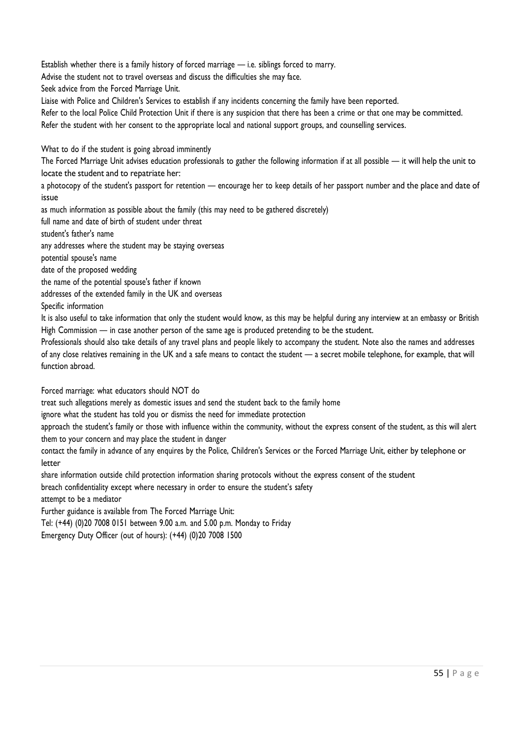Establish whether there is a family history of forced marriage — i.e. siblings forced to marry.

Advise the student not to travel overseas and discuss the difficulties she may face.

Seek advice from the Forced Marriage Unit.

Liaise with Police and Children's Services to establish if any incidents concerning the family have been reported.

Refer to the local Police Child Protection Unit if there is any suspicion that there has been a crime or that one may be committed.

Refer the student with her consent to the appropriate local and national support groups, and counselling services.

What to do if the student is going abroad imminently

The Forced Marriage Unit advises education professionals to gather the following information if at all possible — it will help the unit to locate the student and to repatriate her:

a photocopy of the student's passport for retention — encourage her to keep details of her passport number and the place and date of issue

as much information as possible about the family (this may need to be gathered discretely)

full name and date of birth of student under threat

student's father's name

any addresses where the student may be staying overseas

potential spouse's name

date of the proposed wedding

the name of the potential spouse's father if known

addresses of the extended family in the UK and overseas

Specific information

It is also useful to take information that only the student would know, as this may be helpful during any interview at an embassy or British High Commission — in case another person of the same age is produced pretending to be the student.

Professionals should also take details of any travel plans and people likely to accompany the student. Note also the names and addresses of any close relatives remaining in the UK and a safe means to contact the student — a secret mobile telephone, for example, that will function abroad.

Forced marriage: what educators should NOT do

treat such allegations merely as domestic issues and send the student back to the family home

ignore what the student has told you or dismiss the need for immediate protection

approach the student's family or those with influence within the community, without the express consent of the student, as this will alert them to your concern and may place the student in danger

contact the family in advance of any enquires by the Police, Children's Services or the Forced Marriage Unit, either by telephone or letter

share information outside child protection information sharing protocols without the express consent of the student

breach confidentiality except where necessary in order to ensure the student's safety

attempt to be a mediator

Further guidance is available from The Forced Marriage Unit:

Tel: (+44) (0)20 7008 0151 between 9.00 a.m. and 5.00 p.m. Monday to Friday

Emergency Duty Officer (out of hours): (+44) (0)20 7008 1500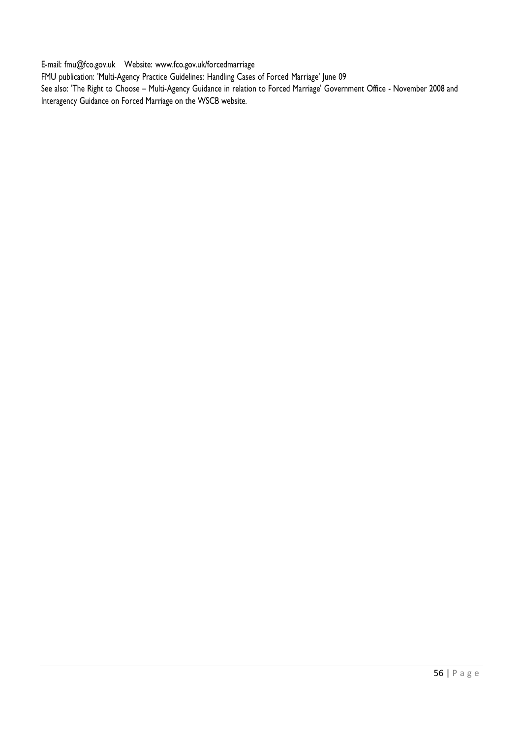E-mail: [fmu@fco.gov.uk](mailto:fmu@fco.gov.uk) Website: [www.fco.gov.uk/forcedmarriage](http://www.fco.gov.uk/forcedmarriage)

FMU publication: 'Multi-Agency Practice Guidelines: Handling Cases of Forced Marriage' June 09

See also: 'The Right to Choose – Multi-Agency Guidance in relation to Forced Marriage' Government Office - November 2008 and Interagency Guidance on Forced Marriage on the WSCB website.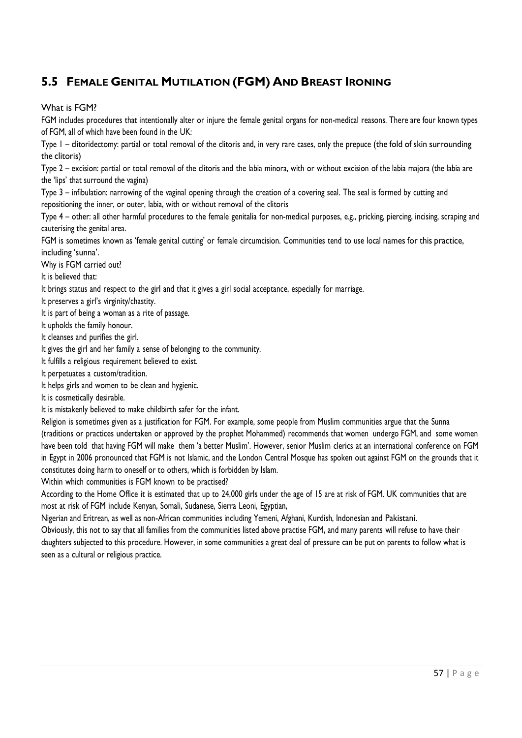# **5.5 FEMALE GENITAL MUTILATION (FGM) AND BREAST IRONING**

What is FGM?

FGM includes procedures that intentionally alter or injure the female genital organs for non-medical reasons. There are four known types of FGM, all of which have been found in the UK:

Type 1 – clitoridectomy: partial or total removal of the clitoris and, in very rare cases, only the prepuce (the fold of skin surrounding the clitoris)

Type 2 – excision: partial or total removal of the clitoris and the labia minora, with or without excision of the labia majora (the labia are the 'lips' that surround the vagina)

Type 3 – infibulation: narrowing of the vaginal opening through the creation of a covering seal. The seal is formed by cutting and repositioning the inner, or outer, labia, with or without removal of the clitoris

Type 4 – other: all other harmful procedures to the female genitalia for non-medical purposes, e.g., pricking, piercing, incising, scraping and cauterising the genital area.

FGM is sometimes known as 'female genital cutting' or female circumcision. Communities tend to use local names for this practice, including 'sunna'.

Why is FGM carried out?

It is believed that:

It brings status and respect to the girl and that it gives a girl social acceptance, especially for marriage.

It preserves a girl's virginity/chastity.

It is part of being a woman as a rite of passage.

It upholds the family honour.

It cleanses and purifies the girl.

It gives the girl and her family a sense of belonging to the community.

It fulfills a religious requirement believed to exist.

It perpetuates a custom/tradition.

It helps girls and women to be clean and hygienic.

It is cosmetically desirable.

It is mistakenly believed to make childbirth safer for the infant.

Religion is sometimes given as a justification for FGM. For example, some people from Muslim communities argue that the Sunna (traditions or practices undertaken or approved by the prophet Mohammed) recommends that women undergo FGM, and some women have been told that having FGM will make them 'a better Muslim'. However, senior Muslim clerics at an international conference on FGM in Egypt in 2006 pronounced that FGM is not Islamic, and the London Central Mosque has spoken out against FGM on the grounds that it constitutes doing harm to oneself or to others, which is forbidden by Islam.

Within which communities is FGM known to be practised?

According to the Home Office it is estimated that up to 24,000 girls under the age of 15 are at risk of FGM. UK communities that are most at risk of FGM include Kenyan, Somali, Sudanese, Sierra Leoni, Egyptian,

Nigerian and Eritrean, as well as non-African communities including Yemeni, Afghani, Kurdish, Indonesian and Pakistani.

Obviously, this not to say that all families from the communities listed above practise FGM, and many parents will refuse to have their daughters subjected to this procedure. However, in some communities a great deal of pressure can be put on parents to follow what is seen as a cultural or religious practice.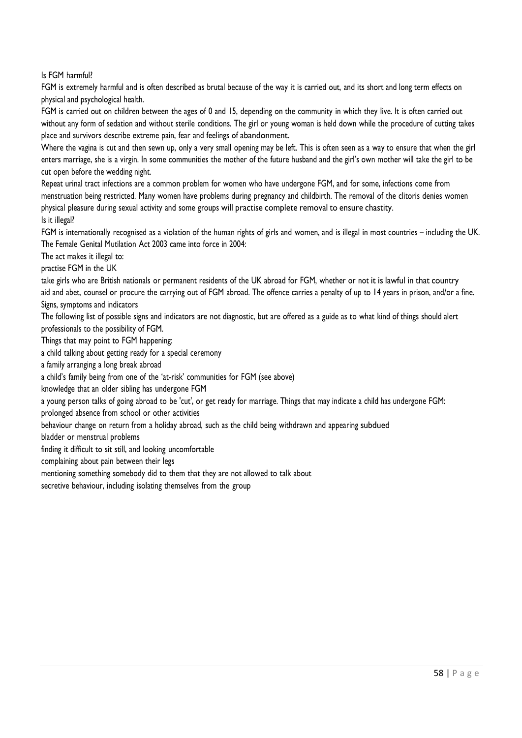Is FGM harmful?

FGM is extremely harmful and is often described as brutal because of the way it is carried out, and its short and long term effects on physical and psychological health.

FGM is carried out on children between the ages of 0 and 15, depending on the community in which they live. It is often carried out without any form of sedation and without sterile conditions. The girl or young woman is held down while the procedure of cutting takes place and survivors describe extreme pain, fear and feelings of abandonment.

Where the vagina is cut and then sewn up, only a very small opening may be left. This is often seen as a way to ensure that when the girl enters marriage, she is a virgin. In some communities the mother of the future husband and the girl's own mother will take the girl to be cut open before the wedding night.

Repeat urinal tract infections are a common problem for women who have undergone FGM, and for some, infections come from menstruation being restricted. Many women have problems during pregnancy and childbirth. The removal of the clitoris denies women physical pleasure during sexual activity and some groups will practise complete removal to ensure chastity. Is it illegal?

FGM is internationally recognised as a violation of the human rights of girls and women, and is illegal in most countries – including the UK. The Female Genital Mutilation Act 2003 came into force in 2004:

The act makes it illegal to:

practise FGM in the UK

take girls who are British nationals or permanent residents of the UK abroad for FGM, whether or not it is lawful in that country aid and abet, counsel or procure the carrying out of FGM abroad. The offence carries a penalty of up to 14 years in prison, and/or a fine. Signs, symptoms and indicators

The following list of possible signs and indicators are not diagnostic, but are offered as a guide as to what kind of things should alert professionals to the possibility of FGM.

Things that may point to FGM happening:

a child talking about getting ready for a special ceremony

a family arranging a long break abroad

a child's family being from one of the 'at-risk' communities for FGM (see above)

knowledge that an older sibling has undergone FGM

a young person talks of going abroad to be 'cut', or get ready for marriage. Things that may indicate a child has undergone FGM: prolonged absence from school or other activities

behaviour change on return from a holiday abroad, such as the child being withdrawn and appearing subdued

bladder or menstrual problems

finding it difficult to sit still, and looking uncomfortable

complaining about pain between their legs

mentioning something somebody did to them that they are not allowed to talk about

secretive behaviour, including isolating themselves from the group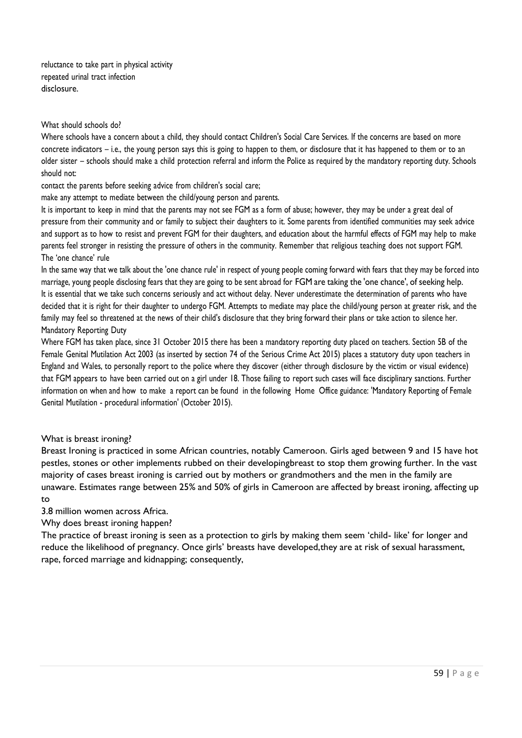reluctance to take part in physical activity repeated urinal tract infection disclosure.

#### What should schools do?

Where schools have a concern about a child, they should contact Children's Social Care Services. If the concerns are based on more concrete indicators – i.e., the young person says this is going to happen to them, or disclosure that it has happened to them or to an older sister – schools should make a child protection referral and inform the Police as required by the mandatory reporting duty. Schools should not:

contact the parents before seeking advice from children's social care;

make any attempt to mediate between the child/young person and parents.

It is important to keep in mind that the parents may not see FGM as a form of abuse; however, they may be under a great deal of pressure from their community and or family to subject their daughters to it. Some parents from identified communities may seek advice and support as to how to resist and prevent FGM for their daughters, and education about the harmful effects of FGM may help to make parents feel stronger in resisting the pressure of others in the community. Remember that religious teaching does not support FGM. The 'one chance' rule

In the same way that we talk about the 'one chance rule' in respect of young people coming forward with fears that they may be forced into marriage, young people disclosing fears that they are going to be sent abroad for FGM are taking the 'one chance', of seeking help. It is essential that we take such concerns seriously and act without delay. Never underestimate the determination of parents who have decided that it is right for their daughter to undergo FGM. Attempts to mediate may place the child/young person at greater risk, and the family may feel so threatened at the news of their child's disclosure that they bring forward their plans or take action to silence her. Mandatory Reporting Duty

Where FGM has taken place, since 31 October 2015 there has been a mandatory reporting duty placed on teachers. Section 5B of the Female Genital Mutilation Act 2003 (as inserted by section 74 of the Serious Crime Act 2015) places a statutory duty upon teachers in England and Wales, to personally report to the police where they discover (either through disclosure by the victim or visual evidence) that FGM appears to have been carried out on a girl under 18. Those failing to report such cases will face disciplinary sanctions. Further information on when and how to make a report can be found in the following Home Office guidance: ['Mandatory](https://www.gov.uk/government/uploads/system/uploads/attachment_data/file/469448/FGM-Mandatory-Reporting-procedural-info-FINAL.pdf) Reporting of Female Genital Mutilation - [procedural information](https://www.gov.uk/government/uploads/system/uploads/attachment_data/file/469448/FGM-Mandatory-Reporting-procedural-info-FINAL.pdf)' (October 2015).

#### What is breast ironing?

Breast Ironing is practiced in some African countries, notably Cameroon. Girls aged between 9 and 15 have hot pestles, stones or other implements rubbed on their developingbreast to stop them growing further. In the vast majority of cases breast ironing is carried out by mothers or grandmothers and the men in the family are unaware. Estimates range between 25% and 50% of girls in Cameroon are affected by breast ironing, affecting up to

3.8 million women across Africa.

Why does breast ironing happen?

The practice of breast ironing is seen as a protection to girls by making them seem 'child- like' for longer and reduce the likelihood of pregnancy. Once girls' breasts have developed,they are at risk of sexual harassment, rape, forced marriage and kidnapping; consequently,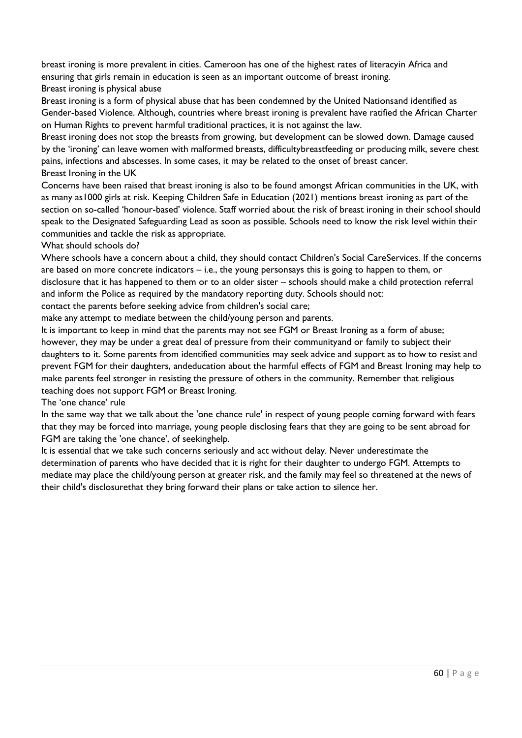breast ironing is more prevalent in cities. Cameroon has one of the highest rates of literacyin Africa and ensuring that girls remain in education is seen as an important outcome of breast ironing. Breast ironing is physical abuse

Breast ironing is a form of physical abuse that has been condemned by the United Nationsand identified as Gender-based Violence. Although, countries where breast ironing is prevalent have ratified the African Charter on Human Rights to prevent harmful traditional practices, it is not against the law.

Breast ironing does not stop the breasts from growing, but development can be slowed down. Damage caused by the 'ironing' can leave women with malformed breasts, difficultybreastfeeding or producing milk, severe chest pains, infections and abscesses. In some cases, it may be related to the onset of breast cancer. Breast Ironing in the UK

Concerns have been raised that breast ironing is also to be found amongst African communities in the UK, with as many as1000 girls at risk. Keeping Children Safe in Education (2021) mentions breast ironing as part of the section on so-called 'honour-based' violence. Staff worried about the risk of breast ironing in their school should speak to the Designated Safeguarding Lead as soon as possible. Schools need to know the risk level within their communities and tackle the risk as appropriate.

#### What should schools do?

Where schools have a concern about a child, they should contact Children's Social CareServices. If the concerns are based on more concrete indicators – i.e., the young personsays this is going to happen to them, or disclosure that it has happened to them or to an older sister – schools should make a child protection referral and inform the Police as required by the mandatory reporting duty. Schools should not:

contact the parents before seeking advice from children's social care;

make any attempt to mediate between the child/young person and parents.

It is important to keep in mind that the parents may not see FGM or Breast Ironing as a form of abuse; however, they may be under a great deal of pressure from their communityand or family to subject their daughters to it. Some parents from identified communities may seek advice and support as to how to resist and prevent FGM for their daughters, andeducation about the harmful effects of FGM and Breast Ironing may help to make parents feel stronger in resisting the pressure of others in the community. Remember that religious teaching does not support FGM or Breast Ironing.

The 'one chance' rule

In the same way that we talk about the 'one chance rule' in respect of young people coming forward with fears that they may be forced into marriage, young people disclosing fears that they are going to be sent abroad for FGM are taking the 'one chance', of seekinghelp.

It is essential that we take such concerns seriously and act without delay. Never underestimate the determination of parents who have decided that it is right for their daughter to undergo FGM. Attempts to mediate may place the child/young person at greater risk, and the family may feel so threatened at the news of their child's disclosurethat they bring forward their plans or take action to silence her.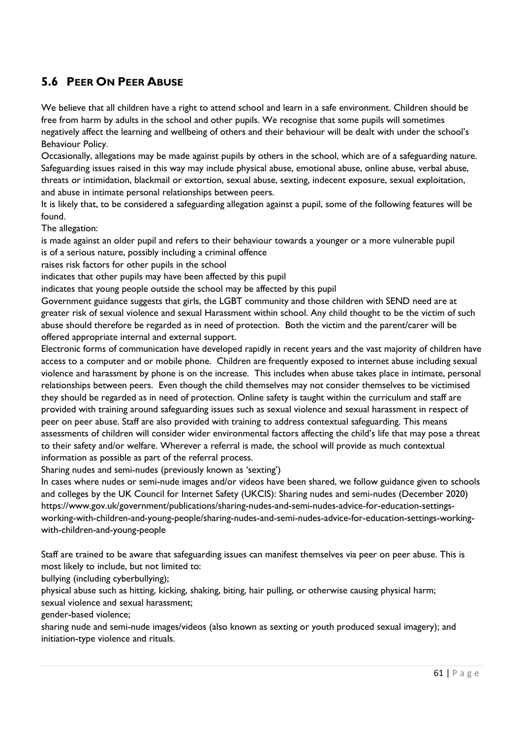# **5.6 PEER ON PEER ABUSE**

We believe that all children have a right to attend school and learn in a safe environment. Children should be free from harm by adults in the school and other pupils. We recognise that some pupils will sometimes negatively affect the learning and wellbeing of others and their behaviour will be dealt with under the school's Behaviour Policy.

Occasionally, allegations may be made against pupils by others in the school, which are of a safeguarding nature. Safeguarding issues raised in this way may include physical abuse, emotional abuse, online abuse, verbal abuse, threats or intimidation, blackmail or extortion, sexual abuse, sexting, indecent exposure, sexual exploitation, and abuse in intimate personal relationships between peers.

It is likely that, to be considered a safeguarding allegation against a pupil, some of the following features will be found.

The allegation:

is made against an older pupil and refers to their behaviour towards a younger or a more vulnerable pupil is of a serious nature, possibly including a criminal offence

raises risk factors for other pupils in the school

indicates that other pupils may have been affected by this pupil

indicates that young people outside the school may be affected by this pupil

Government guidance suggests that girls, the LGBT community and those children with SEND need are at greater risk of sexual violence and sexual Harassment within school. Any child thought to be the victim of such abuse should therefore be regarded as in need of protection. Both the victim and the parent/carer will be offered appropriate internal and external support.

Electronic forms of communication have developed rapidly in recent years and the vast majority of children have access to a computer and or mobile phone. Children are frequently exposed to internet abuse including sexual violence and harassment by phone is on the increase. This includes when abuse takes place in intimate, personal relationships between peers. Even though the child themselves may not consider themselves to be victimised they should be regarded as in need of protection. Online safety is taught within the curriculum and staff are provided with training around safeguarding issues such as sexual violence and sexual harassment in respect of peer on peer abuse. Staff are also provided with training to address contextual safeguarding. This means assessments of children will consider wider environmental factors affecting the child's life that may pose a threat to their safety and/or welfare. Wherever a referral is made, the school will provide as much contextual information as possible as part of the referral process.

Sharing nudes and semi-nudes (previously known as 'sexting')

In cases where nudes or semi-nude images and/or videos have been shared, we follow guidance given to schools and colleges by the UK Council for Internet Safety (UKCIS): Sharing nudes and semi-nudes (December 2020) [https://www.gov.uk/government/publications/sharing-nudes-and-semi-nudes-advice-for-education-settings](https://www.gov.uk/government/publications/sharing-nudes-and-semi-nudes-advice-for-education-settings-working-with-children-and-young-people/sharing-nudes-and-semi-nudes-advice-for-education-settings-working-with-children-and-young-people)[working-with-children-and-young-people/sharing-nudes-and-semi-nudes-advice-for-education-settings-working](https://www.gov.uk/government/publications/sharing-nudes-and-semi-nudes-advice-for-education-settings-working-with-children-and-young-people/sharing-nudes-and-semi-nudes-advice-for-education-settings-working-with-children-and-young-people)[with-children-and-young-people](https://www.gov.uk/government/publications/sharing-nudes-and-semi-nudes-advice-for-education-settings-working-with-children-and-young-people/sharing-nudes-and-semi-nudes-advice-for-education-settings-working-with-children-and-young-people)

Staff are trained to be aware that safeguarding issues can manifest themselves via peer on peer abuse. This is most likely to include, but not limited to:

bullying (including cyberbullying);

physical abuse such as hitting, kicking, shaking, biting, hair pulling, or otherwise causing physical harm; sexual violence and sexual harassment;

gender-based violence;

sharing nude and semi-nude images/videos (also known as sexting or youth produced sexual imagery); and initiation-type violence and rituals.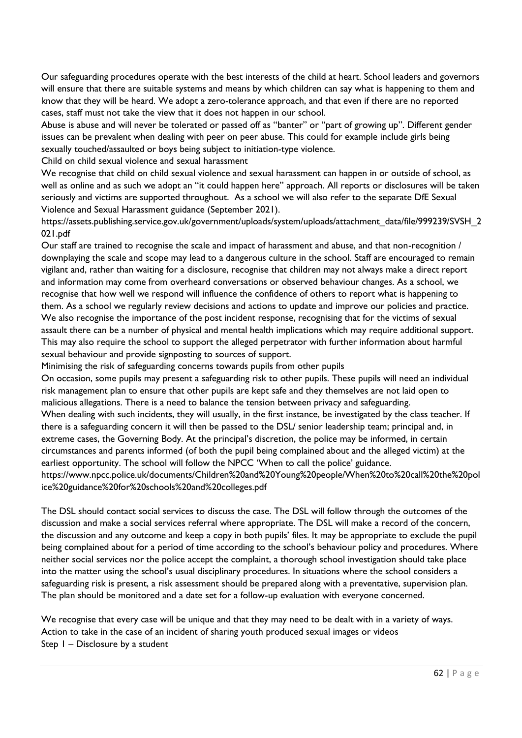Our safeguarding procedures operate with the best interests of the child at heart. School leaders and governors will ensure that there are suitable systems and means by which children can say what is happening to them and know that they will be heard. We adopt a zero-tolerance approach, and that even if there are no reported cases, staff must not take the view that it does not happen in our school.

Abuse is abuse and will never be tolerated or passed off as "banter" or "part of growing up". Different gender issues can be prevalent when dealing with peer on peer abuse. This could for example include girls being sexually touched/assaulted or boys being subject to initiation-type violence.

Child on child sexual violence and sexual harassment

We recognise that child on child sexual violence and sexual harassment can happen in or outside of school, as well as online and as such we adopt an "it could happen here" approach. All reports or disclosures will be taken seriously and victims are supported throughout. As a school we will also refer to the separate DfE Sexual Violence and Sexual Harassment guidance (September 2021).

[https://assets.publishing.service.gov.uk/government/uploads/system/uploads/attachment\\_data/file/999239/SVSH\\_2](https://assets.publishing.service.gov.uk/government/uploads/system/uploads/attachment_data/file/999239/SVSH_2021.pdf) [021.pdf](https://assets.publishing.service.gov.uk/government/uploads/system/uploads/attachment_data/file/999239/SVSH_2021.pdf)

Our staff are trained to recognise the scale and impact of harassment and abuse, and that non-recognition / downplaying the scale and scope may lead to a dangerous culture in the school. Staff are encouraged to remain vigilant and, rather than waiting for a disclosure, recognise that children may not always make a direct report and information may come from overheard conversations or observed behaviour changes. As a school, we recognise that how well we respond will influence the confidence of others to report what is happening to them. As a school we regularly review decisions and actions to update and improve our policies and practice. We also recognise the importance of the post incident response, recognising that for the victims of sexual assault there can be a number of physical and mental health implications which may require additional support. This may also require the school to support the alleged perpetrator with further information about harmful sexual behaviour and provide signposting to sources of support.

Minimising the risk of safeguarding concerns towards pupils from other pupils

On occasion, some pupils may present a safeguarding risk to other pupils. These pupils will need an individual risk management plan to ensure that other pupils are kept safe and they themselves are not laid open to malicious allegations. There is a need to balance the tension between privacy and safeguarding.

When dealing with such incidents, they will usually, in the first instance, be investigated by the class teacher. If there is a safeguarding concern it will then be passed to the DSL/ senior leadership team; principal and, in extreme cases, the Governing Body. At the principal's discretion, the police may be informed, in certain circumstances and parents informed (of both the pupil being complained about and the alleged victim) at the earliest opportunity. The school will follow the NPCC 'When to call the police' guidance.

[https://www.npcc.police.uk/documents/Children%20and%20Young%20people/When%20to%20call%20the%20pol](https://www.npcc.police.uk/documents/Children%20and%20Young%20people/When%20to%20call%20the%20police%20guidance%20for%20schools%20and%20colleges.pdf) [ice%20guidance%20for%20schools%20and%20colleges.pdf](https://www.npcc.police.uk/documents/Children%20and%20Young%20people/When%20to%20call%20the%20police%20guidance%20for%20schools%20and%20colleges.pdf)

The DSL should contact social services to discuss the case. The DSL will follow through the outcomes of the discussion and make a social services referral where appropriate. The DSL will make a record of the concern, the discussion and any outcome and keep a copy in both pupils' files. It may be appropriate to exclude the pupil being complained about for a period of time according to the school's behaviour policy and procedures. Where neither social services nor the police accept the complaint, a thorough school investigation should take place into the matter using the school's usual disciplinary procedures. In situations where the school considers a safeguarding risk is present, a risk assessment should be prepared along with a preventative, supervision plan. The plan should be monitored and a date set for a follow-up evaluation with everyone concerned.

We recognise that every case will be unique and that they may need to be dealt with in a variety of ways. Action to take in the case of an incident of sharing youth produced sexual images or videos Step 1 – Disclosure by a student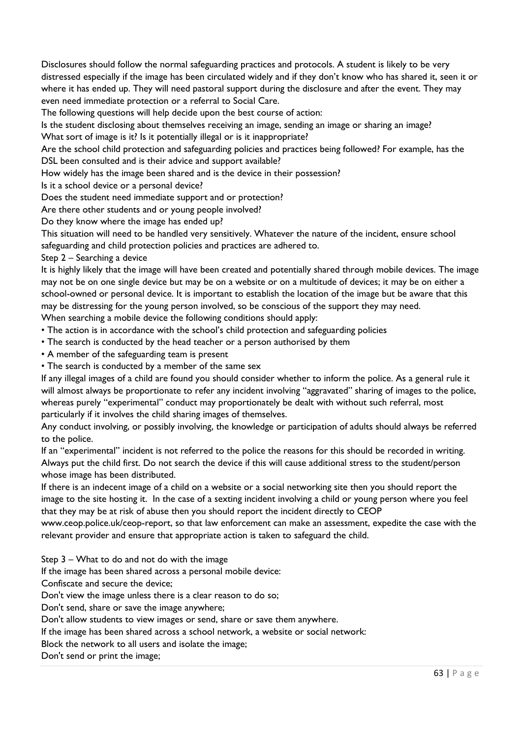Disclosures should follow the normal safeguarding practices and protocols. A student is likely to be very distressed especially if the image has been circulated widely and if they don't know who has shared it, seen it or where it has ended up. They will need pastoral support during the disclosure and after the event. They may even need immediate protection or a referral to Social Care.

The following questions will help decide upon the best course of action:

Is the student disclosing about themselves receiving an image, sending an image or sharing an image?

What sort of image is it? Is it potentially illegal or is it inappropriate?

Are the school child protection and safeguarding policies and practices being followed? For example, has the DSL been consulted and is their advice and support available?

How widely has the image been shared and is the device in their possession?

Is it a school device or a personal device?

Does the student need immediate support and or protection?

Are there other students and or young people involved?

Do they know where the image has ended up?

This situation will need to be handled very sensitively. Whatever the nature of the incident, ensure school safeguarding and child protection policies and practices are adhered to.

Step 2 – Searching a device

It is highly likely that the image will have been created and potentially shared through mobile devices. The image may not be on one single device but may be on a website or on a multitude of devices; it may be on either a school-owned or personal device. It is important to establish the location of the image but be aware that this may be distressing for the young person involved, so be conscious of the support they may need. When searching a mobile device the following conditions should apply:

• The action is in accordance with the school's child protection and safeguarding policies

- The search is conducted by the head teacher or a person authorised by them
- A member of the safeguarding team is present

• The search is conducted by a member of the same sex

If any illegal images of a child are found you should consider whether to inform the police. As a general rule it will almost always be proportionate to refer any incident involving "aggravated" sharing of images to the police, whereas purely "experimental" conduct may proportionately be dealt with without such referral, most particularly if it involves the child sharing images of themselves.

Any conduct involving, or possibly involving, the knowledge or participation of adults should always be referred to the police.

If an "experimental" incident is not referred to the police the reasons for this should be recorded in writing. Always put the child first. Do not search the device if this will cause additional stress to the student/person whose image has been distributed.

If there is an indecent image of a child on a website or a social networking site then you should report the image to the site hosting it. In the case of a sexting incident involving a child or young person where you feel that they may be at risk of abuse then you should report the incident directly to CEOP

www.ceop.police.uk/ceop-report, so that law enforcement can make an assessment, expedite the case with the relevant provider and ensure that appropriate action is taken to safeguard the child.

Step 3 – What to do and not do with the image

If the image has been shared across a personal mobile device:

Confiscate and secure the device;

Don't view the image unless there is a clear reason to do so;

Don't send, share or save the image anywhere;

Don't allow students to view images or send, share or save them anywhere.

If the image has been shared across a school network, a website or social network:

Block the network to all users and isolate the image;

Don't send or print the image;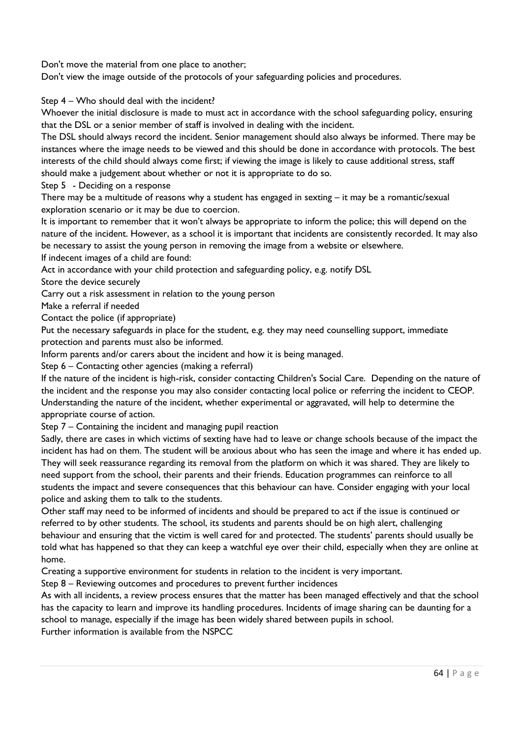Don't move the material from one place to another;

Don't view the image outside of the protocols of your safeguarding policies and procedures.

Step 4 – Who should deal with the incident?

Whoever the initial disclosure is made to must act in accordance with the school safeguarding policy, ensuring that the DSL or a senior member of staff is involved in dealing with the incident.

The DSL should always record the incident. Senior management should also always be informed. There may be instances where the image needs to be viewed and this should be done in accordance with protocols. The best interests of the child should always come first; if viewing the image is likely to cause additional stress, staff should make a judgement about whether or not it is appropriate to do so.

Step 5 - Deciding on a response

There may be a multitude of reasons why a student has engaged in sexting – it may be a romantic/sexual exploration scenario or it may be due to coercion.

It is important to remember that it won't always be appropriate to inform the police; this will depend on the nature of the incident. However, as a school it is important that incidents are consistently recorded. It may also be necessary to assist the young person in removing the image from a website or elsewhere.

If indecent images of a child are found:

Act in accordance with your child protection and safeguarding policy, e.g. notify DSL

Store the device securely

Carry out a risk assessment in relation to the young person

Make a referral if needed

Contact the police (if appropriate)

Put the necessary safeguards in place for the student, e.g. they may need counselling support, immediate protection and parents must also be informed.

Inform parents and/or carers about the incident and how it is being managed.

Step 6 – Contacting other agencies (making a referral)

If the nature of the incident is high-risk, consider contacting Children's Social Care. Depending on the nature of the incident and the response you may also consider contacting local police or referring the incident to CEOP. Understanding the nature of the incident, whether experimental or aggravated, will help to determine the appropriate course of action.

Step 7 – Containing the incident and managing pupil reaction

Sadly, there are cases in which victims of sexting have had to leave or change schools because of the impact the incident has had on them. The student will be anxious about who has seen the image and where it has ended up. They will seek reassurance regarding its removal from the platform on which it was shared. They are likely to need support from the school, their parents and their friends. Education programmes can reinforce to all students the impact and severe consequences that this behaviour can have. Consider engaging with your local police and asking them to talk to the students.

Other staff may need to be informed of incidents and should be prepared to act if the issue is continued or referred to by other students. The school, its students and parents should be on high alert, challenging behaviour and ensuring that the victim is well cared for and protected. The students' parents should usually be told what has happened so that they can keep a watchful eye over their child, especially when they are online at home.

Creating a supportive environment for students in relation to the incident is very important.

Step 8 – Reviewing outcomes and procedures to prevent further incidences

As with all incidents, a review process ensures that the matter has been managed effectively and that the school has the capacity to learn and improve its handling procedures. Incidents of image sharing can be daunting for a school to manage, especially if the image has been widely shared between pupils in school.

Further information is available from the NSPCC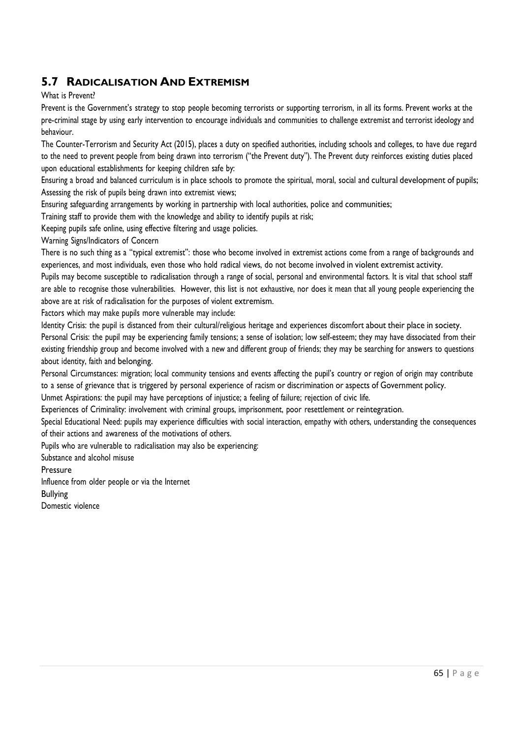### **5.7 RADICALISATION AND EXTREMISM**

#### What is Prevent?

Prevent is the Government's strategy to stop people becoming terrorists or supporting terrorism, in all its forms. Prevent works at the pre-criminal stage by using early intervention to encourage individuals and communities to challenge extremist and terrorist ideology and behaviour.

The Counter-Terrorism and Security Act (2015), places a duty on specified authorities, including schools and colleges, to have due regard to the need to prevent people from being drawn into terrorism ("the Prevent duty"). The Prevent duty reinforces existing duties placed upon educational establishments for keeping children safe by:

Ensuring a broad and balanced curriculum is in place schools to promote the spiritual, moral, social and cultural development of pupils; Assessing the risk of pupils being drawn into extremist views;

Ensuring safeguarding arrangements by working in partnership with local authorities, police and communities;

Training staff to provide them with the knowledge and ability to identify pupils at risk;

Keeping pupils safe online, using effective filtering and usage policies.

Warning Signs/Indicators of Concern

There is no such thing as a "typical extremist": those who become involved in extremist actions come from a range of backgrounds and experiences, and most individuals, even those who hold radical views, do not become involved in violent extremist activity.

Pupils may become susceptible to radicalisation through a range of social, personal and environmental factors. It is vital that school staff are able to recognise those vulnerabilities. However, this list is not exhaustive, nor does it mean that all young people experiencing the above are at risk of radicalisation for the purposes of violent extremism.

Factors which may make pupils more vulnerable may include:

Identity Crisis: the pupil is distanced from their cultural/religious heritage and experiences discomfort about their place in society.

Personal Crisis: the pupil may be experiencing family tensions; a sense of isolation; low self-esteem; they may have dissociated from their existing friendship group and become involved with a new and different group of friends; they may be searching for answers to questions about identity, faith and belonging.

Personal Circumstances: migration; local community tensions and events affecting the pupil's country or region of origin may contribute to a sense of grievance that is triggered by personal experience of racism or discrimination or aspects of Government policy.

Unmet Aspirations: the pupil may have perceptions of injustice; a feeling of failure; rejection of civic life.

Experiences of Criminality: involvement with criminal groups, imprisonment, poor resettlement or reintegration.

Special Educational Need: pupils may experience difficulties with social interaction, empathy with others, understanding the consequences of their actions and awareness of the motivations of others.

Pupils who are vulnerable to radicalisation may also be experiencing:

Substance and alcohol misuse

Pressure

Influence from older people or via the Internet Bullying

Domestic violence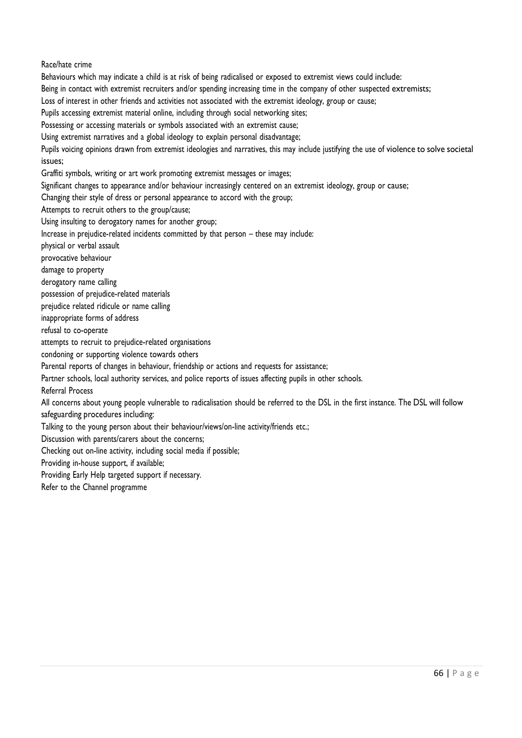Race/hate crime Behaviours which may indicate a child is at risk of being radicalised or exposed to extremist views could include: Being in contact with extremist recruiters and/or spending increasing time in the company of other suspected extremists; Loss of interest in other friends and activities not associated with the extremist ideology, group or cause; Pupils accessing extremist material online, including through social networking sites; Possessing or accessing materials or symbols associated with an extremist cause; Using extremist narratives and a global ideology to explain personal disadvantage; Pupils voicing opinions drawn from extremist ideologies and narratives, this may include justifying the use of violence to solve societal issues; Graffiti symbols, writing or art work promoting extremist messages or images; Significant changes to appearance and/or behaviour increasingly centered on an extremist ideology, group or cause; Changing their style of dress or personal appearance to accord with the group; Attempts to recruit others to the group/cause; Using insulting to derogatory names for another group; Increase in prejudice-related incidents committed by that person – these may include: physical or verbal assault provocative behaviour damage to property derogatory name calling possession of prejudice-related materials prejudice related ridicule or name calling inappropriate forms of address refusal to co-operate attempts to recruit to prejudice-related organisations condoning or supporting violence towards others Parental reports of changes in behaviour, friendship or actions and requests for assistance; Partner schools, local authority services, and police reports of issues affecting pupils in other schools. Referral Process All concerns about young people vulnerable to radicalisation should be referred to the DSL in the first instance. The DSL will follow safeguarding procedures including: Talking to the young person about their behaviour/views/on-line activity/friends etc.; Discussion with parents/carers about the concerns; Checking out on-line activity, including social media if possible; Providing in-house support, if available; Providing Early Help targeted support if necessary. Refer to the Channel programme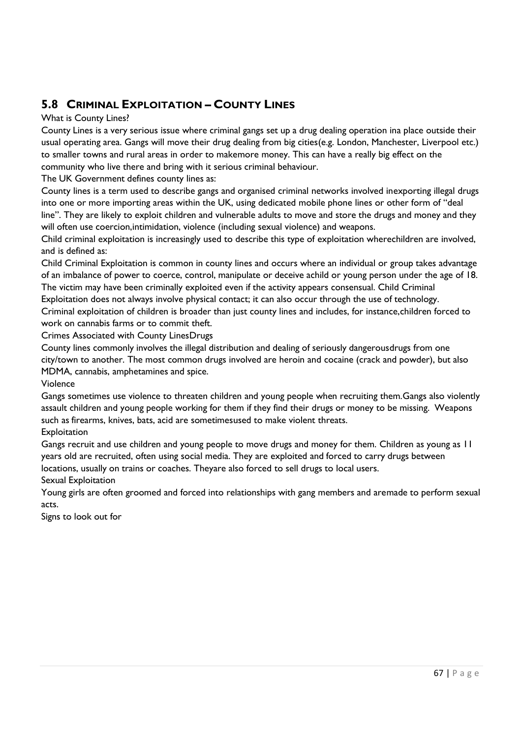# **5.8 CRIMINAL EXPLOITATION – COUNTY LINES**

### What is County Lines?

County Lines is a very serious issue where criminal gangs set up a drug dealing operation ina place outside their usual operating area. Gangs will move their drug dealing from big cities(e.g. London, Manchester, Liverpool etc.) to smaller towns and rural areas in order to makemore money. This can have a really big effect on the community who live there and bring with it serious criminal behaviour.

The UK Government defines county lines as:

County lines is a term used to describe gangs and organised criminal networks involved inexporting illegal drugs into one or more importing areas within the UK, using dedicated mobile phone lines or other form of "deal line". They are likely to exploit children and vulnerable adults to move and store the drugs and money and they will often use coercion,intimidation, violence (including sexual violence) and weapons.

Child criminal exploitation is increasingly used to describe this type of exploitation wherechildren are involved, and is defined as:

Child Criminal Exploitation is common in county lines and occurs where an individual or group takes advantage of an imbalance of power to coerce, control, manipulate or deceive achild or young person under the age of 18. The victim may have been criminally exploited even if the activity appears consensual. Child Criminal Exploitation does not always involve physical contact; it can also occur through the use of technology.

Criminal exploitation of children is broader than just county lines and includes, for instance,children forced to work on cannabis farms or to commit theft.

Crimes Associated with County LinesDrugs

County lines commonly involves the illegal distribution and dealing of seriously dangerousdrugs from one city/town to another. The most common drugs involved are heroin and cocaine (crack and powder), but also MDMA, cannabis, amphetamines and spice.

### Violence

Gangs sometimes use violence to threaten children and young people when recruiting them.Gangs also violently assault children and young people working for them if they find their drugs or money to be missing. Weapons such as firearms, knives, bats, acid are sometimesused to make violent threats.

### **Exploitation**

Gangs recruit and use children and young people to move drugs and money for them. Children as young as 11 years old are recruited, often using social media. They are exploited and forced to carry drugs between locations, usually on trains or coaches. Theyare also forced to sell drugs to local users.

### Sexual Exploitation

Young girls are often groomed and forced into relationships with gang members and aremade to perform sexual acts.

Signs to look out for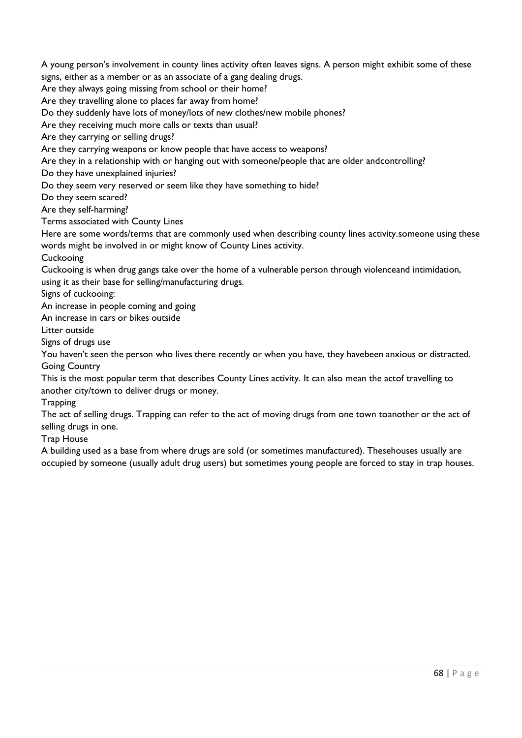A young person's involvement in county lines activity often leaves signs. A person might exhibit some of these signs, either as a member or as an associate of a gang dealing drugs.

Are they always going missing from school or their home?

Are they travelling alone to places far away from home?

Do they suddenly have lots of money/lots of new clothes/new mobile phones?

Are they receiving much more calls or texts than usual?

Are they carrying or selling drugs?

Are they carrying weapons or know people that have access to weapons?

Are they in a relationship with or hanging out with someone/people that are older andcontrolling?

Do they have unexplained injuries?

Do they seem very reserved or seem like they have something to hide?

Do they seem scared?

Are they self-harming?

Terms associated with County Lines

Here are some words/terms that are commonly used when describing county lines activity.someone using these words might be involved in or might know of County Lines activity.

**Cuckooing** 

Cuckooing is when drug gangs take over the home of a vulnerable person through violenceand intimidation, using it as their base for selling/manufacturing drugs.

Signs of cuckooing:

An increase in people coming and going

An increase in cars or bikes outside

Litter outside

Signs of drugs use

You haven't seen the person who lives there recently or when you have, they havebeen anxious or distracted. Going Country

This is the most popular term that describes County Lines activity. It can also mean the actof travelling to another city/town to deliver drugs or money.

**Trapping** 

The act of selling drugs. Trapping can refer to the act of moving drugs from one town toanother or the act of selling drugs in one.

Trap House

A building used as a base from where drugs are sold (or sometimes manufactured). Thesehouses usually are occupied by someone (usually adult drug users) but sometimes young people are forced to stay in trap houses.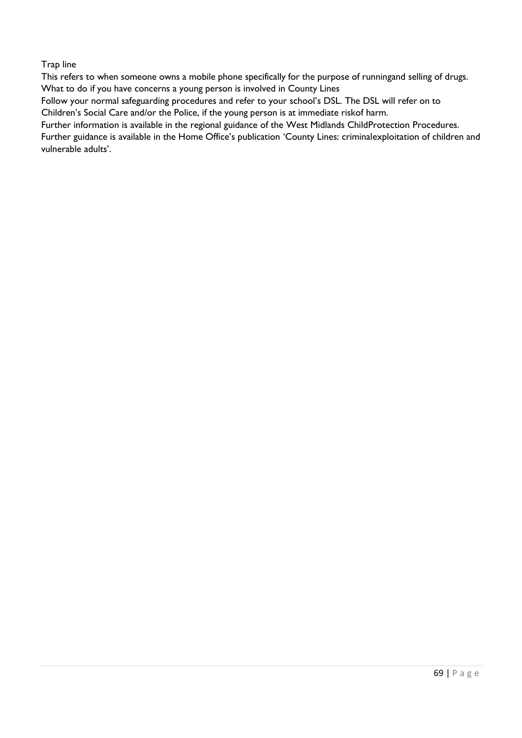Trap line

This refers to when someone owns a mobile phone specifically for the purpose of runningand selling of drugs. What to do if you have concerns a young person is involved in County Lines

Follow your normal safeguarding procedures and refer to your school's DSL. The DSL will refer on to Children's Social Care and/or the Police, if the young person is at immediate riskof harm.

Further information is available in the regional guidance of the [West Midlands ChildP](http://westmidlands.procedures.org.uk/pkpzs/regional-safeguarding-guidance/children-affected-by-gang-activity-and-youth-violence)rotection [Procedures.](http://westmidlands.procedures.org.uk/pkpzs/regional-safeguarding-guidance/children-affected-by-gang-activity-and-youth-violence) Further guidance is available in the Home Office's publication ['County Lines: criminal](https://www.gov.uk/government/collections/county-lines-criminal-exploitation-of-children-and-vulnerable-adults)[exploitation](https://www.gov.uk/government/collections/county-lines-criminal-exploitation-of-children-and-vulnerable-adults) of children and

[vulnerable](https://www.gov.uk/government/collections/county-lines-criminal-exploitation-of-children-and-vulnerable-adults) adults'.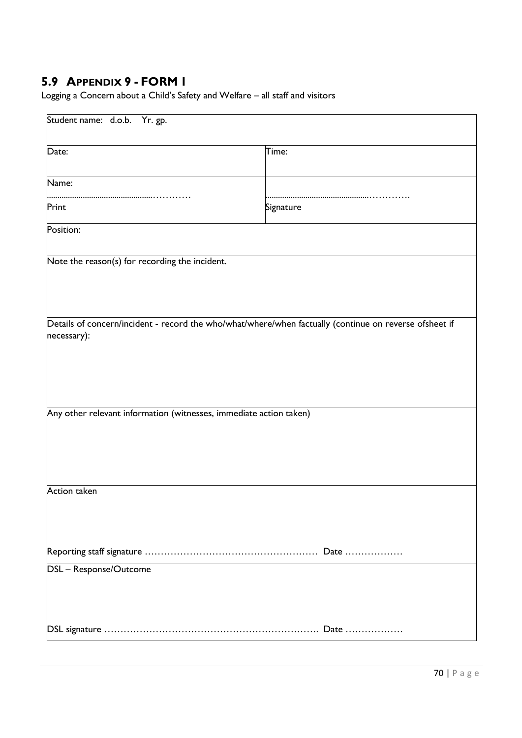# **5.9 APPENDIX 9 - FORM 1**

Logging a Concern about a Child's Safety and Welfare – all staff and visitors

| Student name: d.o.b. Yr. gp.                                       |                                                                                                        |  |
|--------------------------------------------------------------------|--------------------------------------------------------------------------------------------------------|--|
| Date:                                                              | Time:                                                                                                  |  |
| Name:                                                              |                                                                                                        |  |
| Print                                                              | Signature                                                                                              |  |
| Position:                                                          |                                                                                                        |  |
| Note the reason(s) for recording the incident.                     |                                                                                                        |  |
| necessary):                                                        | Details of concern/incident - record the who/what/where/when factually (continue on reverse ofsheet if |  |
| Any other relevant information (witnesses, immediate action taken) |                                                                                                        |  |
| <b>Action taken</b>                                                |                                                                                                        |  |
|                                                                    |                                                                                                        |  |
| DSL - Response/Outcome                                             |                                                                                                        |  |
|                                                                    |                                                                                                        |  |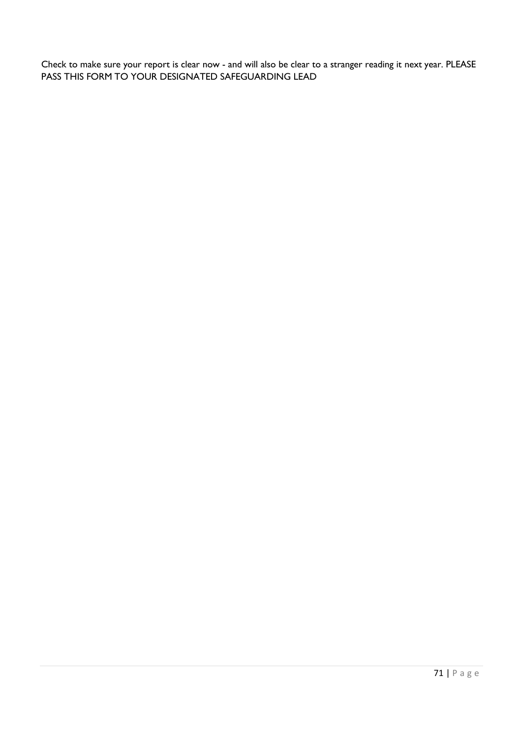Check to make sure your report is clear now - and will also be clear to a stranger reading it next year. PLEASE PASS THIS FORM TO YOUR DESIGNATED SAFEGUARDING LEAD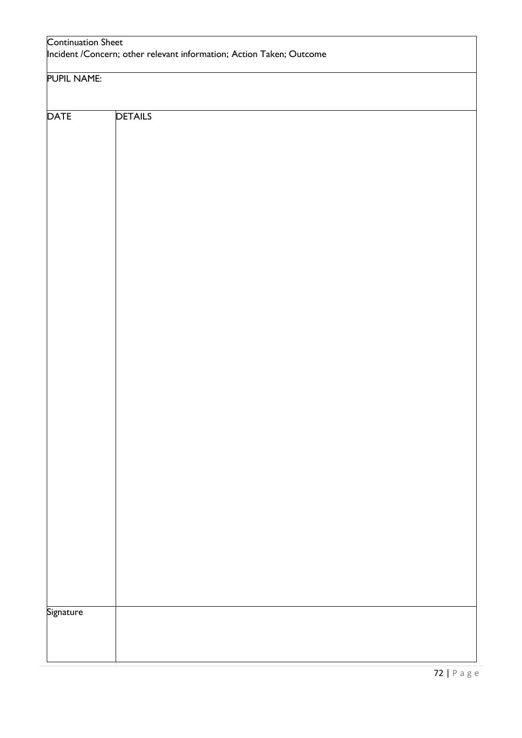| <b>Continuation Sheet</b><br>Incident / Concern; other relevant information; Action Taken; Outcome |                |  |
|----------------------------------------------------------------------------------------------------|----------------|--|
| <b>PUPIL NAME:</b>                                                                                 |                |  |
|                                                                                                    |                |  |
| <b>DATE</b>                                                                                        | <b>DETAILS</b> |  |
|                                                                                                    |                |  |
|                                                                                                    |                |  |
|                                                                                                    |                |  |
|                                                                                                    |                |  |
|                                                                                                    |                |  |
|                                                                                                    |                |  |
|                                                                                                    |                |  |
|                                                                                                    |                |  |
|                                                                                                    |                |  |
|                                                                                                    |                |  |
|                                                                                                    |                |  |
|                                                                                                    |                |  |
|                                                                                                    |                |  |
|                                                                                                    |                |  |
|                                                                                                    |                |  |
|                                                                                                    |                |  |
|                                                                                                    |                |  |
|                                                                                                    |                |  |
|                                                                                                    |                |  |
|                                                                                                    |                |  |
|                                                                                                    |                |  |
|                                                                                                    |                |  |
|                                                                                                    |                |  |
|                                                                                                    |                |  |
|                                                                                                    |                |  |
|                                                                                                    |                |  |
|                                                                                                    |                |  |
|                                                                                                    |                |  |
|                                                                                                    |                |  |
|                                                                                                    |                |  |
|                                                                                                    |                |  |
|                                                                                                    |                |  |
|                                                                                                    |                |  |
|                                                                                                    |                |  |
|                                                                                                    |                |  |
|                                                                                                    |                |  |
|                                                                                                    |                |  |
|                                                                                                    |                |  |
|                                                                                                    |                |  |
|                                                                                                    |                |  |
|                                                                                                    |                |  |
|                                                                                                    |                |  |
|                                                                                                    |                |  |
|                                                                                                    |                |  |
|                                                                                                    |                |  |
|                                                                                                    |                |  |
|                                                                                                    |                |  |
|                                                                                                    |                |  |
|                                                                                                    |                |  |
| <b>Signature</b>                                                                                   |                |  |
|                                                                                                    |                |  |
|                                                                                                    |                |  |
|                                                                                                    |                |  |
|                                                                                                    |                |  |
|                                                                                                    |                |  |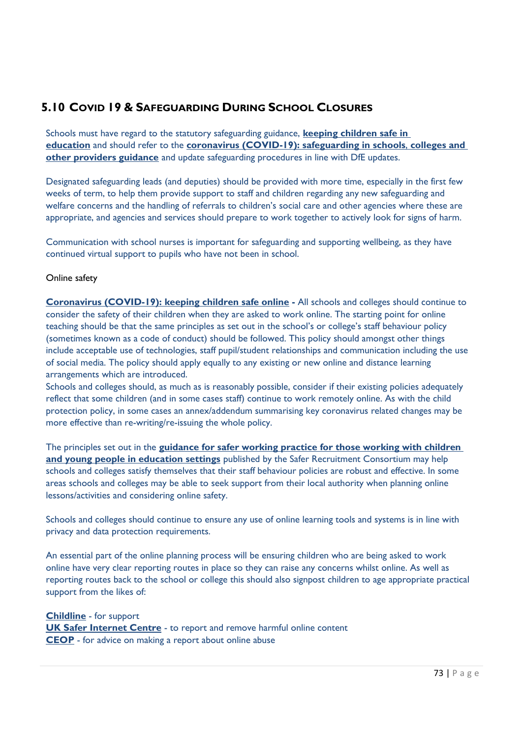## **5.10 COVID 19 & SAFEGUARDING DURING SCHOOL CLOSURES**

Schools must have regard to the statutory safeguarding guidance, **[keeping children safe in](https://www.gov.uk/government/publications/keeping-children-safe-in-education--2)  [education](https://www.gov.uk/government/publications/keeping-children-safe-in-education--2)** and should refer to the **[coronavirus \(COVID-19\): safeguarding in schools](https://www.gov.uk/government/publications/covid-19-safeguarding-in-schools-colleges-and-other-providers/coronavirus-covid-19-safeguarding-in-schools-colleges-and-other-providers)**, **colleges and [other providers guidance](https://www.gov.uk/government/publications/covid-19-safeguarding-in-schools-colleges-and-other-providers/coronavirus-covid-19-safeguarding-in-schools-colleges-and-other-providers)** and update safeguarding procedures in line with DfE updates.

Designated safeguarding leads (and deputies) should be provided with more time, especially in the first few weeks of term, to help them provide support to staff and children regarding any new safeguarding and welfare concerns and the handling of referrals to children's social care and other agencies where these are appropriate, and agencies and services should prepare to work together to actively look for signs of harm.

Communication with school nurses is important for safeguarding and supporting wellbeing, as they have continued virtual support to pupils who have not been in school.

## Online safety

**[Coronavirus \(COVID-19\): keeping children safe online](https://www.gov.uk/government/publications/coronavirus-covid-19-keeping-children-safe-online) -** All schools and colleges should continue to consider the safety of their children when they are asked to work online. The starting point for online teaching should be that the same principles as set out in the school's or college's staff behaviour policy (sometimes known as a code of conduct) should be followed. This policy should amongst other things include acceptable use of technologies, staff pupil/student relationships and communication including the use of social media. The policy should apply equally to any existing or new online and distance learning arrangements which are introduced.

Schools and colleges should, as much as is reasonably possible, consider if their existing policies adequately reflect that some children (and in some cases staff) continue to work remotely online. As with the child protection policy, in some cases an annex/addendum summarising key coronavirus related changes may be more effective than re-writing/re-issuing the whole policy.

The principles set out in the **[guidance for safer working practice for those working with children](https://www.saferrecruitmentconsortium.org/)  [and young people in education settings](https://www.saferrecruitmentconsortium.org/)** published by the Safer Recruitment Consortium may help schools and colleges satisfy themselves that their staff behaviour policies are robust and effective. In some areas schools and colleges may be able to seek support from their local authority when planning online lessons/activities and considering online safety.

Schools and colleges should continue to ensure any use of online learning tools and systems is in line with privacy and data protection requirements.

An essential part of the online planning process will be ensuring children who are being asked to work online have very clear reporting routes in place so they can raise any concerns whilst online. As well as reporting routes back to the school or college this should also signpost children to age appropriate practical support from the likes of:

**[Childline](https://www.childline.org.uk/?utm_source=google&utm_medium=cpc&utm_campaign=UK_GO_S_B_BND_Grant_Childline_Information&utm_term=role_of_childline&gclsrc=aw.ds&&gclid=EAIaIQobChMIlfLRh-ez6AIVRrDtCh1N9QR2EAAYASAAEgLc-vD_BwE&gclsrc=aw.ds)** - for support **[UK Safer Internet Centre](https://reportharmfulcontent.com/)** - to report and remove harmful online content **[CEOP](https://www.ceop.police.uk/safety-centre/)** - for advice on making a report about online abuse